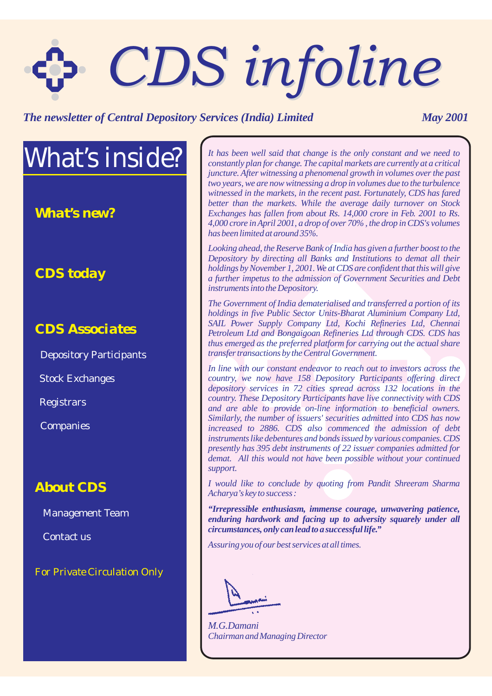# *CDS infoline CDS infoline*

#### *The newsletter of Central Depository Services (India) Limited May 2001*

# *What's inside?*

*What's new?*

#### *CDS today*

#### *CDS Associates*

Depository Participants

Stock Exchanges

Registrars

**Companies** 

#### *About CDS*

Management Team

Contact us

*For Private Circulation Only*

*It has been well said that change is the only constant and we need to constantly plan for change. The capital markets are currently at a critical juncture. After witnessing a phenomenal growth in volumes over the past two years, we are now witnessing a drop in volumes due to the turbulence witnessed in the markets, in the recent past. Fortunately, CDS has fared better than the markets. While the average daily turnover on Stock Exchanges has fallen from about Rs. 14,000 crore in Feb. 2001 to Rs. 4,000 crore in April 2001, a drop of over 70% , the drop in CDS's volumes has been limited at around 35%.*

*Looking ahead, the Reserve Bank of India has given a further boost to the Depository by directing all Banks and Institutions to demat all their holdings by November 1, 2001.We at CDS are confident that this will give a further impetus to the admission of Government Securities and Debt instruments into the Depository.*

*The Government of India dematerialised and transferred a portion of its holdings in five Public Sector Units-Bharat Aluminium Company Ltd, SAIL Power Supply Company Ltd, Kochi Refineries Ltd, Chennai Petroleum Ltd and Bongaigoan Refineries Ltd through CDS. CDS has thus emerged as the preferred platform for carrying out the actual share transfer transactions by the Central Government.*

*In line with our constant endeavor to reach out to investors across the country, we now have 158 Depository Participants offering direct depository services in 72 cities spread across 132 locations in the country. These Depository Participants have live connectivity with CDS and are able to provide on-line information to beneficial owners. Similarly, the number of issuers' securities admitted into CDS has now increased to 2886. CDS also commenced the admission of debt instruments like debentures and bonds issued by various companies. CDS presently has 395 debt instruments of 22 issuer companies admitted for demat. All this would not have been possible without your continued support.*

*I would like to conclude by quoting from Pandit Shreeram Sharma Acharya's key to success :*

*"Irrepressible enthusiasm, immense courage, unwavering patience, enduring hardwork and facing up to adversity squarely under all circumstances, only can lead to a successful life."*

*Assuring you of our best services at all times.*

*Chairman and Managing Director M.G.Damani*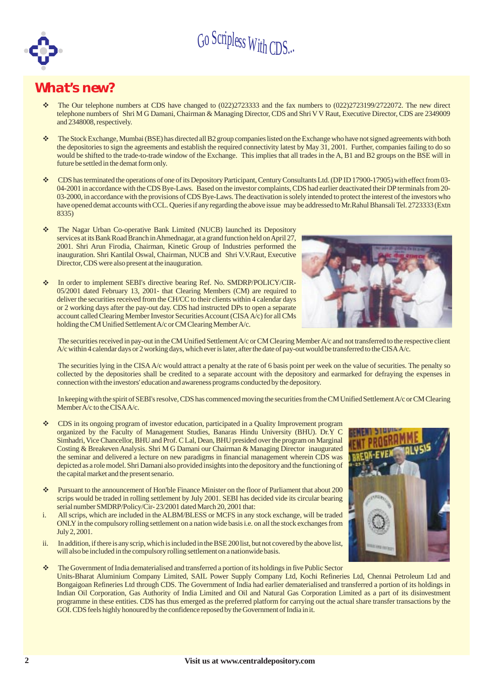

#### *What's new?*

- v The Our telephone numbers at CDS have changed to (022)2723333 and the fax numbers to (022)2723199/2722072. The new direct telephone numbers of Shri M G Damani, Chairman & Managing Director, CDS and Shri V V Raut, Executive Director, CDS are 2349009 and 2348008, respectively.
- $\mathbf{v}^*$ The Stock Exchange, Mumbai (BSE) has directed all B2 group companies listed on the Exchange who have not signed agreements with both the depositories to sign the agreements and establish the required connectivity latest by May 31, 2001. Further, companies failing to do so would be shifted to the trade-to-trade window of the Exchange. This implies that all trades in the A, B1 and B2 groups on the BSE will in future be settled in the demat formonly.
- $\mathbf{v}^*$ CDS has terminated the operations of one of its Depository Participant, Century Consultants Ltd. (DP ID 17900-17905) with effect from 03- 04-2001 in accordance with the CDS Bye-Laws. Based on the investor complaints, CDS had earlier deactivated their DP terminals from 20- 03-2000, in accordance with the provisions of CDS Bye-Laws. The deactivation is solely intended to protect the interest of the investors who have opened demat accounts with CCL. Queries if any regarding the above issue may be addressed to Mr.Rahul Bhansali Tel. 2723333 (Extn 8335)
- v The Nagar Urban Co-operative Bank Limited (NUCB) launched its Depository services at its Bank Road Branch in Ahmednagar, at a grand function held on April 27, 2001. Shri Arun Firodia, Chairman, Kinetic Group of Industries performed the inauguration. Shri Kantilal Oswal, Chairman, NUCB and Shri V.V.Raut, Executive Director, CDS were also present at the inauguration.
- $\mathbf{v}$ In order to implement SEBI's directive bearing Ref. No. SMDRP/POLICY/CIR-05/2001 dated February 13, 2001- that Clearing Members (CM) are required to deliver the securities received from the CH/CC to their clients within 4 calendar days or 2 working days after the pay-out day. CDS had instructed DPs to open a separate account called Clearing Member Investor SecuritiesAccount (CISAA/c) for all CMs holding the CM Unified Settlement A/c or CM Clearing Member A/c.



The securities received in pay-out in the CM Unified Settlement A/c or CM Clearing Member A/c and not transferred to the respective client A/c within 4 calendar days or 2 working days, which ever is later, after the date of pay-out would be transferred to the CISAA/c.

The securities lying in the CISA A/c would attract a penalty at the rate of 6 basis point per week on the value of securities. The penalty so collected by the depositories shall be credited to a separate account with the depository and earmarked for defraying the expenses in connection with the investors' education and awareness programs conducted by the depository.

In keeping with the spirit of SEBI's resolve, CDS has commenced moving the securities fromthe CMUnified SettlementA/c or CMClearing MemberA/c to the CISAA/c.

- $\mathbf{v}$ CDS in its ongoing program of investor education, participated in a Quality Improvement program organized by the Faculty of Management Studies, Banaras Hindu University (BHU). Dr.Y C Simhadri, Vice Chancellor, BHU and Prof. C Lal, Dean, BHU presided over the program on Marginal Costing & Breakeven Analysis. Shri M G Damani our Chairman & Managing Director inaugurated the seminar and delivered a lecture on new paradigms in financial management wherein CDS was depicted as a role model. Shri Damani also provided insights into the depository and the functioning of the capital market and the present senario.
- Pursuant to the announcement of Hon'ble Finance Minister on the floor of Parliament that about 200 scrips would be traded in rolling settlement by July 2001. SEBI has decided vide its circular bearing serial number SMDRP/Policy/Cir- 23/2001 dated March 20, 2001 that: v
- i. All scrips, which are included in the ALBM/BLESS or MCFS in any stock exchange, will be traded ONLY in the compulsory rolling settlement on a nation wide basis i.e. on all the stock exchanges from July 2, 2001.
- ii. In addition, if there is any scrip, which is included in the BSE 200 list, but not covered by the above list, will also be included in the compulsory rolling settlement on a nationwide basis.
- The Government of India dematerialised and transferred a portion of its holdings in five Public Sector Units-Bharat Aluminium Company Limited, SAIL Power Supply Company Ltd, Kochi Refineries Ltd, Chennai Petroleum Ltd and Bongaigoan Refineries Ltd through CDS. The Government of India had earlier dematerialised and transferred a portion of its holdings in Indian Oil Corporation, Gas Authority of India Limited and Oil and Natural Gas Corporation Limited as a part of its disinvestment programme in these entities. CDS has thus emerged as the preferred platform for carrying out the actual share transfer transactions by the GOI. CDS feels highly honoured by the confidence reposed by the Government of India in it. v

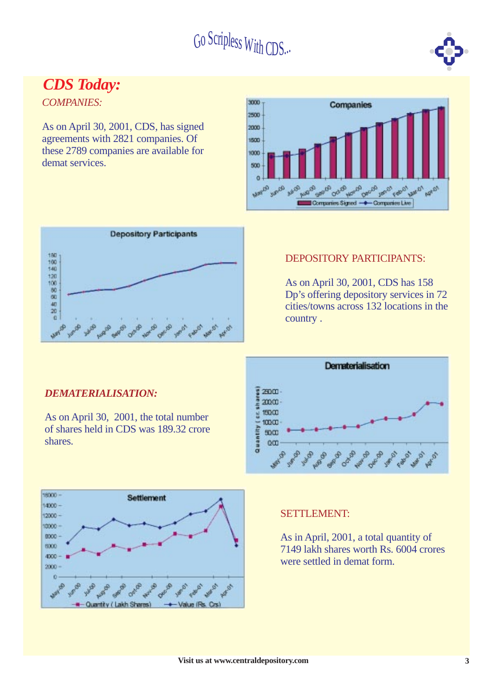

### *CDS Today:*

*COMPANIES:*

As on April 30, 2001, CDS, has signed agreements with 2821 companies. Of these 2789 companies are available for demat services.





#### DEPOSITORY PARTICIPANTS:

As on April 30, 2001, CDS has 158 Dp's offering depository services in 72 cities/towns across 132 locations in the country .



#### **SETTLEMENT:**

As in April, 2001, a total quantity of 7149 lakh shares worth Rs. 6004 crores were settled in demat form.

#### *DEMATERIALISATION:*

shares.

As on April 30, 2001, the total number of shares held in CDS was 189.32 crore



**Visit us at www.centraldepository.com 3**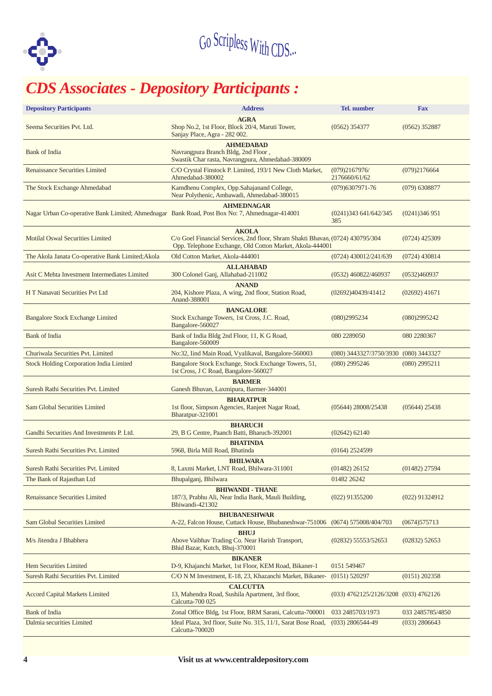

# Go SCIPless With CDS...<br> **CDS Associates - Depository Participants :**

| <b>Depository Participants</b>                                                                                                                                     | <b>Address</b>                                                                                                                                             |                                       |                  |  |  |  |
|--------------------------------------------------------------------------------------------------------------------------------------------------------------------|------------------------------------------------------------------------------------------------------------------------------------------------------------|---------------------------------------|------------------|--|--|--|
| Seema Securities Pvt. Ltd.                                                                                                                                         | <b>AGRA</b><br>Shop No.2, 1st Floor, Block 20/4, Maruti Tower,<br>$(0562)$ 354377<br>Sanjay Place, Agra - 282 002.                                         |                                       |                  |  |  |  |
| Bank of India                                                                                                                                                      |                                                                                                                                                            |                                       |                  |  |  |  |
| <b>Renaissance Securities Limited</b>                                                                                                                              | Swastik Char rasta, Navrangpura, Ahmedabad-380009<br>C/O Crystal Finstock P. Limited, 193/1 New Cloth Market,<br>Ahmedabad-380002                          | (079)2167976/<br>2176660/61/62        | (079)2176664     |  |  |  |
| The Stock Exchange Ahmedabad                                                                                                                                       | Kamdhenu Complex, Opp.Sahajanand College,<br>Near Polythenic, Ambawadi, Ahmedabad-380015                                                                   | $(079)6307971 - 76$                   | $(079)$ 6308877  |  |  |  |
| Nagar Urban Co-operative Bank Limited; Ahmednagar Bank Road, Post Box No: 7, Ahmednagar-414001                                                                     | <b>AHMEDNAGAR</b>                                                                                                                                          | (0241)343 641/642/345<br>385          | (0241)346951     |  |  |  |
| <b>Motilal Oswal Securities Limited</b>                                                                                                                            | <b>AKOLA</b><br>C/o Goel Financial Services, 2nd floor, Shram Shakti Bhavan, (0724) 430795/304<br>Opp. Telephone Exchange, Old Cotton Market, Akola-444001 |                                       | $(0724)$ 425309  |  |  |  |
| The Akola Janata Co-operative Bank Limited; Akola                                                                                                                  | Old Cotton Market, Akola-444001                                                                                                                            | (0724) 430012/241/639                 | $(0724)$ 430814  |  |  |  |
| Asit C Mehta Investment Intermediates Limited                                                                                                                      | <b>ALLAHABAD</b><br>300 Colonel Ganj, Allahabad-211002                                                                                                     | (0532) 460822/460937                  | (0532)460937     |  |  |  |
| H T Nanavati Securities Pvt Ltd                                                                                                                                    | <b>ANAND</b><br>204, Kishore Plaza, A wing, 2nd floor, Station Road,<br>Anand-388001                                                                       | (02692)40439/41412                    | $(02692)$ 41671  |  |  |  |
| <b>Bangalore Stock Exchange Limited</b>                                                                                                                            | <b>BANGALORE</b><br>Stock Exchange Towers, 1st Cross, J.C. Road,<br>(080)2995234<br>Bangalore-560027                                                       |                                       |                  |  |  |  |
| Bank of India                                                                                                                                                      | 080 2289050                                                                                                                                                | 080 2280367                           |                  |  |  |  |
| Churiwala Securities Pvt. Limited                                                                                                                                  | No:32, Iind Main Road, Vyalikaval, Bangalore-560003                                                                                                        | (080) 3443327/3750/3930 (080) 3443327 |                  |  |  |  |
| Bangalore Stock Exchange, Stock Exchange Towers, 51,<br><b>Stock Holding Corporation India Limited</b><br>$(080)$ 2995246<br>1st Cross, J C Road, Bangalore-560027 |                                                                                                                                                            |                                       | $(080)$ 2995211  |  |  |  |
| Suresh Rathi Securities Pvt. Limited                                                                                                                               | <b>BARMER</b><br>Ganesh Bhuvan, Laxmipura, Barmer-344001                                                                                                   |                                       |                  |  |  |  |
| Sam Global Securities Limited                                                                                                                                      | <b>BHARATPUR</b><br>1st floor, Simpson Agencies, Ranjeet Nagar Road,<br>Bharatpur-321001                                                                   | $(05644)$ 28008/25438                 | $(05644)$ 25438  |  |  |  |
| Gandhi Securities And Investments P. Ltd.                                                                                                                          | <b>BHARUCH</b><br>29, B G Centre, Paanch Batti, Bharuch-392001                                                                                             | $(02642)$ 62140                       |                  |  |  |  |
| Suresh Rathi Securities Pvt. Limited                                                                                                                               | <b>BHATINDA</b><br>5968, Birla Mill Road, Bhatinda                                                                                                         | $(0164)$ 2524599                      |                  |  |  |  |
| Suresh Rathi Securities Pvt. Limited                                                                                                                               | <b>BHILWARA</b><br>8, Laxmi Market, LNT Road, Bhilwara-311001                                                                                              | $(01482)$ 26152                       | $(01482)$ 27594  |  |  |  |
| The Bank of Rajasthan Ltd                                                                                                                                          | Bhupalganj, Bhilwara                                                                                                                                       | 01482 26242                           |                  |  |  |  |
| <b>Renaissance Securities Limited</b>                                                                                                                              | <b>BHIWANDI - THANE</b><br>187/3, Prabhu Ali, Near India Bank, Mauli Building,<br>Bhiwandi-421302                                                          | $(022)$ 91355200<br>$(022)$ 91324912  |                  |  |  |  |
| Sam Global Securities Limited                                                                                                                                      | <b>BHUBANESHWAR</b><br>A-22, Falcon House, Cuttack House, Bhubaneshwar-751006 (0674) 575008/404/703                                                        |                                       | (0674)575713     |  |  |  |
| M/s Jitendra J Bhabhera                                                                                                                                            | $(02832)$ 55553/52653                                                                                                                                      | $(02832)$ 52653                       |                  |  |  |  |
| Hem Securities Limited                                                                                                                                             | <b>BIKANER</b><br>D-9, Khajanchi Market, 1st Floor, KEM Road, Bikaner-1                                                                                    | 0151 549467                           |                  |  |  |  |
| Suresh Rathi Securities Pvt. Limited                                                                                                                               | C/O N M Investment, E-18, 23, Khazanchi Market, Bikaner-                                                                                                   | $(0151)$ 520297                       | $(0151)$ 202358  |  |  |  |
| <b>Accord Capital Markets Limited</b>                                                                                                                              | <b>CALCUTTA</b><br>13, Mahendra Road, Sushila Apartment, 3rd floor,<br>(033) 4762125/2126/3208 (033) 4762126<br>Calcutta-700 025                           |                                       |                  |  |  |  |
| <b>Bank</b> of India                                                                                                                                               | Zonal Office Bldg, 1st Floor, BRM Sarani, Calcutta-700001                                                                                                  | 033 2485703/1973                      | 033 2485785/4850 |  |  |  |
| Dalmia securities Limited                                                                                                                                          | Ideal Plaza, 3rd floor, Suite No. 315, 11/1, Sarat Bose Road,<br>Calcutta-700020                                                                           | $(033)$ 2806544-49                    | $(033)$ 2806643  |  |  |  |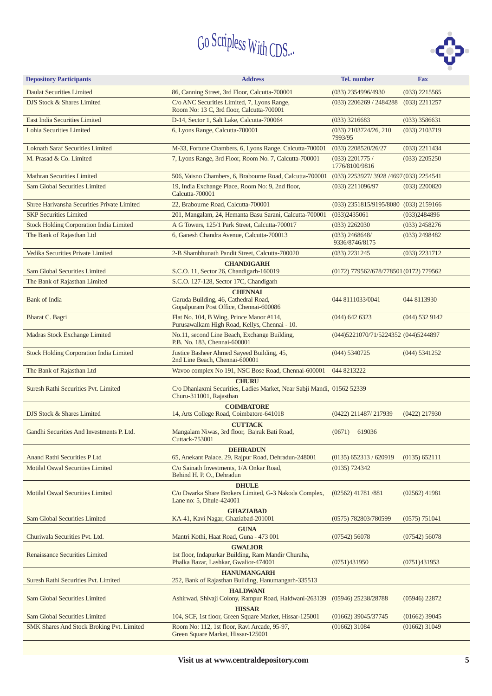

| <b>Depository Participants</b>                                                                                                                                        | <b>Address</b>                                                                                                    | <b>Tel.</b> number                         | <b>Fax</b>       |  |
|-----------------------------------------------------------------------------------------------------------------------------------------------------------------------|-------------------------------------------------------------------------------------------------------------------|--------------------------------------------|------------------|--|
| <b>Daulat Securities Limited</b>                                                                                                                                      | 86, Canning Street, 3rd Floor, Calcutta-700001                                                                    | (033) 2354996/4930                         | $(033)$ 2215565  |  |
| DJS Stock & Shares Limited                                                                                                                                            | C/o ANC Securities Limited, 7, Lyons Range,<br>Room No: 13 C, 3rd floor, Calcutta-700001                          | $(033)$ 2206269 / 2484288                  | $(033)$ 2211257  |  |
| <b>East India Securities Limited</b>                                                                                                                                  | D-14, Sector 1, Salt Lake, Calcutta-700064                                                                        | $(033)$ 3216683                            | $(033)$ 3586631  |  |
| Lohia Securities Limited                                                                                                                                              | 6, Lyons Range, Calcutta-700001                                                                                   | $(033)$ 2103724/26, 210<br>7993/95         | $(033)$ 2103719  |  |
| <b>Loknath Saraf Securities Limited</b>                                                                                                                               | M-33, Fortune Chambers, 6, Lyons Range, Calcutta-700001                                                           | $(033)$ 2208520/26/27                      | $(033)$ 2211434  |  |
| M. Prasad & Co. Limited                                                                                                                                               | 7, Lyons Range, 3rd Floor, Room No. 7, Calcutta-700001                                                            | $(033)$ 2201775 /<br>1776/8100/9816        | $(033)$ 2205250  |  |
| <b>Mathran Securities Limited</b>                                                                                                                                     | 506, Vaisno Chambers, 6, Brabourne Road, Calcutta-700001                                                          | (033) 2253927/3928 /4697 (033) 2254541     |                  |  |
| <b>Sam Global Securities Limited</b>                                                                                                                                  | 19, India Exchange Place, Room No: 9, 2nd floor,<br>Calcutta-700001                                               | $(033)$ 2211096/97                         | $(033)$ 2200820  |  |
| Shree Harivansha Securities Private Limited                                                                                                                           | 22, Brabourne Road, Calcutta-700001                                                                               | (033) 2351815/9195/8080                    | $(033)$ 2159166  |  |
| <b>SKP Securities Limited</b>                                                                                                                                         | 201, Mangalam, 24, Hemanta Basu Sarani, Calcutta-700001                                                           | (033)2435061                               | (033)2484896     |  |
| <b>Stock Holding Corporation India Limited</b>                                                                                                                        | A G Towers, 125/1 Park Street, Calcutta-700017                                                                    | $(033)$ 2262030                            | $(033)$ 2458276  |  |
| The Bank of Rajasthan Ltd                                                                                                                                             | 6, Ganesh Chandra Avenue, Calcutta-700013                                                                         | $(033)$ 2468648/<br>9336/8746/8175         | $(033)$ 2498482  |  |
| Vedika Securities Private Limited                                                                                                                                     | 2-B Shambhunath Pandit Street, Calcutta-700020                                                                    | $(033)$ 2231245                            | $(033)$ 2231712  |  |
| <b>Sam Global Securities Limited</b>                                                                                                                                  | <b>CHANDIGARH</b><br>S.C.O. 11, Sector 26, Chandigarh-160019                                                      | $(0172)$ 779562/678/778501 $(0172)$ 779562 |                  |  |
| The Bank of Rajasthan Limited                                                                                                                                         | S.C.O. 127-128, Sector 17C, Chandigarh                                                                            |                                            |                  |  |
| <b>Bank of India</b>                                                                                                                                                  | <b>CHENNAI</b><br>Garuda Building, 46, Cathedral Road,<br>Gopalpuram Post Office, Chennai-600086                  | 044 8111033/0041                           | 044 8113930      |  |
| Bharat C. Bagri                                                                                                                                                       | Flat No. 104, B Wing, Prince Manor #114,<br>Purusawalkam High Road, Kellys, Chennai - 10.                         | $(044)$ 642 6323                           | $(044)$ 532 9142 |  |
| Madras Stock Exchange Limited                                                                                                                                         | No.11, second Line Beach, Exchange Building,<br>P.B. No. 183, Chennai-600001                                      | (044) 5221070/71/5224352 (044) 5244897     |                  |  |
| <b>Stock Holding Corporation India Limited</b>                                                                                                                        | Justice Basheer Ahmed Sayeed Building, 45,<br>2nd Line Beach, Chennai-600001                                      | (044) 5340725                              | (044) 5341252    |  |
| The Bank of Rajasthan Ltd                                                                                                                                             | Wavoo complex No 191, NSC Bose Road, Chennai-600001<br>044 8213222                                                |                                            |                  |  |
| Suresh Rathi Securities Pvt. Limited                                                                                                                                  | <b>CHURU</b><br>C/o Dhanlaxmi Securities, Ladies Market, Near Sabji Mandi, 01562 52339<br>Churu-311001, Rajasthan |                                            |                  |  |
| DJS Stock & Shares Limited                                                                                                                                            | <b>COIMBATORE</b><br>14, Arts College Road, Coimbatore-641018                                                     | (0422) 211487/217939                       | $(0422)$ 217930  |  |
| Gandhi Securities And Investments P. Ltd.                                                                                                                             | <b>CUTTACK</b><br>Mangalam Niwas, 3rd floor, Bajrak Bati Road,<br>Cuttack-753001                                  | 619036<br>(0671)                           |                  |  |
| Anand Rathi Securities P Ltd                                                                                                                                          | <b>DEHRADUN</b><br>65, Anekant Palace, 29, Rajpur Road, Dehradun-248001                                           | $(0135)$ 652313 / 620919                   | (0135) 652111    |  |
| <b>Motilal Oswal Securities Limited</b>                                                                                                                               | C/o Sainath Investments, 1/A Onkar Road,                                                                          | (0135) 724342                              |                  |  |
|                                                                                                                                                                       | Behind H. P. O., Dehradun                                                                                         |                                            |                  |  |
| <b>Motilal Oswal Securities Limited</b>                                                                                                                               | <b>DHULE</b><br>C/o Dwarka Share Brokers Limited, G-3 Nakoda Complex,<br>Lane no: 5, Dhule-424001                 | $(02562)$ 41781/881                        | $(02562)$ 41981  |  |
| <b>Sam Global Securities Limited</b>                                                                                                                                  | <b>GHAZIABAD</b><br>KA-41, Kavi Nagar, Ghaziabad-201001                                                           | (0575) 782803/780599                       | (0575) 751041    |  |
| Churiwala Securities Pvt. Ltd.                                                                                                                                        | <b>GUNA</b><br>Mantri Kothi, Haat Road, Guna - 473 001                                                            | (07542) 56078                              | $(07542)$ 56078  |  |
| <b>Renaissance Securities Limited</b>                                                                                                                                 | <b>GWALIOR</b><br>1st floor, Indapurkar Building, Ram Mandir Churaha,<br>Phalka Bazar, Lashkar, Gwalior-474001    | (0751)431950                               | (0751)431953     |  |
| Suresh Rathi Securities Pvt. Limited                                                                                                                                  | <b>HANUMANGARH</b><br>252, Bank of Rajasthan Building, Hanumangarh-335513                                         |                                            |                  |  |
| <b>Sam Global Securities Limited</b>                                                                                                                                  | <b>HALDWANI</b><br>Ashirwad, Shivaji Colony, Rampur Road, Haldwani-263139                                         | (05946) 25238/28788                        | $(05946)$ 22872  |  |
| <b>Sam Global Securities Limited</b>                                                                                                                                  | <b>HISSAR</b><br>104, SCF, 1st floor, Green Square Market, Hissar-125001                                          | $(01662)$ 39045/37745                      | $(01662)$ 39045  |  |
| Room No: 112, 1st floor, Ravi Arcade, 95-97,<br>$(01662)$ 31084<br>SMK Shares And Stock Broking Pvt. Limited<br>$(01662)$ 31049<br>Green Square Market, Hissar-125001 |                                                                                                                   |                                            |                  |  |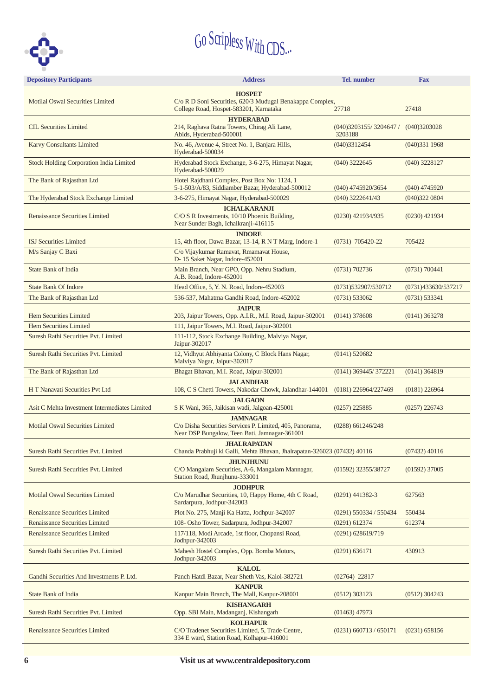

| <b>Depository Participants</b>                                 | <b>Address</b>                                                                                               |                          |                     |  |  |  |
|----------------------------------------------------------------|--------------------------------------------------------------------------------------------------------------|--------------------------|---------------------|--|--|--|
|                                                                | <b>HOSPET</b>                                                                                                |                          |                     |  |  |  |
| <b>Motilal Oswal Securities Limited</b>                        | C/o R D Soni Securities, 620/3 Mudugal Benakappa Complex,                                                    |                          |                     |  |  |  |
|                                                                | College Road, Hospet-583201, Karnataka                                                                       | 27718                    | 27418               |  |  |  |
| <b>CIL Securities Limited</b>                                  | <b>HYDERABAD</b><br>214, Raghava Ratna Towers, Chirag Ali Lane,                                              | (040)3203155/3204647/    | (040)3203028        |  |  |  |
|                                                                | Abids, Hyderabad-500001                                                                                      | 3203188                  |                     |  |  |  |
| <b>Karvy Consultants Limited</b>                               | No. 46, Avenue 4, Street No. 1, Banjara Hills,<br>Hyderabad-500034                                           | (040)3312454             | (040)3311968        |  |  |  |
| <b>Stock Holding Corporation India Limited</b>                 | Hyderabad Stock Exchange, 3-6-275, Himayat Nagar,<br>Hyderabad-500029                                        | $(040)$ 3222645          | $(040)$ 3228127     |  |  |  |
| The Bank of Rajasthan Ltd                                      | Hotel Rajdhani Complex, Post Box No: 1124, 1                                                                 |                          |                     |  |  |  |
|                                                                | 5-1-503/A/83, Siddiamber Bazar, Hyderabad-500012                                                             | (040) 4745920/3654       | $(040)$ 4745920     |  |  |  |
| The Hyderabad Stock Exchange Limited                           | 3-6-275, Himayat Nagar, Hyderabad-500029                                                                     | $(040)$ 3222641/43       | (040)3220804        |  |  |  |
| <b>Renaissance Securities Limited</b>                          | <b>ICHALKARANJI</b><br>C/O S R Investments, 10/10 Phoenix Building,<br>Near Sunder Bagh, Ichalkranji-416115  | $(0230)$ 421934/935      | $(0230)$ 421934     |  |  |  |
|                                                                | <b>INDORE</b>                                                                                                |                          |                     |  |  |  |
| <b>ISJ Securities Limited</b>                                  | 15, 4th floor, Dawa Bazar, 13-14, R N T Marg, Indore-1<br>C/o Vijaykumar Ramavat, Rmamavat House,            | $(0731)$ 705420-22       | 705422              |  |  |  |
| M/s Sanjay C Baxi                                              | D-15 Saket Nagar, Indore-452001                                                                              |                          |                     |  |  |  |
| <b>State Bank of India</b>                                     | Main Branch, Near GPO, Opp. Nehru Stadium,<br>A.B. Road, Indore-452001                                       | (0731) 702736            | (0731) 700441       |  |  |  |
| <b>State Bank Of Indore</b>                                    | Head Office, 5, Y. N. Road, Indore-452003                                                                    | (0731) 532907/530712     | (0731)433630/537217 |  |  |  |
| The Bank of Rajasthan Ltd                                      | 536-537, Mahatma Gandhi Road, Indore-452002                                                                  | (0731) 533062            | (0731) 533341       |  |  |  |
|                                                                | <b>JAIPUR</b>                                                                                                |                          |                     |  |  |  |
| <b>Hem Securities Limited</b><br><b>Hem Securities Limited</b> | 203, Jaipur Towers, Opp. A.I.R., M.I. Road, Jaipur-302001<br>111, Jaipur Towers, M.I. Road, Jaipur-302001    | $(0141)$ 378608          | $(0141)$ 363278     |  |  |  |
| Suresh Rathi Securities Pvt. Limited                           | 111-112, Stock Exchange Building, Malviya Nagar,                                                             |                          |                     |  |  |  |
|                                                                |                                                                                                              |                          |                     |  |  |  |
| Suresh Rathi Securities Pvt. Limited                           | $(0141)$ 520682                                                                                              |                          |                     |  |  |  |
| The Bank of Rajasthan Ltd                                      | Bhagat Bhavan, M.I. Road, Jaipur-302001                                                                      | (0141) 369445/372221     | $(0141)$ 364819     |  |  |  |
| <b>JALANDHAR</b>                                               |                                                                                                              | $(0181)$ 226964/227469   |                     |  |  |  |
|                                                                | H T Nanavati Securities Pvt Ltd<br>108, C S Chetti Towers, Nakodar Chowk, Jalandhar-144001<br><b>JALGAON</b> |                          | $(0181)$ 226964     |  |  |  |
| Asit C Mehta Investment Intermediates Limited                  | S K Wani, 365, Jaikisan wadi, Jalgoan-425001                                                                 | $(0257)$ 225885          | $(0257)$ 226743     |  |  |  |
| <b>Motilal Oswal Securities Limited</b>                        | <b>JAMNAGAR</b><br>C/o Disha Securities Services P. Limited, 405, Panorama,                                  | $(0288)$ 661246/248      |                     |  |  |  |
|                                                                | Near DSP Bungalow, Teen Bati, Jamnagar-361001                                                                |                          |                     |  |  |  |
| Suresh Rathi Securities Pvt. Limited                           | <b>JHALRAPATAN</b><br>Chanda Prabhuji ki Galli, Mehta Bhavan, Jhalrapatan-326023 (07432) 40116               |                          | $(07432)$ 40116     |  |  |  |
| Suresh Rathi Securities Pvt. Limited                           | <b>JHUNJHUNU</b><br>C/O Mangalam Securities, A-6, Mangalam Mannagar,                                         | (01592) 32355/38727      | $(01592)$ 37005     |  |  |  |
|                                                                | Station Road, Jhunjhunu-333001                                                                               |                          |                     |  |  |  |
| <b>Motilal Oswal Securities Limited</b>                        | <b>JODHPUR</b><br>C/o Marudhar Securities, 10, Happy Home, 4th C Road,<br>Sardarpura, Jodhpur-342003         | $(0291)$ 441382-3        | 627563              |  |  |  |
| <b>Renaissance Securities Limited</b>                          | Plot No. 275, Manji Ka Hatta, Jodhpur-342007                                                                 | $(0291)$ 550334 / 550434 | 550434              |  |  |  |
| <b>Renaissance Securities Limited</b>                          | 108- Osho Tower, Sadarpura, Jodhpur-342007                                                                   | $(0291)$ 612374          | 612374              |  |  |  |
| <b>Renaissance Securities Limited</b>                          | $(0291)$ 628619/719                                                                                          |                          |                     |  |  |  |
| Suresh Rathi Securities Pvt. Limited                           | Mahesh Hostel Complex, Opp. Bomba Motors,<br>Jodhpur-342003                                                  | (0291) 636171            | 430913              |  |  |  |
| Gandhi Securities And Investments P. Ltd.                      | <b>KALOL</b><br>Panch Hatdi Bazar, Near Sheth Vas, Kalol-382721                                              | $(02764)$ 22817          |                     |  |  |  |
| <b>State Bank of India</b>                                     | <b>KANPUR</b><br>Kanpur Main Branch, The Mall, Kanpur-208001                                                 | (0512) 303123            | $(0512)$ 304243     |  |  |  |
| Suresh Rathi Securities Pvt. Limited                           | <b>KISHANGARH</b><br>Opp. SBI Main, Madanganj, Kishangarh                                                    | $(01463)$ 47973          |                     |  |  |  |
| <b>KOLHAPUR</b>                                                |                                                                                                              |                          |                     |  |  |  |
| <b>Renaissance Securities Limited</b>                          | C/O Tradenet Securities Limited, 5, Trade Centre,<br>334 E ward, Station Road, Kolhapur-416001               | $(0231)$ 660713 / 650171 | $(0231)$ 658156     |  |  |  |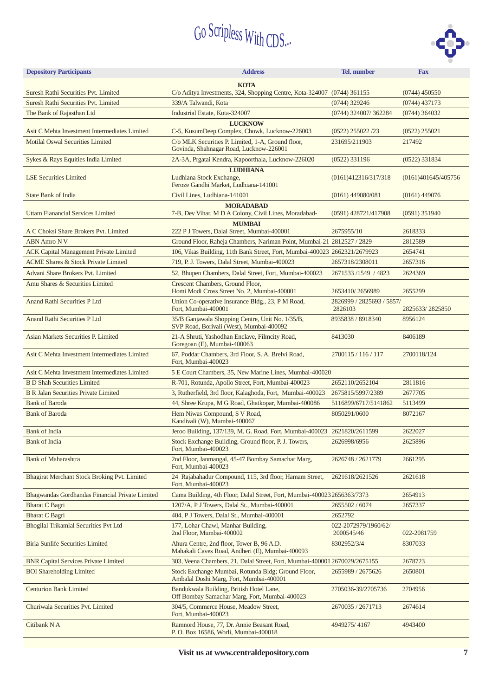

| <b>Depository Participants</b>                                                                                                                                   | <b>Address</b>                                                                                             | <b>Tel.</b> number                   | <b>Fax</b>          |  |  |  |
|------------------------------------------------------------------------------------------------------------------------------------------------------------------|------------------------------------------------------------------------------------------------------------|--------------------------------------|---------------------|--|--|--|
|                                                                                                                                                                  | <b>KOTA</b>                                                                                                |                                      |                     |  |  |  |
| Suresh Rathi Securities Pvt. Limited                                                                                                                             | C/o Aditya Investments, 324, Shopping Centre, Kota-324007 (0744) 361155                                    |                                      |                     |  |  |  |
| Suresh Rathi Securities Pvt. Limited                                                                                                                             | 339/A Talwandi, Kota                                                                                       |                                      |                     |  |  |  |
| The Bank of Rajasthan Ltd                                                                                                                                        | Industrial Estate, Kota-324007                                                                             | (0744) 324007/362284                 | $(0744)$ 364032     |  |  |  |
| Asit C Mehta Investment Intermediates Limited                                                                                                                    | <b>LUCKNOW</b><br>C-5, KusumDeep Complex, Chowk, Lucknow-226003                                            | $(0522)$ 255022/23                   | $(0522)$ 255021     |  |  |  |
| <b>Motilal Oswal Securities Limited</b>                                                                                                                          | C/o MLK Securities P. Limited, 1-A, Ground floor,<br>Govinda, Shahnagar Road, Lucknow-226001               | 231695/211903                        | 217492              |  |  |  |
| Sykes & Rays Equities India Limited                                                                                                                              | 2A-3A, Prgatai Kendra, Kapoorthala, Lucknow-226020                                                         | $(0522)$ 331196                      | $(0522)$ 331834     |  |  |  |
|                                                                                                                                                                  | <b>LUDHIANA</b>                                                                                            |                                      |                     |  |  |  |
| <b>LSE Securities Limited</b>                                                                                                                                    | Ludhiana Stock Exchange,<br>Feroze Gandhi Market, Ludhiana-141001                                          | (0161)412316/317/318                 | (0161)401645/405756 |  |  |  |
| <b>State Bank of India</b>                                                                                                                                       | Civil Lines, Ludhiana-141001                                                                               | $(0161)$ 449080/081                  | $(0161)$ 449076     |  |  |  |
|                                                                                                                                                                  | <b>MORADABAD</b>                                                                                           |                                      |                     |  |  |  |
| Uttam Fianancial Services Limited                                                                                                                                | 7-B, Dev Vihar, M D A Colony, Civil Lines, Moradabad-                                                      | (0591) 428721/417908                 | $(0591)$ 351940     |  |  |  |
| A C Choksi Share Brokers Pvt. Limited                                                                                                                            | <b>MUMBAI</b><br>222 P J Towers, Dalal Street, Mumbai-400001                                               | 2675955/10                           | 2618333             |  |  |  |
| <b>ABN Amro NV</b>                                                                                                                                               | Ground Floor, Raheja Chambers, Nariman Point, Mumbai-21 2812527 / 2829                                     |                                      | 2812589             |  |  |  |
| <b>ACK Capital Management Private Limited</b>                                                                                                                    | 106, Vikas Building, 11th Bank Street, Fort, Mumbai-400023 2662321/2679923                                 |                                      | 2654741             |  |  |  |
| <b>ACME Shares &amp; Stock Private Limited</b>                                                                                                                   | 719, P. J. Towers, Dalal Street, Mumbai-400023                                                             | 2657318/2308011                      | 2657316             |  |  |  |
| Advani Share Brokers Pvt. Limited                                                                                                                                | 52, Bhupen Chambers, Dalal Street, Fort, Mumbai-400023                                                     | 2671533/1549 / 4823                  | 2624369             |  |  |  |
| Amu Shares & Securities Limited                                                                                                                                  | Crescent Chambers, Ground Floor,<br>Homi Modi Cross Street No. 2, Mumbai-400001                            | 2653410/2656989                      | 2655299             |  |  |  |
| Anand Rathi Securities P Ltd                                                                                                                                     | Union Co-operative Insurance Bldg., 23, P M Road,<br>Fort, Mumbai-400001                                   | 2826999 / 2825693 / 5857/<br>2826103 | 2825633/2825850     |  |  |  |
| Anand Rathi Securities P Ltd                                                                                                                                     | 8935838 / 8918340                                                                                          | 8956124                              |                     |  |  |  |
| SVP Road, Borivali (West), Mumbai-400092<br>21-A Shruti, Yashodhan Enclave, Filmcity Road,<br>Asian Markets Securities P. Limited<br>Goregoan (E), Mumbai-400063 |                                                                                                            | 8413030                              | 8406189             |  |  |  |
| Asit C Mehta Investment Intermediates Limited                                                                                                                    | 2700115 / 116 / 117                                                                                        | 2700118/124                          |                     |  |  |  |
| Asit C Mehta Investment Intermediates Limited                                                                                                                    | Fort, Mumbai-400023<br>5 E Court Chambers, 35, New Marine Lines, Mumbai-400020                             |                                      |                     |  |  |  |
| <b>B D Shah Securities Limited</b>                                                                                                                               | R-701, Rotunda, Apollo Street, Fort, Mumbai-400023                                                         | 2652110/2652104                      | 2811816             |  |  |  |
| <b>B R Jalan Securities Private Limited</b>                                                                                                                      | 3, Rutherfield, 3rd floor, Kalaghoda, Fort, Mumbai-400023                                                  | 2675815/5997/2389                    | 2677705             |  |  |  |
| <b>Bank of Baroda</b>                                                                                                                                            | 44, Shree Krupa, M G Road, Ghatkopar, Mumbai-400086                                                        | 5116899/6717/5141862                 | 5113499             |  |  |  |
| <b>Bank of Baroda</b>                                                                                                                                            | Hem Niwas Compound, S V Road,<br>Kandivali (W), Mumbai-400067                                              | 8050291/0600                         | 8072167             |  |  |  |
| <b>Bank of India</b>                                                                                                                                             | Jeroo Building, 137/139, M. G. Road, Fort, Mumbai-400023 2621820/2611599                                   |                                      | 2622027             |  |  |  |
| <b>Bank</b> of India                                                                                                                                             | Stock Exchange Building, Ground floor, P. J. Towers,                                                       | 2626998/6956                         | 2625896             |  |  |  |
|                                                                                                                                                                  | Fort, Mumbai-400023                                                                                        |                                      |                     |  |  |  |
| <b>Bank of Maharashtra</b>                                                                                                                                       | 2nd Floor, Janmangal, 45-47 Bombay Samachar Marg,<br>Fort, Mumbai-400023                                   | 2626748 / 2621779                    | 2661295             |  |  |  |
| Bhagirat Merchant Stock Broking Pvt. Limited                                                                                                                     | 24 Rajabahadur Compound, 115, 3rd floor, Hamam Street,<br>Fort, Mumbai-400023                              | 2621618/2621526                      | 2621618             |  |  |  |
| Bhagwandas Gordhandas Financial Private Limited                                                                                                                  | Cama Building, 4th Floor, Dalal Street, Fort, Mumbai-400023 2656363/7373                                   |                                      | 2654913             |  |  |  |
| <b>Bharat C Bagri</b>                                                                                                                                            | 1207/A, P J Towers, Dalal St., Mumbai-400001                                                               | 2655502 / 6074                       | 2657337             |  |  |  |
| <b>Bharat C Bagri</b>                                                                                                                                            | 404, P J Towers, Dalal St., Mumbai-400001                                                                  | 2652792                              |                     |  |  |  |
| Bhogilal Trikamlal Securities Pvt Ltd<br>177, Lohar Chawl, Manhar Building,<br>2nd Floor, Mumbai-400002                                                          |                                                                                                            | 022-2072979/1960/62/<br>2000545/46   | 022-2081759         |  |  |  |
| <b>Birla Sunlife Securities Limited</b>                                                                                                                          | Ahura Centre, 2nd floor, Tower B, 96 A.D.<br>Mahakali Caves Road, Andheri (E), Mumbai-400093               | 8302952/3/4                          | 8307033             |  |  |  |
| <b>BNR Capital Services Private Limited</b>                                                                                                                      | 303, Veena Chambers, 21, Dalal Street, Fort, Mumbai-400001 2670029/2675155                                 |                                      |                     |  |  |  |
| <b>BOI</b> Shareholding Limited                                                                                                                                  | Stock Exchange Mumbai, Rotunda Bldg; Ground Floor,<br>Ambalal Doshi Marg, Fort, Mumbai-400001              | 2655989 / 2675626                    | 2650801             |  |  |  |
| <b>Centurion Bank Limited</b>                                                                                                                                    | Bandukwala Building, British Hotel Lane,<br>Off Bombay Samachar Marg, Fort, Mumbai-400023                  | 2705036-39/2705736                   | 2704956             |  |  |  |
| Churiwala Securities Pvt. Limited                                                                                                                                | 2670035 / 2671713                                                                                          | 2674614                              |                     |  |  |  |
| Citibank NA                                                                                                                                                      | Fort, Mumbai-400023<br>Ramnord House, 77, Dr. Annie Beasant Road,<br>P. O. Box 16586, Worli, Mumbai-400018 | 4949275/4167                         | 4943400             |  |  |  |

**Visit us at www.centraldepository.com**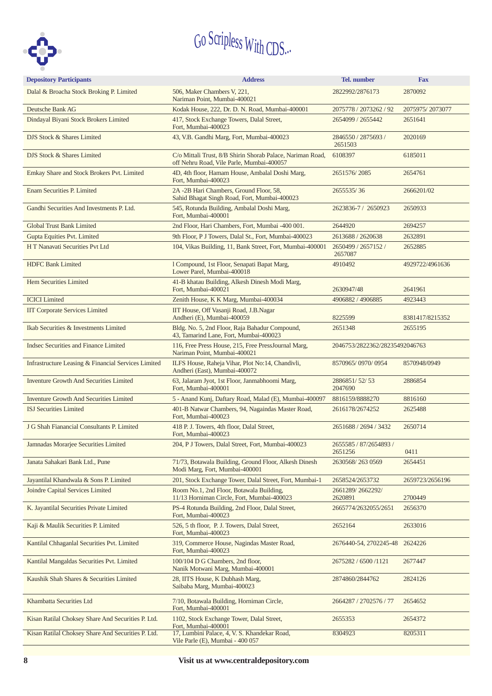

| <b>Depository Participants</b>                      | <b>Address</b>                                                                                          | Tel. number                       | <b>Fax</b>      |
|-----------------------------------------------------|---------------------------------------------------------------------------------------------------------|-----------------------------------|-----------------|
| Dalal & Broacha Stock Broking P. Limited            | 506, Maker Chambers V, 221,<br>Nariman Point, Mumbai-400021                                             | 2822992/2876173                   | 2870092         |
| Deutsche Bank AG                                    | Kodak House, 222, Dr. D. N. Road, Mumbai-400001                                                         | 2075778 / 2073262 / 92            | 2075975/2073077 |
| Dindayal Biyani Stock Brokers Limited               | 417, Stock Exchange Towers, Dalal Street,<br>Fort, Mumbai-400023                                        | 2654099 / 2655442                 | 2651641         |
| DJS Stock & Shares Limited                          | 43, V.B. Gandhi Marg, Fort, Mumbai-400023                                                               | 2846550 / 2875693 /<br>2651503    | 2020169         |
| DJS Stock & Shares Limited                          | C/o Mittali Trust, 8/B Shirin Shorab Palace, Nariman Road,<br>off Nehru Road, Vile Parle, Mumbai-400057 | 6108397                           | 6185011         |
| Emkay Share and Stock Brokers Pvt. Limited          | 4D, 4th floor, Hamam House, Ambalal Doshi Marg,<br>Fort, Mumbai-400023                                  | 2651576/2085                      | 2654761         |
| <b>Enam Securities P. Limited</b>                   | 2A -2B Hari Chambers, Ground Floor, 58,<br>Sahid Bhagat Singh Road, Fort, Mumbai-400023                 | 2655535/36                        | 2666201/02      |
| Gandhi Securities And Investments P. Ltd.           | 545, Rotunda Building, Ambalal Doshi Marg,<br>Fort, Mumbai-400001                                       | 2623836-7 / 2650923               | 2650933         |
| <b>Global Trust Bank Limited</b>                    | 2nd Floor, Hari Chambers, Fort, Mumbai -400 001.                                                        | 2644920                           | 2694257         |
| Gupta Equities Pvt. Limited                         | 9th Floor, P J Towers, Dalal St., Fort, Mumbai-400023                                                   | 2613688 / 2620638                 | 2632891         |
| H T Nanavati Securities Pvt Ltd                     | 104, Vikas Building, 11, Bank Street, Fort, Mumbai-400001                                               | 2650499 / 2657152 /<br>2657087    | 2652885         |
| <b>HDFC Bank Limited</b>                            | 1 Compound, 1st Floor, Senapati Bapat Marg,<br>Lower Parel, Mumbai-400018                               | 4910492                           | 4929722/4961636 |
| Hem Securities Limited                              | 41-B khatau Building, Alkesh Dinesh Modi Marg,<br>Fort, Mumbai-400021                                   | 2630947/48                        | 2641961         |
| <b>ICICI</b> Limited                                | Zenith House, K K Marg, Mumbai-400034                                                                   | 4906882 / 4906885                 | 4923443         |
| <b>IIT Corporate Services Limited</b>               | IIT House, Off Vasanji Road, J.B.Nagar<br>Andheri (E), Mumbai-400059                                    | 8225599                           | 8381417/8215352 |
| Ikab Securities & Investments Limited               | Bldg. No. 5, 2nd Floor, Raja Bahadur Compound,<br>43, Tamarind Lane, Fort, Mumbai-400023                | 2651348                           | 2655195         |
| Indsec Securities and Finance Limited               | 116, Free Press House, 215, Free PressJournal Marg,<br>Nariman Point, Mumbai-400021                     | 2046753/2822362/28235492046763    |                 |
| Infrastructure Leasing & Financial Services Limited | ILFS House, Raheja Vihar, Plot No:14, Chandivli,<br>Andheri (East), Mumbai-400072                       | 8570965/0970/0954                 | 8570948/0949    |
| <b>Inventure Growth And Securities Limited</b>      | 63, Jalaram Jyot, 1st Floor, Janmabhoomi Marg,<br>Fort, Mumbai-400001                                   | 2886851/52/53<br>2047690          | 2886854         |
| <b>Inventure Growth And Securities Limited</b>      | 5 - Anand Kunj, Daftary Road, Malad (E), Mumbai-400097                                                  | 8816159/8888270                   | 8816160         |
| <b>ISJ Securities Limited</b>                       | 401-B Natwar Chambers, 94, Nagaindas Master Road,<br>Fort, Mumbai-400023                                | 2616178/2674252                   | 2625488         |
| J G Shah Fianancial Consultants P. Limited          | 418 P. J. Towers, 4th floor, Dalal Street,<br>Fort, Mumbai-400023                                       | 2651688 / 2694 / 3432             | 2650714         |
| Jamnadas Morarjee Securities Limited                | 204, P J Towers, Dalal Street, Fort, Mumbai-400023                                                      | 2655585 / 87/2654893 /<br>2651256 | 0411            |
| Janata Sahakari Bank Ltd., Pune                     | 71/73, Botawala Building, Ground Floor, Alkesh Dinesh<br>Modi Marg, Fort, Mumbai-400001                 | 2630568/2630569                   | 2654451         |
| Jayantilal Khandwala & Sons P. Limited              | 201, Stock Exchange Tower, Dalal Street, Fort, Mumbai-1                                                 | 2658524/2653732                   | 2659723/2656196 |
| <b>Joindre Capital Services Limited</b>             | Room No.1, 2nd Floor, Botawala Building,<br>11/13 Horniman Circle, Fort, Mumbai-400023                  | 2661289/2662292/<br>2620891       | 2700449         |
| K. Jayantilal Securities Private Limited            | PS-4 Rotunda Building, 2nd Floor, Dalal Street,<br>Fort, Mumbai-400023                                  | 2665774/2632055/2651              | 2656370         |
| Kaji & Maulik Securities P. Limited                 | 526, 5 th floor, P. J. Towers, Dalal Street,<br>Fort, Mumbai-400023                                     | 2652164                           | 2633016         |
| Kantilal Chhaganlal Securities Pvt. Limited         | 319, Commerce House, Nagindas Master Road,<br>Fort, Mumbai-400023                                       | 2676440-54, 2702245-48            | 2624226         |
| Kantilal Mangaldas Securities Pvt. Limited          | 100/104 D G Chambers, 2nd floor,<br>Nanik Motwani Marg, Mumbai-400001                                   | 2675282 / 6500 / 1121             | 2677447         |
| Kaushik Shah Shares & Securities Limited            | 28, IITS House, K Dubhash Marg,<br>Saibaba Marg, Mumbai-400023                                          | 2874860/2844762                   | 2824126         |
| Khambatta Securities Ltd                            | 7/10, Botawala Building, Horniman Circle,<br>Fort, Mumbai-400001                                        | 2664287 / 2702576 / 77            | 2654652         |
| Kisan Ratilal Choksey Share And Securities P. Ltd.  | 1102, Stock Exchange Tower, Dalal Street,<br>Fort, Mumbai-400001                                        | 2655353                           | 2654372         |
| Kisan Ratilal Choksey Share And Securities P. Ltd.  | 17, Lumbini Palace, 4, V. S. Khandekar Road,<br>Vile Parle (E), Mumbai - 400 057                        | 8304923                           | 8205311         |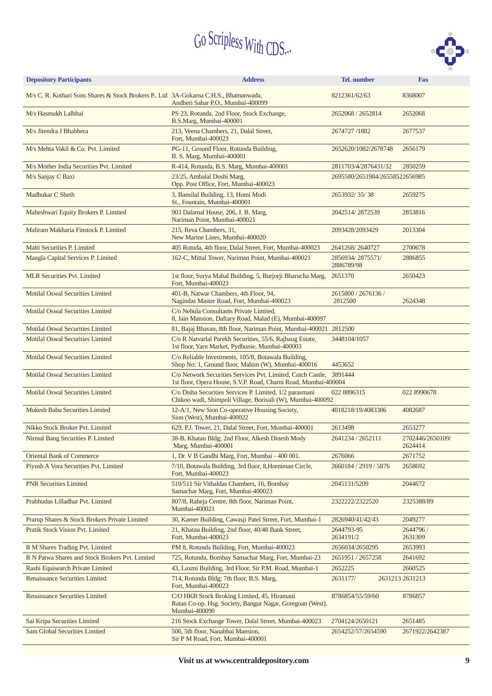

| <b>Depository Participants</b>                                                     | <b>Address</b>                                                                                                                         | <b>Tel.</b> number                    | <b>Fax</b>                  |  |
|------------------------------------------------------------------------------------|----------------------------------------------------------------------------------------------------------------------------------------|---------------------------------------|-----------------------------|--|
| M/s C. R. Kothari Sons Shares & Stock Brokers P Ltd 3A-Gokarna C.H.S., Bhamanwada, | Andheri Sahar P.O., Mumbai-400099                                                                                                      | 8212361/62/63                         | 8368007                     |  |
| M/s Hasmukh Lalbhai                                                                | PS 23, Rotunda, 2nd Floor, Stock Exchange,<br>B.S.Marg, Mumbai-400001                                                                  | 2652068 / 2652814                     | 2652068                     |  |
| M/s Jitendra J Bhabhera                                                            | 213, Veena Chambers, 21, Dalal Street,<br>Fort, Mumbai-400023                                                                          | 2674727/1882                          | 2677537                     |  |
| M/s Mehta Vakil & Co. Pvt. Limited                                                 | PG-11, Ground Floor, Rotunda Building,<br>B. S. Marg, Mumbai-400001                                                                    | 2652620/1082/2678748                  | 2656179                     |  |
| M/s Mother India Securities Pvt. Limited                                           | R-414, Rotunda, B.S. Marg, Mumbai-400001                                                                                               | 2811703/4/2876431/32                  | 2850259                     |  |
| M/s Sanjay C Baxi                                                                  | 23/25, Ambalal Doshi Marg,<br>Opp. Post Office, Fort, Mumbai-400023                                                                    | 2695580/2651984/26558522656985        |                             |  |
| Madhukar C Sheth                                                                   | 3, Bansilal Building, 13, Homi Modi<br>St., Fountain, Mumbai-400001                                                                    | 2653932/35/38                         | 2659275                     |  |
| Maheshwari Equity Brokers P. Limited                                               | 903 Dalamal House, 206, J. B. Marg,<br>Nariman Point, Mumbai-400021                                                                    | 2042514/2872539                       | 2853816                     |  |
| Maliram Makharia Finstock P. Limited                                               | 215, Reva Chambers, 31,<br>New Marine Lines, Mumbai-400020                                                                             | 2093428/2093429                       | 2013304                     |  |
| Malti Securities P. Limited                                                        | 405 Rotuda, 4th floor, Dalal Street, Fort, Mumbai-400023                                                                               | 2641268/2640727                       | 2700678                     |  |
| Mangla Capital Services P. Limited                                                 | 162-C, Mittal Tower, Nariman Point, Mumbai-400021                                                                                      | 2856934/2875571/<br>2886789/98        | 2886855                     |  |
| <b>MLR Securities Pvt. Limited</b>                                                 | 1st floor, Surya Mahal Building, 5, Burjorji Bharucha Marg,<br>Fort, Mumbai-400023                                                     | 2651370                               | 2650423                     |  |
| <b>Motilal Oswal Securities Limited</b>                                            | 401-B, Natwar Chambers, 4th Floor, 94,<br>Nagindas Master Road, Fort, Mumbai-400023                                                    | 2615800 / 2676136 /<br>2812500        | 2624348                     |  |
| <b>Motilal Oswal Securities Limited</b>                                            | C/o Nebula Consultants Private Limited,<br>8, Jain Mansion, Daftary Road, Malad (E), Mumbai-400097                                     |                                       |                             |  |
| <b>Motilal Oswal Securities Limited</b>                                            | 81, Bajaj Bhavan, 8th floor, Nariman Point, Mumbai-400021 2812500                                                                      |                                       |                             |  |
| <b>Motilal Oswal Securities Limited</b>                                            | C/o R Natvarlal Parekh Securities, 55/6, Rajbaug Estate,<br>1st floor, Yarn Market, Pydhunie, Mumbai-400003                            | 3448104/1057                          |                             |  |
| <b>Motilal Oswal Securities Limited</b>                                            | C/o Reliable Investments, 105/8, Botawala Building,<br>Shop No: 1, Ground floor, Mahim (W), Mumbai-400016                              | 4453652                               |                             |  |
| <b>Motilal Oswal Securities Limited</b>                                            | C/o Network Securities Services Pvt. Limited, Cutch Castle, 3891444<br>1st floor, Opera House, S.V.P. Road, Charni Road, Mumbai-400004 |                                       |                             |  |
| <b>Motilal Oswal Securities Limited</b>                                            | C/o Disha Securities Services P. Limited, 1/2 parasmani<br>Chikoo wadi, Shimpoli Village, Borivali (W), Mumbai-400092                  | 022 8896315                           | 022 8990678                 |  |
| <b>Mukesh Babu Securities Limited</b>                                              | 12-A/1, New Sion Co-operative Housing Society,<br>Sion (West), Mumbai-400022                                                           | 4018218/19/4083386                    | 4082687                     |  |
| Nikko Stock Broker Pvt. Limited                                                    | 629, P.J. Tower, 21, Dalal Street, Fort, Mumbai-400001                                                                                 | 2613498                               | 2653277                     |  |
| Nirmal Bang Securities P. Limited                                                  | 38-B, Khatau Bldg; 2nd Floor, Alkesh Dinesh Mody<br>Marg, Mumbai-400001                                                                | 2641234 / 2652111                     | 2702446/2650109/<br>2624414 |  |
| <b>Oriental Bank of Commerce</b>                                                   | 1, Dr. V B Gandhi Marg, Fort, Mumbai - 400 001.                                                                                        | 2676066                               | 2671752                     |  |
| Piyush A Vora Securities Pvt. Limited                                              | 7/10, Botawala Building, 3rd floor, 8, Horniman Circle,<br>Fort, Mumbai-400023                                                         | 2660184 / 2919 / 5876                 | 2658692                     |  |
| <b>PNR Securities Limited</b>                                                      | 510/511 Sir Vithaldas Chambers, 16, Bombay<br>Samachar Marg, Fort, Mumbai-400023                                                       | 2045131/5209                          | 2044672                     |  |
| Prabhudas Lilladhar Pvt. Limited                                                   | 807/8, Raheja Centre, 8th floor, Nariman Point,<br>Mumbai-400021                                                                       | 2322222/2322520                       | 2325388/89                  |  |
| Prarup Shares & Stock Brokers Private Limited                                      | 30, Kamer Building, Cawasji Patel Street, Fort, Mumbai-1                                                                               | 2826940/41/42/43                      | 2049277                     |  |
| Pratik Stock Vision Pvt. Limited                                                   | 21, Khatau Building, 2nd floor, 40/48 Bank Street,<br>Fort, Mumbai-400023                                                              | 2644793-95<br>2634191/2               | 2644796 /<br>2631309        |  |
| R M Shares Trading Pvt. Limited                                                    | PM 8, Rotunda Building, Fort, Mumbai-400023                                                                                            | 2656034/2650295                       | 2653993                     |  |
| R N Patwa Shares and Stock Brokers Pvt. Limited                                    | 725, Rotunda, Bombay Samachar Marg, Fort, Mumbai-23                                                                                    | 2651951 / 2657258                     | 2641692                     |  |
| Rashi Equisearch Private Limited                                                   | 43, Laxmi Building, 3rd Floor, Sir P.M. Road, Mumbai-1                                                                                 | 2652225                               | 2660525                     |  |
| <b>Renaissance Securities Limited</b>                                              | 714, Rotunda Bldg; 7th floor, B.S. Marg,<br>Fort, Mumbai-400023                                                                        | 2631177/                              | 2631213 2631213             |  |
| <b>Renaissance Securities Limited</b>                                              | C/O HKB Stock Broking Limited, 45, Hiramani<br>Ratan Co-op. Hsg. Society, Bangur Nagar, Goregoan (West),<br>Mumbai-400090              | 8786854/55/59/60<br>8786857           |                             |  |
| Sai Kripa Securities Limited                                                       | 216 Stock Exchange Tower, Dalal Street, Mumbai-400023                                                                                  | 2704124/2650121                       | 2651485                     |  |
| Sam Global Securities Limited                                                      | 506, 5th floor, Nanabhai Mansion,<br>Sir P M Road, Fort, Mumbai-400001                                                                 | 2654252/57/2654590<br>2671922/2642387 |                             |  |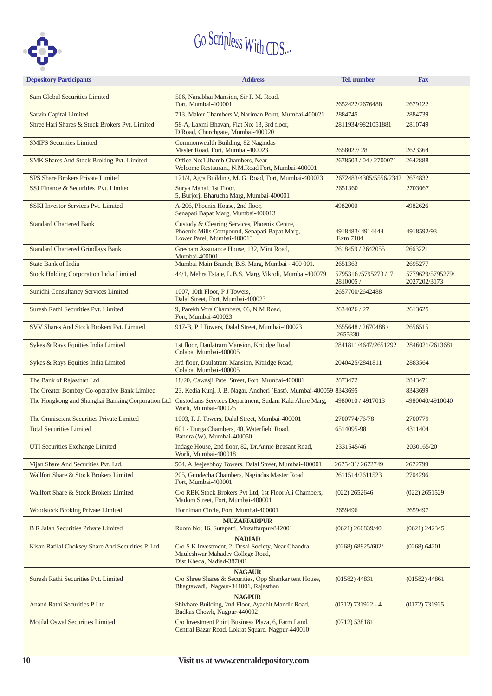

|                                                    | <b>Depository Participants</b>                    | <b>Address</b>                                                                                                                       | Tel. number                            | <b>Fax</b>                       |
|----------------------------------------------------|---------------------------------------------------|--------------------------------------------------------------------------------------------------------------------------------------|----------------------------------------|----------------------------------|
|                                                    | <b>Sam Global Securities Limited</b>              | 506, Nanabhai Mansion, Sir P. M. Road,                                                                                               |                                        |                                  |
|                                                    |                                                   | Fort, Mumbai-400001                                                                                                                  | 2652422/2676488                        | 2679122                          |
|                                                    | <b>Sarvin Capital Limited</b>                     | 713, Maker Chambers V, Nariman Point, Mumbai-400021                                                                                  | 2884745                                | 2884739                          |
|                                                    | Shree Hari Shares & Stock Brokers Pvt. Limited    | 58-A, Laxmi Bhavan, Flat No: 13, 3rd floor,<br>D Road, Churchgate, Mumbai-400020                                                     | 2811934/9821051881                     | 2810749                          |
|                                                    | <b>SMIFS Securities Limited</b>                   | Commonwealth Building, 82 Nagindas<br>Master Road, Fort, Mumbai-400023                                                               | 2658027/28                             | 2623364                          |
|                                                    | SMK Shares And Stock Broking Pvt. Limited         | Office No:1 Jhamb Chambers, Near<br>Welcome Restaurant, N.M.Road Fort, Mumbai-400001                                                 | 2678503 / 04 / 2700071                 | 2642888                          |
|                                                    | <b>SPS Share Brokers Private Limited</b>          | 121/4, Agra Building, M. G. Road, Fort, Mumbai-400023                                                                                | 2672483/4305/5556/2342 2674832         |                                  |
|                                                    | SSJ Finance & Securities Pvt. Limited             | Surya Mahal, 1st Floor,<br>5, Burjorji Bharucha Marg, Mumbai-400001                                                                  | 2651360                                | 2703067                          |
|                                                    | <b>SSKI Investor Services Pvt. Limited</b>        | A-206, Phoenix House, 2nd floor,<br>Senapati Bapat Marg, Mumbai-400013                                                               | 4982000                                | 4982626                          |
|                                                    | <b>Standard Chartered Bank</b>                    | Custody & Clearing Services, Phoenix Centre,<br>Phoenix Mills Compound, Senapati Bapat Marg,<br>Lower Parel, Mumbai-400013           | 4918483/4914444<br>Extn.7104           | 4918592/93                       |
|                                                    | <b>Standard Chartered Grindlays Bank</b>          | Gresham Assurance House, 132, Mint Road,<br>Mumbai-400001                                                                            | 2618459 / 2642055                      | 2663221                          |
|                                                    | <b>State Bank of India</b>                        | Mumbai Main Branch, B.S. Marg, Mumbai - 400 001.                                                                                     | 2651363                                | 2695277                          |
|                                                    | <b>Stock Holding Corporation India Limited</b>    | 44/1, Mehra Estate, L.B.S. Marg, Vikroli, Mumbai-400079                                                                              | 5795316/5795273/7<br>2810005/          | 5779629/5795279/<br>2027202/3173 |
|                                                    | Sunidhi Consultancy Services Limited              | 1007, 10th Floor, P J Towers,<br>Dalal Street, Fort, Mumbai-400023                                                                   | 2657700/2642488                        |                                  |
|                                                    | Suresh Rathi Securities Pvt. Limited              | 9, Parekh Vora Chambers, 66, N M Road,<br>Fort, Mumbai-400023                                                                        | 2634026 / 27                           | 2613625                          |
| SVV Shares And Stock Brokers Pvt. Limited          |                                                   | 917-B, P J Towers, Dalal Street, Mumbai-400023                                                                                       | 2655648 / 2670488 /<br>2655330         | 2656515                          |
| Sykes & Rays Equities India Limited                |                                                   | 1st floor, Daulatram Mansion, Kritidge Road,<br>Colaba, Mumbai-400005                                                                | 2841811/4647/2651292                   | 2846021/2613681                  |
| Sykes & Rays Equities India Limited                |                                                   | 3rd floor, Daulatram Mansion, Kitridge Road,<br>Colaba, Mumbai-400005                                                                | 2040425/2841811                        | 2883564                          |
|                                                    | The Bank of Rajasthan Ltd                         | 18/20, Cawasji Patel Street, Fort, Mumbai-400001                                                                                     | 2873472                                | 2843471                          |
|                                                    | The Greater Bombay Co-operative Bank Limited      | 23, Kedia Kunj, J. B. Nagar, Andheri (East), Mumbai-400059 8343695                                                                   |                                        | 8343699                          |
|                                                    | The Hongkong and Shanghai Banking Corporation Ltd | Custodians Services Department, Sudam Kalu Ahire Marg,<br>Worli, Mumbai-400025                                                       | 4980010 / 4917013                      | 4980040/4910040                  |
|                                                    | The Omniscient Securities Private Limited         | 1003, P. J. Towers, Dalal Street, Mumbai-400001                                                                                      | 2700774/76/78                          | 2700779                          |
|                                                    | <b>Total Securities Limited</b>                   | 601 - Durga Chambers, 40, Waterfield Road,<br>Bandra (W), Mumbai-400050                                                              | 6514095-98                             | 4311404                          |
|                                                    | UTI Securities Exchange Limited                   | Indage House, 2nd floor, 82, Dr.Annie Beasant Road,<br>Worli, Mumbai-400018                                                          | 2331545/46                             | 2030165/20                       |
|                                                    | Vijan Share And Securities Pvt. Ltd.              | 504, A Jeejeebhoy Towers, Dalal Street, Mumbai-400001                                                                                | 2675431/2672749                        | 2672799                          |
|                                                    | Wallfort Share & Stock Brokers Limited            | 205, Gundecha Chambers, Nagindas Master Road,<br>Fort, Mumbai-400001                                                                 | 2611514/2611523                        | 2704296                          |
|                                                    | Wallfort Share & Stock Brokers Limited            | C/o RBK Stock Brokers Pvt Ltd, 1st Floor Ali Chambers,<br>Madom Street, Fort, Mumbai-400001                                          | $(022)$ 2652646                        | $(022)$ 2651529                  |
|                                                    | <b>Woodstock Broking Private Limited</b>          | Horniman Circle, Fort, Mumbai-400001                                                                                                 | 2659496                                | 2659497                          |
|                                                    | <b>B R Jalan Securities Private Limited</b>       | <b>MUZAFFARPUR</b><br>Room No; 16, Sutapatti, Muzaffarpur-842001                                                                     | $(0621)$ 266839/40                     | $(0621)$ 242345                  |
| Kisan Ratilal Choksey Share And Securities P. Ltd. |                                                   | <b>NADIAD</b><br>C/o S K Investment, 2, Desai Society, Near Chandra<br>Mauleshwar Mahadev College Road,<br>Dist Kheda, Nadiad-387001 | (0268) 68925/602/                      | (0268) 64201                     |
|                                                    | Suresh Rathi Securities Pvt. Limited              | <b>NAGAUR</b><br>C/o Shree Shares & Securities, Opp Shankar tent House,<br>$(01582)$ 44831<br>Bhagtawadi, Nagaur-341001, Rajasthan   |                                        | $(01582)$ 44861                  |
|                                                    | Anand Rathi Securities P Ltd                      | <b>NAGPUR</b><br>Shivhare Building, 2nd Floor, Ayachit Mandir Road,<br>Badkas Chowk, Nagpur-440002                                   | $(0712) 731922 - 4$<br>$(0172)$ 731925 |                                  |
| <b>Motilal Oswal Securities Limited</b>            |                                                   | C/o Investment Point Business Plaza, 6, Farm Land,<br>(0712) 538181<br>Central Bazar Road, Lokrat Square, Nagpur-440010              |                                        |                                  |
|                                                    |                                                   |                                                                                                                                      |                                        |                                  |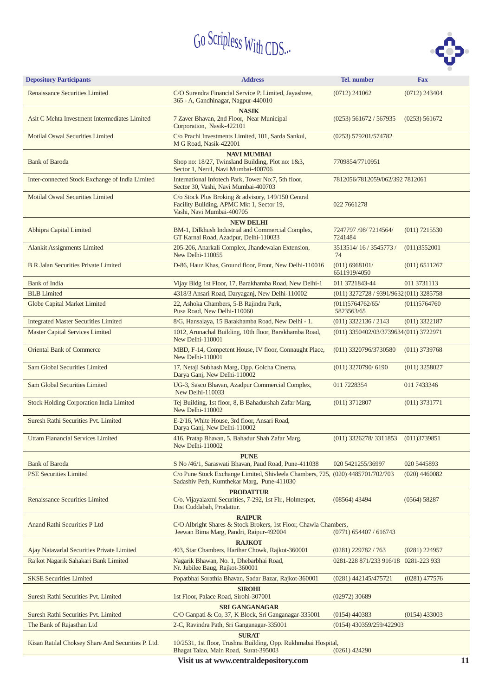

| <b>Address</b>                                                                                                               | Tel. number                                                                                                       | <b>Fax</b>                                                                                                                                                                                                                                                                                                                                                                                                                              |  |
|------------------------------------------------------------------------------------------------------------------------------|-------------------------------------------------------------------------------------------------------------------|-----------------------------------------------------------------------------------------------------------------------------------------------------------------------------------------------------------------------------------------------------------------------------------------------------------------------------------------------------------------------------------------------------------------------------------------|--|
| C/O Surendra Financial Service P. Limited, Jayashree,<br>365 - A, Gandhinagar, Nagpur-440010                                 | $(0712)$ 241062<br>$(0712)$ 243404                                                                                |                                                                                                                                                                                                                                                                                                                                                                                                                                         |  |
| <b>NASIK</b><br>7 Zaver Bhavan, 2nd Floor, Near Municipal<br>Corporation, Nasik-422101                                       | $(0253)$ 561672 / 567935                                                                                          | (0253) 561672                                                                                                                                                                                                                                                                                                                                                                                                                           |  |
| C/o Prachi Investments Limited, 101, Sarda Sankul,<br>M G Road, Nasik-422001                                                 | (0253) 579201/574782                                                                                              |                                                                                                                                                                                                                                                                                                                                                                                                                                         |  |
| <b>NAVI MUMBAI</b><br>Shop no: 18/27, Twinsland Building, Plot no: 1&3,<br>Sector 1, Nerul, Navi Mumbai-400706               | 7709854/7710951                                                                                                   |                                                                                                                                                                                                                                                                                                                                                                                                                                         |  |
| International Infotech Park, Tower No:7, 5th floor,<br>Sector 30, Vashi, Navi Mumbai-400703                                  |                                                                                                                   |                                                                                                                                                                                                                                                                                                                                                                                                                                         |  |
| C/o Stock Plus Broking & advisory, 149/150 Central<br>Facility Building, APMC Mkt 1, Sector 19,<br>Vashi, Navi Mumbai-400705 | 022 7661278                                                                                                       |                                                                                                                                                                                                                                                                                                                                                                                                                                         |  |
| <b>NEW DELHI</b><br>BM-1, Dilkhush Industrial and Commercial Complex,<br>GT Karnal Road, Azadpur, Delhi-110033               | 7247797 /98/ 7214564/<br>7241484                                                                                  | $(011)$ 7215530                                                                                                                                                                                                                                                                                                                                                                                                                         |  |
| 205-206, Anarkali Complex, Jhandewalan Extension,<br>New Delhi-110055                                                        | 3513514/16/3545773/<br>74                                                                                         | (011)3552001                                                                                                                                                                                                                                                                                                                                                                                                                            |  |
| D-86, Hauz Khas, Ground floor, Front, New Delhi-110016                                                                       | (011) 6968101/<br>6511919/4050                                                                                    | $(011)$ 6511267                                                                                                                                                                                                                                                                                                                                                                                                                         |  |
| Vijay Bldg 1st Floor, 17, Barakhamba Road, New Delhi-1                                                                       | 011 3721843-44                                                                                                    | 011 3731113                                                                                                                                                                                                                                                                                                                                                                                                                             |  |
| 4318/3 Ansari Road, Daryaganj, New Delhi-110002                                                                              |                                                                                                                   |                                                                                                                                                                                                                                                                                                                                                                                                                                         |  |
| 22, Ashoka Chambers, 5-B Rajindra Park,<br>Pusa Road, New Delhi-110060                                                       | (011)5764762/65/<br>5823563/65                                                                                    | (011)5764760                                                                                                                                                                                                                                                                                                                                                                                                                            |  |
| 8/G, Hansalaya, 15 Barakhamba Road, New Delhi - 1.                                                                           | $(011)$ 3322136 / 2143                                                                                            | $(011)$ 3322187                                                                                                                                                                                                                                                                                                                                                                                                                         |  |
| 1012, Arunachal Building, 10th floor, Barakhamba Road,<br>New Delhi-110001                                                   |                                                                                                                   |                                                                                                                                                                                                                                                                                                                                                                                                                                         |  |
| MBD, F-14, Competent House, IV floor, Connaught Place,<br>New Delhi-110001                                                   | (011) 3320796/3730580                                                                                             | $(011)$ 3739768                                                                                                                                                                                                                                                                                                                                                                                                                         |  |
| 17, Netaji Subhash Marg, Opp. Golcha Cinema,<br>Darya Ganj, New Delhi-110002                                                 | $(011)$ 3270790/6190                                                                                              | $(011)$ 3258027                                                                                                                                                                                                                                                                                                                                                                                                                         |  |
| UG-3, Sasco Bhavan, Azadpur Commercial Complex,<br>New Delhi-110033                                                          | 011 7228354                                                                                                       | 011 7433346                                                                                                                                                                                                                                                                                                                                                                                                                             |  |
| Tej Building, 1st floor, 8, B Bahadurshah Zafar Marg,<br>New Delhi-110002                                                    | $(011)$ 3712807                                                                                                   | $(011)$ 3731771                                                                                                                                                                                                                                                                                                                                                                                                                         |  |
| E-2/16, White House, 3rd floor, Ansari Road,<br>Darya Ganj, New Delhi-110002                                                 |                                                                                                                   |                                                                                                                                                                                                                                                                                                                                                                                                                                         |  |
| 416, Pratap Bhavan, 5, Bahadur Shah Zafar Marg,<br>New Delhi-110002                                                          |                                                                                                                   |                                                                                                                                                                                                                                                                                                                                                                                                                                         |  |
| <b>PUNE</b><br>S No /46/1, Saraswati Bhavan, Paud Road, Pune-411038                                                          | 020 5421255/36997                                                                                                 | 020 5445893                                                                                                                                                                                                                                                                                                                                                                                                                             |  |
| Sadashiv Peth, Kumthekar Marg, Pune-411030                                                                                   |                                                                                                                   | $(020)$ 4460082                                                                                                                                                                                                                                                                                                                                                                                                                         |  |
| <b>PRODATTUR</b><br>C/o. Vijayalaxmi Securities, 7-292, 1st Flr., Holmespet,<br>Dist Cuddabah, Prodattur.                    | $(08564)$ 43494                                                                                                   | (0564) 58287                                                                                                                                                                                                                                                                                                                                                                                                                            |  |
| <b>RAIPUR</b><br>Jeewan Bima Marg, Pandri, Raipur-492004                                                                     | $(0771)$ 654407 / 616743                                                                                          |                                                                                                                                                                                                                                                                                                                                                                                                                                         |  |
| <b>RAJKOT</b><br>403, Star Chambers, Harihar Chowk, Rajkot-360001                                                            | $(0281)$ 229782 / 763                                                                                             | $(0281)$ 224957                                                                                                                                                                                                                                                                                                                                                                                                                         |  |
| Nagarik Bhawan, No. 1, Dhebarbhai Road,<br>Nr. Jubilee Baug, Rajkot-360001                                                   | 0281-228 871/233 916/18                                                                                           | 0281-223 933                                                                                                                                                                                                                                                                                                                                                                                                                            |  |
| Popatbhai Sorathia Bhavan, Sadar Bazar, Rajkot-360001                                                                        | (0281) 442145/475721                                                                                              | $(0281)$ 477576                                                                                                                                                                                                                                                                                                                                                                                                                         |  |
| <b>SIROHI</b><br>1st Floor, Palace Road, Sirohi-307001                                                                       | $(02972)$ 30689                                                                                                   |                                                                                                                                                                                                                                                                                                                                                                                                                                         |  |
| <b>SRI GANGANAGAR</b>                                                                                                        |                                                                                                                   |                                                                                                                                                                                                                                                                                                                                                                                                                                         |  |
|                                                                                                                              |                                                                                                                   | $(0154)$ 433003                                                                                                                                                                                                                                                                                                                                                                                                                         |  |
|                                                                                                                              |                                                                                                                   |                                                                                                                                                                                                                                                                                                                                                                                                                                         |  |
| Bhagat Talao, Main Road, Surat-395003                                                                                        | $(0261)$ 424290                                                                                                   |                                                                                                                                                                                                                                                                                                                                                                                                                                         |  |
|                                                                                                                              | C/O Ganpati & Co, 37, K Block, Sri Ganganagar-335001<br>2-C, Ravindra Path, Sri Ganganagar-335001<br><b>SURAT</b> | 7812056/7812059/062/392 7812061<br>(011) 3272728 / 9391/9632 (011) 3285758<br>(011) 3350402/03/3739634 (011) 3722971<br>$(011)$ 3326278/3311853 $(011)$ 3739851<br>C/o Pune Stock Exchange Limited, Shivleela Chambers, 725, (020) 4485701/702/703<br>C/O Albright Shares & Stock Brokers, 1st Floor, Chawla Chambers,<br>$(0154)$ 440383<br>(0154) 430359/259/422903<br>10/2531, 1st floor, Trushna Building, Opp. Rukhmabai Hospital, |  |

**Visit us at www.centraldepository.com**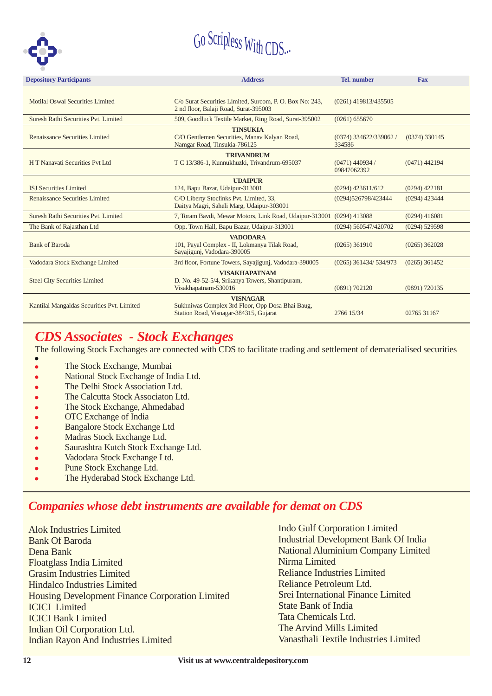

| <b>Depository Participants</b>             | <b>Address</b>                                                                             | <b>Tel.</b> number                |                 |  |
|--------------------------------------------|--------------------------------------------------------------------------------------------|-----------------------------------|-----------------|--|
| Motilal Oswal Securities Limited           | C/o Surat Securities Limited, Surcom, P. O. Box No: 243,                                   | (0261) 419813/435505              |                 |  |
|                                            | 2 nd floor, Balaji Road, Surat-395003                                                      |                                   |                 |  |
| Suresh Rathi Securities Pvt. Limited       | 509, Goodluck Textile Market, Ring Road, Surat-395002                                      | (0261) 655670                     |                 |  |
|                                            | <b>TINSUKIA</b>                                                                            |                                   |                 |  |
| Renaissance Securities Limited             | C/O Gentlemen Securities, Manav Kalyan Road,<br>Namgar Road, Tinsukia-786125               | $(0374)$ 334622/339062/<br>334586 | $(0374)$ 330145 |  |
|                                            | <b>TRIVANDRUM</b>                                                                          |                                   |                 |  |
| H T Nanavati Securities Pvt Ltd            | T C 13/386-1, Kunnukhuzki, Trivandrum-695037                                               | $(0471)$ 440934 /<br>09847062392  | (0471) 442194   |  |
|                                            | <b>UDAIPUR</b>                                                                             |                                   |                 |  |
| <b>ISJ</b> Securities Limited              | 124, Bapu Bazar, Udaipur-313001                                                            | $(0294)$ 423611/612               | $(0294)$ 422181 |  |
| Renaissance Securities Limited             | C/O Liberty Stoclinks Pvt. Limited, 33,<br>Daitya Magri, Saheli Marg, Udaipur-303001       | (0294)526798/423444               | $(0294)$ 423444 |  |
| Suresh Rathi Securities Pvt. Limited       | 7, Toram Bavdi, Mewar Motors, Link Road, Udaipur-313001 (0294) 413088                      |                                   | $(0294)$ 416081 |  |
| The Bank of Rajasthan Ltd                  | Opp. Town Hall, Bapu Bazar, Udaipur-313001                                                 | (0294) 560547/420702              | $(0294)$ 529598 |  |
|                                            | <b>VADODARA</b>                                                                            |                                   |                 |  |
| <b>Bank of Baroda</b>                      | 101, Payal Complex - II, Lokmanya Tilak Road,<br>Sayajigunj, Vadodara-390005               | $(0265)$ 361910                   | $(0265)$ 362028 |  |
| Vadodara Stock Exchange Limited            | 3rd floor, Fortune Towers, Sayajigunj, Vadodara-390005                                     | (0265) 361434/ 534/973            | $(0265)$ 361452 |  |
|                                            | <b>VISAKHAPATNAM</b>                                                                       |                                   |                 |  |
| <b>Steel City Securities Limited</b>       | D. No. 49-52-5/4, Srikanya Towers, Shantipuram,<br>Visakhapatnam-530016                    | (0891) 702120                     | $(0891)$ 720135 |  |
|                                            | <b>VISNAGAR</b>                                                                            |                                   |                 |  |
| Kantilal Mangaldas Securities Pvt. Limited | Sukhniwas Complex 3rd Floor, Opp Dosa Bhai Baug,<br>Station Road, Visnagar-384315, Gujarat | 2766 15/34                        | 02765 31167     |  |

#### *CDS Associates - Stock Exchanges*

The following Stock Exchanges are connected with CDS to facilitate trading and settlement of dematerialised securities

- .<br>• The Stock Exchange, Mumbai
- $\bullet$ National Stock Exchange of India Ltd.
- $\bullet$ The Delhi Stock Association Ltd.
- $\bullet$ The Calcutta Stock Associaton Ltd.
- $\bullet$ The Stock Exchange, Ahmedabad
- . OTC Exchange of India
- $\bullet$ Bangalore Stock Exchange Ltd
- $\bullet$ Madras Stock Exchange Ltd.
- $\bullet$ Saurashtra Kutch Stock Exchange Ltd.
- $\bullet$ Vadodara Stock Exchange Ltd.
- .<br>• Pune Stock Exchange Ltd.
- .<br>• The Hyderabad Stock Exchange Ltd.

#### *Companies whose debt instruments are available for demat on CDS*

Alok Industries Limited Bank Of Baroda Dena Bank Floatglass India Limited Grasim Industries Limited Hindalco Industries Limited Housing Development Finance Corporation Limited ICICI Limited ICICI Bank Limited Indian Oil Corporation Ltd. Indian Rayon And Industries Limited

Indo Gulf Corporation Limited Industrial Development Bank Of India National Aluminium Company Limited Nirma Limited Reliance Industries Limited Reliance Petroleum Ltd. Srei International Finance Limited State Bank of India Tata Chemicals Ltd. The Arvind Mills Limited Vanasthali Textile Industries Limited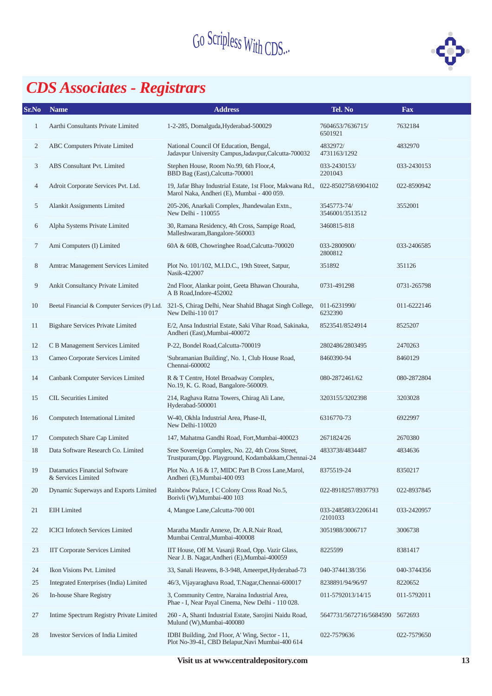

## *CDS Associates - Registrars*

| Sr.No          | <b>Name</b>                                         | <b>Address</b>                                                                                                            | Tel. No                         | Fax         |
|----------------|-----------------------------------------------------|---------------------------------------------------------------------------------------------------------------------------|---------------------------------|-------------|
| 1              | Aarthi Consultants Private Limited                  | 1-2-285, Domalguda, Hyderabad-500029                                                                                      | 7604653/7636715/<br>6501921     | 7632184     |
| $\overline{c}$ | <b>ABC Computers Private Limited</b>                | National Council Of Education, Bengal,<br>Jadavpur University Campus, Jadavpur, Calcutta-700032                           |                                 | 4832970     |
| 3              | ABS Consultant Pvt. Limited                         | Stephen House, Room No.99, 6th Floor, 4,<br>BBD Bag (East), Calcutta-700001                                               | 033-2430153/<br>2201043         | 033-2430153 |
| 4              | Adroit Corporate Services Pvt. Ltd.                 | 19, Jafar Bhay Industrial Estate, 1st Floor, Makwana Rd.,<br>Marol Naka, Andheri (E), Mumbai - 400 059.                   | 022-8502758/6904102             | 022-8590942 |
| 5              | Alankit Assignments Limited                         | 205-206, Anarkali Complex, Jhandewalan Extn.,<br>New Delhi - 110055                                                       | 3545773-74/<br>3546001/3513512  | 3552001     |
| 6              | Alpha Systems Private Limited                       | 30, Ramana Residency, 4th Cross, Sampige Road,<br>Malleshwaram, Bangalore-560003                                          | 3460815-818                     |             |
| 7              | Ami Computers (I) Limited                           | 60A & 60B, Chowringhee Road, Calcutta-700020                                                                              | 033-2800900/<br>2800812         | 033-2406585 |
| 8              | Amtrac Management Services Limited                  | Plot No. 101/102, M.I.D.C., 19th Street, Satpur,<br>Nasik-422007                                                          | 351892                          | 351126      |
| 9              | Ankit Consultancy Private Limited                   | 2nd Floor, Alankar point, Geeta Bhawan Chouraha,<br>A B Road, Indore-452002                                               | 0731-491298                     | 0731-265798 |
| 10             |                                                     | Beetal Financial & Computer Services (P) Ltd. 321-S, Chirag Delhi, Near Shahid Bhagat Singh College,<br>New Delhi-110 017 | 011-6231990/<br>6232390         | 011-6222146 |
| 11             | <b>Bigshare Services Private Limited</b>            | E/2, Ansa Industrial Estate, Saki Vihar Road, Sakinaka,<br>8523541/8524914<br>Andheri (East), Mumbai-400072               |                                 | 8525207     |
| 12             | C B Management Services Limited                     | P-22, Bondel Road, Calcutta-700019<br>2802486/2803495                                                                     |                                 | 2470263     |
| 13             | Cameo Corporate Services Limited                    | 'Subramanian Building', No. 1, Club House Road,<br>8460390-94<br>Chennai-600002                                           |                                 | 8460129     |
| 14             | Canbank Computer Services Limited                   | R & T Centre, Hotel Broadway Complex,<br>No.19, K. G. Road, Bangalore-560009.                                             | 080-2872461/62                  | 080-2872804 |
| 15             | <b>CIL Securities Limited</b>                       | 214, Raghava Ratna Towers, Chirag Ali Lane,<br>Hyderabad-500001                                                           | 3203155/3202398                 | 3203028     |
| 16             | Computech International Limited                     | W-40, Okhla Industrial Area, Phase-II,<br>New Delhi-110020                                                                | 6316770-73                      | 6922997     |
| 17             | Computech Share Cap Limited                         | 147, Mahatma Gandhi Road, Fort, Mumbai-400023                                                                             | 2671824/26                      | 2670380     |
| 18             | Data Software Research Co. Limited                  | Sree Sovereign Complex, No. 22, 4th Cross Street,<br>Trustpuram, Opp. Playground, Kodambakkam, Chennai-24                 | 4833738/4834487                 | 4834636     |
|                | Datamatics Financial Software<br>& Services Limited | Plot No. A 16 & 17, MIDC Part B Cross Lane, Marol,<br>Andheri (E), Mumbai-400 093                                         | 8375519-24                      | 8350217     |
| 20             | Dynamic Superways and Exports Limited               | Rainbow Palace, I C Colony Cross Road No.5,<br>Borivli (W), Mumbai-400 103                                                | 022-8918257/8937793             | 022-8937845 |
| 21             | <b>EIH</b> Limited                                  | 4, Mangoe Lane, Calcutta-700 001                                                                                          | 033-2485883/2206141<br>/2101033 | 033-2420957 |
| 22             | <b>ICICI</b> Infotech Services Limited              | Maratha Mandir Annexe, Dr. A.R.Nair Road,<br>Mumbai Central, Mumbai-400008                                                | 3051988/3006717                 | 3006738     |
| 23             | <b>IIT Corporate Services Limited</b>               | IIT House, Off M. Vasanji Road, Opp. Vazir Glass,<br>Near J. B. Nagar, Andheri (E), Mumbai-400059                         | 8225599                         | 8381417     |
| 24             | Ikon Visions Pvt. Limited                           | 33, Sanali Heavens, 8-3-948, Ameerpet, Hyderabad-73                                                                       | 040-3744138/356                 | 040-3744356 |
| 25             | Integrated Enterprises (India) Limited              | 46/3, Vijayaraghava Road, T.Nagar, Chennai-600017                                                                         | 8238891/94/96/97                | 8220652     |
| 26             | In-house Share Registry                             | 3, Community Centre, Naraina Industrial Area,<br>Phae - I, Near Payal Cinema, New Delhi - 110 028.                        | 011-5792013/14/15               | 011-5792011 |
| 27             | Intime Spectrum Registry Private Limited            | 260 - A, Shanti Industrial Estate, Sarojini Naidu Road,<br>Mulund (W), Mumbai-400080                                      | 5647731/5672716/5684590         | 5672693     |
| 28             | <b>Investor Services of India Limited</b>           | IDBI Building, 2nd Floor, A' Wing, Sector - 11,<br>Plot No-39-41, CBD Belapur, Navi Mumbai-400 614                        | 022-7579636                     | 022-7579650 |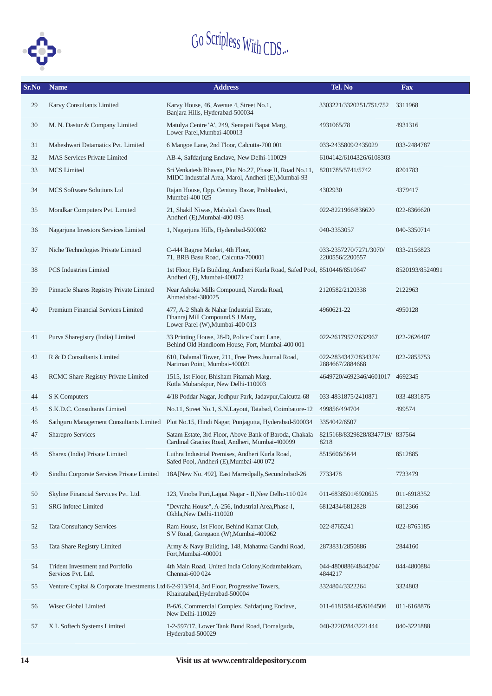

| Sr.No | <b>Name</b><br><b>Address</b>                                                           |                                                                                                                               | Tel. No                                   | <b>Fax</b>      |
|-------|-----------------------------------------------------------------------------------------|-------------------------------------------------------------------------------------------------------------------------------|-------------------------------------------|-----------------|
| 29    | Karvy Consultants Limited                                                               | Karvy House, 46, Avenue 4, Street No.1,<br>3303221/3320251/751/752<br>Banjara Hills, Hyderabad-500034                         |                                           | 3311968         |
| 30    | M. N. Dastur & Company Limited                                                          | Matulya Centre 'A', 249, Senapati Bapat Marg,<br>Lower Parel.Mumbai-400013                                                    | 4931065/78                                | 4931316         |
| 31    | Maheshwari Datamatics Pvt. Limited                                                      | 6 Mangoe Lane, 2nd Floor, Calcutta-700 001                                                                                    | 033-2435809/2435029                       | 033-2484787     |
| 32    | <b>MAS Services Private Limited</b>                                                     | AB-4, Safdarjung Enclave, New Delhi-110029                                                                                    | 6104142/6104326/6108303                   |                 |
| 33    | <b>MCS</b> Limited                                                                      | Sri Venkatesh Bhavan, Plot No.27, Phase II, Road No.11,<br>MIDC Industrial Area, Marol, Andheri (E), Mumbai-93                | 8201785/5741/5742                         | 8201783         |
| 34    | <b>MCS Software Solutions Ltd</b>                                                       | Rajan House, Opp. Century Bazar, Prabhadevi,<br>Mumbai-400 025                                                                | 4302930                                   | 4379417         |
| 35    | Mondkar Computers Pvt. Limited                                                          | 21, Shakil Niwas, Mahakali Caves Road,<br>Andheri (E), Mumbai-400 093                                                         | 022-8221966/836620                        | 022-8366620     |
| 36    | Nagarjuna Investors Services Limited                                                    | 1, Nagarjuna Hills, Hyderabad-500082                                                                                          | 040-3353057                               | 040-3350714     |
| 37    | Niche Technologies Private Limited                                                      | C-444 Bagree Market, 4th Floor,<br>71, BRB Basu Road, Calcutta-700001                                                         | 033-2357270/7271/3070/<br>2200556/2200557 | 033-2156823     |
| 38    | <b>PCS</b> Industries Limited                                                           | 1st Floor, Hyfa Building, Andheri Kurla Road, Safed Pool, 8510446/8510647<br>Andheri (E), Mumbai-400072                       |                                           | 8520193/8524091 |
| 39    | Pinnacle Shares Registry Private Limited                                                | Near Ashoka Mills Compound, Naroda Road,<br>Ahmedabad-380025                                                                  | 2120582/2120338                           | 2122963         |
| 40    | Premium Financial Services Limited                                                      | 477, A-2 Shah & Nahar Industrial Estate,<br>4960621-22<br>Dhanraj Mill Compound, S J Marg,<br>Lower Parel (W), Mumbai-400 013 |                                           | 4950128         |
| 41    | Purva Sharegistry (India) Limited                                                       | 33 Printing House, 28-D, Police Court Lane,<br>Behind Old Handloom House, Fort, Mumbai-400 001                                | 022-2617957/2632967                       | 022-2626407     |
| 42    | R & D Consultants Limited                                                               | 610, Dalamal Tower, 211, Free Press Journal Road,<br>Nariman Point, Mumbai-400021                                             | 022-2834347/2834374/<br>2884667/2884668   | 022-2855753     |
| 43    | RCMC Share Registry Private Limited                                                     | 1515, 1st Floor, Bhisham Pitamah Marg,<br>4649720/4692346/4601017<br>Kotla Mubarakpur, New Delhi-110003                       |                                           | 4692345         |
| 44    | S K Computers                                                                           | 4/18 Poddar Nagar, Jodhpur Park, Jadavpur, Calcutta-68                                                                        | 033-4831875/2410871                       | 033-4831875     |
| 45    | S.K.D.C. Consultants Limited                                                            | No.11, Street No.1, S.N.Layout, Tatabad, Coimbatore-12                                                                        | 499856/494704                             | 499574          |
| 46    | Sathguru Management Consultants Limited                                                 | Plot No.15, Hindi Nagar, Punjagutta, Hyderabad-500034                                                                         | 3354042/6507                              |                 |
| 47    | Sharepro Services                                                                       | Satam Estate, 3rd Floor, Above Bank of Baroda, Chakala<br>Cardinal Gracias Road, Andheri, Mumbai-400099                       | 8215168/8329828/8347719/837564<br>8218    |                 |
| 48    | Sharex (India) Private Limited                                                          | Luthra Industrial Premises, Andheri Kurla Road,<br>Safed Pool, Andheri (E), Mumbai-400 072                                    | 8515606/5644                              | 8512885         |
| 49    | Sindhu Corporate Services Private Limited                                               | 18A[New No. 492], East Marredpally, Secundrabad-26                                                                            | 7733478                                   | 7733479         |
| 50    | Skyline Financial Services Pvt. Ltd.                                                    | 123, Vinoba Puri, Lajpat Nagar - II, New Delhi-110 024                                                                        | 011-6838501/6920625                       | 011-6918352     |
| 51    | SRG Infotec Limited                                                                     | "Devraha House", A-256, Industrial Area, Phase-I,<br>Okhla, New Delhi-110020                                                  | 6812434/6812828                           | 6812366         |
| 52    | <b>Tata Consultancy Services</b>                                                        | Ram House, 1st Floor, Behind Kamat Club,<br>S V Road, Goregaon (W), Mumbai-400062                                             | 022-8765241                               | 022-8765185     |
| 53    | Tata Share Registry Limited                                                             | Army & Navy Building, 148, Mahatma Gandhi Road,<br>Fort.Mumbai-400001                                                         | 2873831/2850886                           | 2844160         |
| 54    | Trident Investment and Portfolio<br>Services Pvt. Ltd.                                  | 4th Main Road, United India Colony, Kodambakkam,<br>Chennai-600 024                                                           | 044-4800886/4844204/<br>4844217           | 044-4800884     |
| 55    | Venture Capital & Corporate Investments Ltd 6-2-913/914, 3rd Floor, Progressive Towers, | Khairatabad, Hyderabad-500004                                                                                                 | 3324804/3322264                           | 3324803         |
| 56    | Wisec Global Limited                                                                    | B-6/6, Commercial Complex, Safdarjung Enclave,<br>New Delhi-110029                                                            | 011-6181584-85/6164506                    | 011-6168876     |
| 57    | X L Softech Systems Limited                                                             | 1-2-597/17, Lower Tank Bund Road, Domalguda,<br>Hyderabad-500029                                                              | 040-3220284/3221444                       | 040-3221888     |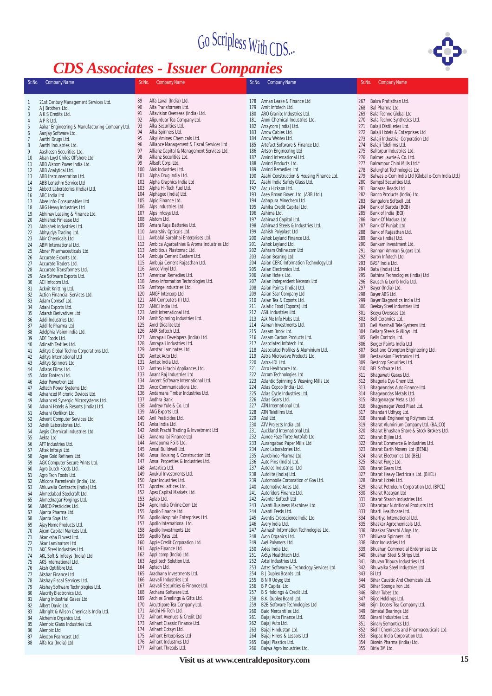### *CDS Associates - Issuer Companies*



| Sr.No.         | <b>Company Name</b>                                             | Sr.No.     | $CDD$ <i>Tropociates - Issaer Companies</i><br><b>Company Name</b> | Sr.No.     | <b>Company Name</b>                                             | Sr.No.     | <b>Company Name</b>                                                |
|----------------|-----------------------------------------------------------------|------------|--------------------------------------------------------------------|------------|-----------------------------------------------------------------|------------|--------------------------------------------------------------------|
| 1              | 21st Century Management Services Ltd.                           | 89         | Alfa Laval (India) Ltd.                                            | 178        | Arman Lease & Finance Ltd                                       | 267        | Bakra Pratisthan Ltd.                                              |
| $\overline{2}$ | A J Brothers Ltd.                                               | 90         | Alfa Transformers Ltd.                                             | 179        | Arnit Infotech Ltd.                                             | 268        | Bal Pharma Ltd.                                                    |
| 3              | A K S Credits Ltd.                                              | 91         | Alfavision Overseas (India) Ltd.                                   | 180        | ARO Granite Industries Ltd.                                     | 269        | Bala Techno Global Ltd                                             |
| $\overline{4}$ | A P R Ltd.                                                      | 92<br>93   | Alipurduar Tea Company Ltd.<br>Alka Securities Ltd.                | 181<br>182 | Aroni Chemical Industries Ltd.                                  | 270        | Bala Techno Synthetics Ltd.                                        |
| 5              | Aakar Engineering & Manufacturing Company Ltd.                  | 94         | Alka Spinners Ltd.                                                 | 183        | Arraycom (India) Ltd.<br>Arrow Cables Ltd.                      | 271<br>272 | Balaji Distilleries Ltd.<br>Balaji Hotels & Enterprises Ltd        |
| 6<br>7         | Aanjay Software Ltd.<br>Aarthi Drugs Ltd.                       | 95         | Alkyl Amines Chemicals Ltd.                                        | 184        | Arrow Webtex Ltd.                                               | 273        | Balaji Industrial Corporation Ltd                                  |
| $\, 8$         | Aarthi Industries Ltd.                                          | 96         | Alliance Management & Fiscal Services Ltd                          | 185        | Artefact Software & Finance Ltd.                                | 274        | Balaji Telefilms Ltd.                                              |
| 9              | Aasheesh Securities Ltd.                                        | 97         | Allianz Capital & Management Services Ltd.                         | 186        | Artson Engineering Ltd                                          | 275        | Ballarpur Industries Ltd.                                          |
| 10             | Aban Loyd Chiles Offshore Ltd.                                  | 98         | Allianz Securities Ltd.                                            | 187        | Arvind International Ltd.                                       | 276        | Balmer Lawrie & Co. Ltd.                                           |
| 11             | ABB Alstom Power India Ltd.                                     | 99         | Allsoft Corp. Ltd.                                                 | 188        | Arvind Products Ltd.                                            | 277        | Balrampur Chini Mills Ltd.*                                        |
| 12             | ABB Analytical Ltd.                                             | 100        | Alok Industries Ltd.                                               | 189        | Arvind Remedies Ltd                                             | 278        | Balurghat Technologies Ltd                                         |
| 13             | ABB Instrumentation Ltd.                                        | 101        | Alpha Drug India Ltd.                                              | 190        | Asahi Construction & Housing Finance Ltd.                       | 279        | Balwas e-Com India Ltd (Global e-Com India Ltd.)                   |
| 14             | ABB Lenzohm Service Ltd                                         | 102        | Alpha Graphics India Ltd                                           | 191        | Asahi India Safety Glass Ltd.                                   | 280        | Bampsl Securities Ltd.                                             |
| 15             | Abbott Laboratories (India) Ltd.                                | 103        | Alpha Hi-Tech Fuel Ltd.                                            | 192        | Ascu Hickson Ltd.                                               | 281        | Banaras Beads Ltd                                                  |
| 16             | ABC India Ltd                                                   | 104<br>105 | Alphageo (India) Ltd.<br>Alpic Finance Ltd.                        | 193<br>194 | Asea Brown Boveri Ltd. (ABB Ltd.)<br>Ashapura Minechem Ltd.     | 282<br>283 | Banco Products (India) Ltd.<br>Bangalore Softsell Ltd.             |
| 17<br>18       | Abee Info-Consumables Ltd<br>ABG Heavy Industries Ltd           | 106        | Alps Industries Ltd                                                | 195        | Ashika Credit Capital Ltd.                                      | 284        | Bank of Baroda (BOB)                                               |
| 19             | Abhinav Leasing & Finance Ltd.                                  | 107        | Alps Infosys Ltd.                                                  | 196        | Ashima Ltd.                                                     | 285        | Bank of India (BOI)                                                |
| 20             | Abhishek Finlease Ltd                                           | 108        | Alstom Ltd.                                                        | 197        | Ashirwad Capital Ltd.                                           | 286        | Bank Of Madura Ltd                                                 |
| 21             | Abhishek Industries Ltd.                                        | 109        | Amara Raja Batteries Ltd.                                          | 198        | Ashirwad Steels & Industries Ltd.                               | 287        | Bank Of Punjab Ltd.                                                |
| 22             | Abhyudya Trading Ltd.                                           | 110        | Amarshiv Opticals Ltd.                                             | 199        | Ashish Polyplast Ltd                                            | 288        | Bank of Rajasthan Ltd.                                             |
| 23             | Abir Chemicals Ltd                                              | 111        | Ambalal Sarabhai Enterprises Ltd.                                  | 200        | Ashok Leyland Finance Ltd.                                      | 289        | Banka (India) Ltd.                                                 |
| 24             | ABM International Ltd.                                          | 112        | Ambica Agarbathies & Aroma Industries Ltd                          | 201        | Ashok Leyland Ltd.                                              | 290        | Bankam Investment Ltd.                                             |
| 25             | Abner Pharmaceuticals Ltd.                                      | 113        | Ambitious Plastomac Ltd.                                           | 202        | Ashram Online.com Ltd                                           | 291        | Bannari Amman Sugars Ltd.                                          |
| 26             | Accurate Exports Ltd.                                           | 114        | Ambuja Cement Eastern Ltd.                                         | 203        | Asian Bearing Ltd.                                              | 292        | Baron Infotech Ltd.                                                |
| 27             | Accurate Traders Ltd.                                           | 115<br>116 | Ambuja Cement Rajasthan Ltd.<br>Amco Vinyl Ltd.                    | 204<br>205 | Asian CERC Information Technology Ltd<br>Asian Electronics Ltd. | 293<br>294 | BASF India Ltd.<br>Bata (India) Ltd.                               |
| 28<br>29       | Accurate Transformers Ltd.<br>Ace Software Exports Ltd.         | 117        | American Remedies Ltd.                                             | 206        | Asian Hotels Ltd.                                               | 295        | Bathina Technologies (India) Ltd                                   |
| 30             | ACI Infocom Ltd.                                                | 118        | Amex Information Technologies Ltd.                                 | 207        | Asian Independent Network Ltd                                   | 296        | Bausch & Lomb India Ltd.                                           |
| 31             | Acknit Knitting Ltd.                                            | 119        | Amforge Industries Ltd.                                            | 208        | Asian Paints (India) Ltd.                                       | 297        | Bayer (India) Ltd.                                                 |
| 32             | Action Financial Services Ltd.                                  | 120        | AMGF Intercorp Ltd                                                 | 209        | Asian Star Company Ltd                                          | 298        | Bayer ABS Ltd.                                                     |
| 33             | Adam Comsof Ltd.                                                | 121        | AMI Computers (I) Ltd.                                             | 210        | Asian Tea & Exports Ltd.                                        | 299        | Bayer Diagnostics India Ltd                                        |
| 34             | Adani Exports Ltd.                                              | 122        | AMICI India Ltd.                                                   | 211        | Asiatic Food (Exports) Ltd                                      | 300        | Beekay Steel Industries Ltd                                        |
| 35             | Adarsh Derivatives Ltd                                          | 123        | Amit International Ltd.                                            | 212        | ASIL Industries Ltd.                                            | 301        | Beeyu Overseas Ltd.                                                |
| 36             | Addi Industries Ltd.                                            | 124        | Amit Spinning Industries Ltd.                                      | 213        | Ask Me Info Hubs Ltd.                                           | 302        | Bell Ceramics Ltd.                                                 |
| 37             | Addlife Pharma Ltd                                              | 125        | Amol Dicalite Ltd                                                  | 214        | Asman Investments Ltd.                                          | 303        | Bell Marshall Tele Systems Ltd.                                    |
| 38             | Adelphia Vision India Ltd.                                      | 126        | AMR Softech Ltd.                                                   | 215<br>216 | Assam Brook Ltd.<br>Assam Carbon Products Ltd.                  | 304        | Bellary Steels & Alloys Ltd.                                       |
| 39<br>40       | ADF Foods Ltd.                                                  | 127<br>128 | Amrapali Developers (India) Ltd.<br>Amrapali Industries Ltd.       | 217        | Associated Infotech Ltd.                                        | 305<br>306 | Bells Controls Ltd.<br>Berger Paints India Ltd                     |
| 41             | Adinath Textiles Ltd.<br>Aditya Global Techno Corporations Ltd. | 129        | Amstar Laminates Ltd.                                              | 218        | Associated Profiles & Aluminium Ltd.                            | 307        | Best and Crompton Engineering Ltd.                                 |
| 42             | Aditya International Ltd                                        | 130        | Amtek Auto Ltd.                                                    | 219        | Astra Microwave Products Ltd.                                   | 308        | Bestavision Electronics Ltd.                                       |
| 43             | Aditya Spinners Ltd.                                            | 131        | Amtek India Ltd.                                                   | 220        | Astra-IDL Ltd.                                                  | 309        | Bestcorp Securities Ltd.                                           |
| 44             | Adlabs Films Ltd.                                               | 132        | Amtrex Hitachi Appliances Ltd.                                     | 221        | Atco Healthcare Ltd.                                            | 310        | BFL Software Ltd.                                                  |
| 45             | Ador Fontech Ltd.                                               | 133        | Anant Raj Industries Ltd                                           | 222        | Atcom Technologies Ltd                                          | 311        | Bhagawati Gases Ltd.                                               |
| 46             | Ador Powertron Ltd.                                             | 134        | Ancent Software International Ltd.                                 | 223        | Atlantic Spinning & Weaving Mills Ltd                           | 312        | Bhageria Dye-Chem Ltd.                                             |
| 47             | Adtech Power Systems Ltd                                        | 135        | Anco Communications Ltd.                                           | 224        | Atlas Copco (India) Ltd.                                        | 313        | Bhagwandas Auto Finance Ltd.                                       |
| 48             | Advanced Micronic Devices Ltd.                                  | 136        | Andamans Timber Industries Ltd.                                    | 225        | Atlas Cycle Industries Ltd.                                     | 314        | Bhagwandas Metals Ltd.                                             |
| 49             | Advanced Synergic Microsystems Ltd.                             | 137        | Andhra Bank                                                        | 226        | Atlas Gears Ltd.                                                | 315        | Bhagyanagar Metals Ltd                                             |
| 50             | Advani Hotels & Resorts (India) Ltd.                            | 138<br>139 | Andrew Yule & Co. Ltd<br>ANG Exports Ltd.                          | 227<br>228 | ATN International Ltd.<br>ATN Telefilms Ltd.                    | 316        | Bhagyanagar Wood Plast Ltd.<br>Bhandari Udhyog Ltd.                |
| 51<br>52       | Advani Oerlikon Ltd.<br>Advent Computer Services Ltd.           | 140        | Anil Pesticides Ltd.                                               | 229        | Atul Ltd.                                                       | 317<br>318 | Bhansali Engineering Polymers Ltd.                                 |
| 53             | Advik Laboratories Ltd.                                         | 141        | Anka India Ltd.                                                    | 230        | ATV Projects India Ltd.                                         | 319        | Bharat Aluminium Company Ltd. (BALCO)                              |
| 54             | Aegis Chemical Industries Ltd                                   | 142        | Ankit Prachi Trading & Investment Ltd                              | 231        | Auckland International Ltd.                                     | 320        | Bharat Bhushan Share & Stock Brokers Ltd.                          |
| 55             | Aekta Ltd                                                       | 143        | Annamallai Finance Ltd                                             | 232        | Aunde Faze Three Autofab Ltd.                                   | 321        | Bharat Bijlee Ltd.                                                 |
| 56             | AFT Industries Ltd.                                             | 144        | Annapurna Foils Ltd.                                               | 233        | Aurangabad Paper Mills Ltd                                      | 322        | Bharat Commerce & Industries Ltd.                                  |
| 57             | Aftek Infosys Ltd.                                              | 145        | Ansal Buildwell Ltd.                                               | 234        | Auro Laboratories Ltd.                                          | 323        | Bharat Earth Movers Ltd (BEML)                                     |
| 58             | Agee Gold Refiners Ltd.                                         | 146        | Ansal Housing & Construction Ltd.                                  | 235        | Aurobindo Pharma Ltd.                                           | 324        | <b>Bharat Electronics Ltd (BEL)</b>                                |
| 59             | AGK Computer Secure Prints Ltd.                                 | 147        | Ansal Properties & Industries Ltd.                                 | 236        | Auto Pins (India) Ltd.                                          | 325        | Bharat Forge Ltd.                                                  |
| 60             | Agro Dutch Foods Ltd.                                           | 148        | Antartica Ltd.                                                     | 237        | Autolec Industries Ltd                                          | 326        | Bharat Gears Ltd.                                                  |
| 61<br>62       | Agro Tech Foods Ltd.<br>Ahlcons Parenterals (India) Ltd.        | 149<br>150 | Anukul Investments Ltd.<br>Apar Industries Ltd.                    | 238<br>239 | Autolite (India) Ltd.<br>Automobile Corporation of Goa Ltd.     | 327<br>328 | Bharat Heavy Electricals Ltd. (BHEL)<br>Bharat Hotels Ltd.         |
| 63             | Ahluwalia Contracts (India) Ltd.                                | 151        | Apcotex Lattices Ltd.                                              | 240        | Automotive Axles Ltd.                                           | 329        | Bharat Petroleum Corporation Ltd. (BPCL)                           |
| 64             | Ahmedabad Steelcraft Ltd.                                       | 152        | Apex Capital Markets Ltd.                                          | 241        | Autoriders Finance Ltd.                                         | 330        | Bharat Rasayan Ltd                                                 |
| 65             | Ahmednagar Forgings Ltd.                                        | 153        | Aplab Ltd.                                                         | 242        | Avantel Softech Ltd                                             | 331        | Bharat Starch Industries Ltd.                                      |
| 66             | AIMCO Pesticides Ltd.                                           | 154        | Apno India Online.Com Ltd                                          | 243        | Avanti Business Machines Ltd.                                   | 332        | <b>Bharatpur Nutritional Products Ltd</b>                          |
| 67             | Ajanta Pharma Ltd.                                              | 155        | Apollo Finance Ltd.                                                | 244        | Avanti Feeds Ltd.                                               | 333        | Bharti Healthcare Ltd.                                             |
| 68             | Ajanta Soya Ltd.                                                | 156        | Apollo Hospitals Enterprises Ltd.                                  | 245        | Aventis Cropscience India Ltd                                   | 334        | Bhartiya International Ltd.                                        |
| 69             | Ajay Home Products Ltd.                                         | 157        | Apollo International Ltd.                                          | 246        | Avery India Ltd.                                                | 335        | Bhaskar Agrochemicals Ltd.                                         |
| 70             | Ajcon Capital Markets Ltd.                                      | 158        | Apollo Investments Ltd.                                            | 247        | Avinash Information Technologies Ltd.                           | 336        | Bhaskar Shrachi Alloys Ltd.                                        |
| 71             | Akanksha Finvest Ltd.                                           | 159<br>160 | Apollo Tyres Ltd.<br>Apple Credit Corporation Ltd.                 | 248<br>249 | Avon Organics Ltd.<br>Axel Polymers Ltd.                        | 337        | Bhilwara Spinners Ltd.                                             |
| 72             | Akar Laminators Ltd                                             | 161        | Apple Finance Ltd.                                                 | 250        | Axles India Ltd.                                                | 338<br>339 | <b>Bhor Industries Ltd</b><br>Bhushan Commercial Enterprises Ltd   |
| 73<br>74       | AKC Steel Industries Ltd.<br>AKL Soft & Infosys (India) Ltd     | 162        | Applicomp (India) Ltd.                                             | 251        | AxSys Healthtech Ltd.                                           | 340        | Bhushan Steel & Strips Ltd.                                        |
| 75             | AKS International Ltd.                                          | 163        | Applitech Solution Ltd.                                            | 252        | Axtel Industries Ltd.                                           | 341        | Bhuvan Tripura Industries Ltd.                                     |
| 76             | Aksh Optifibre Ltd.                                             | 164        | Aptech Ltd.                                                        | 253        | Aztec Software & Technology Services Ltd.                       | 342        | Bhuwalka Steel Industries Ltd                                      |
| 77             | Akshar Finance Ltd                                              | 165        | Aradhana Investments Ltd.                                          | 254        | B J Duplex Boards Ltd.                                          | 343        | <b>Bi</b> Ltd                                                      |
| 78             | Akshay Fiscal Services Ltd.                                     | 166        | Aravali Industries Ltd                                             | 255        | <b>B N R Udyog Ltd</b>                                          | 344        | Bihar Caustic And Chemicals Ltd.                                   |
| 79             | Akshay Software Technologies Ltd.                               | 167        | Aravali Securities & Finance Ltd.                                  | 256        | B P Capital Ltd.                                                | 345        | Bihar Sponge Iron Ltd.                                             |
| 80             | Alacrity Electronics Ltd.                                       | 168        | Archana Software Ltd.                                              | 257        | B S Holdings & Credit Ltd.                                      | 346        | Bihar Tubes Ltd.                                                   |
| 81             | Alang Industrial Gases Ltd.                                     | 169        | Archies Greetings & Gifts Ltd.                                     | 258        | B.K. Duplex Board Ltd.                                          | 347        | Bijco Holdings Ltd.                                                |
| 82             | Albert David Ltd.                                               | 170        | Arcuttipore Tea Company Ltd.                                       | 259        | <b>B2B Software Technologies Ltd</b>                            | 348        | Bijni Dooars Tea Company Ltd.                                      |
| 83             | Albright & Wilson Chemicals India Ltd.                          | 171        | Aridhi Hi-Tech Ltd.                                                | 260        | Baid Mercantiles Ltd.                                           | 349        | <b>Bimetal Bearings Ltd</b>                                        |
| 84             | Alchemie Organics Ltd.                                          | 172<br>173 | Arihant Avenues & Credit Ltd<br>Arihant Classic Finance Ltd.       | 261<br>262 | Bajaj Auto Finance Ltd.<br>Bajaj Auto Ltd.                      | 350        | Binani Industries Ltd.                                             |
| 85             | Alembic Glass Industries Ltd.                                   | 174        | Arihant Cotsyn Ltd.                                                | 263        | Bajaj Hindustan Ltd.                                            | 351<br>352 | Binary Semantics Ltd.<br>Biofil Chemicals and Pharmaceuticals Ltd. |
| 86<br>87       | Alembic Ltd<br>Alexcon Foamcast Ltd.                            | 175        | Arihant Enterprises Ltd                                            | 264        | Bajaj Hirers & Lessors Ltd                                      | 353        | Biopac India Corporation Ltd.                                      |
| 88             | Alfa Ica (India) Ltd                                            | 176        | Arihant Industries Ltd                                             | 265        | Bajaj Plastics Ltd.                                             | 354        | Biowin Pharma (India) Ltd.                                         |
|                |                                                                 | 177        | Arihant Threads Ltd.                                               | 266        | Bajwa Agro Industries Ltd.                                      |            | 355 Birla 3M Ltd.                                                  |

- 87 Alexcon Foamcast Ltd. 88 Alfa Ica (India) Ltd
- 

**Visit us at www.centraldepository.com 15**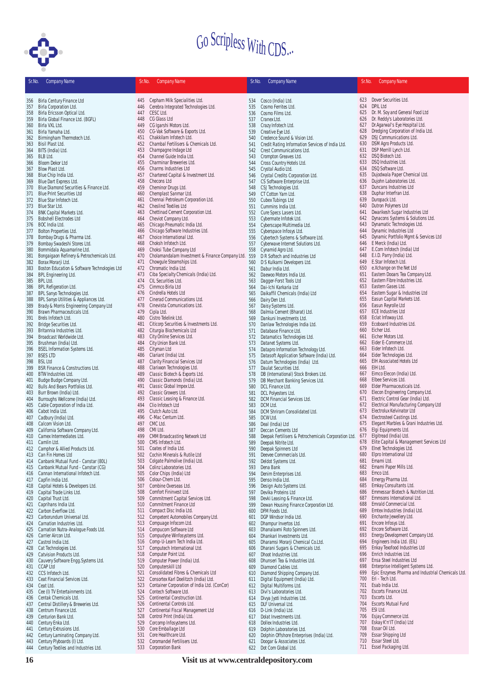

| Sr.No.     | <b>Company Name</b>                                                       | Sr.No.     | <b>Company Name</b>                                               | Sr.No.     | <b>Company Name</b>                                             | Sr.No.     | <b>Company Name</b>                                                                      |
|------------|---------------------------------------------------------------------------|------------|-------------------------------------------------------------------|------------|-----------------------------------------------------------------|------------|------------------------------------------------------------------------------------------|
|            | 356 Birla Century Finance Ltd                                             |            | 445 Cepham Milk Specialities Ltd.                                 | 534        | Cosco (India) Ltd.                                              |            | 623 Dover Securities Ltd.                                                                |
| 357        | Birla Corporation Ltd.                                                    | 446        | Cerebra Integrated Technologies Ltd.                              | 535        | Cosmo Ferrites Ltd.                                             | 624        | <b>DPIL Ltd</b>                                                                          |
| 358        | Birla Ericsson Optical Ltd.                                               | 447        | CESC Ltd.                                                         | 536        | Cosmo Films Ltd.                                                | 625        | Dr. M. Soy and General Food Ltd                                                          |
| 359        | Birla Global Finance Ltd. (BGFL)                                          | 448        | CG Glass Ltd                                                      | 537        | Cranex Ltd.                                                     | 626        | Dr. Reddy's Laboratories Ltd.                                                            |
| 360        | Birla VXL Ltd.                                                            | 449        | CG Igarshi Motors Ltd.                                            | 538        | Crazy Infotech Ltd.                                             | 627        | Dr.Agarwal's Eye Hospital Ltd.                                                           |
| 361        | Birla Yamaha Ltd.                                                         | 450        | CG-Vak Software & Exports Ltd.                                    | 539        | Creative Eye Ltd.                                               | 628        | Dredging Corporation of India Ltd.                                                       |
| 362        | Birmingham Thermotech Ltd.                                                | 451        | Chakkilam Infotech Ltd.                                           | 540        | Credence Sound & Vision Ltd.                                    | 629        | DSJ Communications Ltd.                                                                  |
| 363        | Bisil Plast Ltd.                                                          | 452        | Chambal Fertilisers & Chemicals Ltd.                              | 541        | Credit Rating Information Services of India Ltd.                | 630        | DSM Agro Products Ltd.                                                                   |
| 364        | BITS (India) Ltd.                                                         | 453        | Champagne Indage Ltd                                              | 542        | Crest Communications Ltd.                                       | 631        | DSP Merrill Lynch Ltd.                                                                   |
| 365        | BLB Ltd.                                                                  | 454<br>455 | Channel Guide India Ltd.<br>Charminar Breweries Ltd.              | 543        | Crompton Greaves Ltd.                                           | 632<br>633 | DSQ Biotech Ltd.<br>DSQ Industries Ltd.                                                  |
| 366<br>367 | Bloom Dekor Ltd<br>Blow Plast Ltd.                                        | 456        | Charms Industries Ltd                                             | 544<br>545 | Cross Country Hotels Ltd.<br>Crystal Audio Ltd.                 | 634        | DSQ Software Ltd.                                                                        |
| 368        | Blue Chip India Ltd.                                                      | 457        | Chartered Capital & Investment Ltd.                               | 546        | Crystal Credits Corporation Ltd.                                | 635        | Dujodwala Paper Chemical Ltd.                                                            |
| 369        | Blue Dart Express Ltd.                                                    | 458        | <b>Checons Ltd</b>                                                | 547        | CS Software Enterprise Ltd.                                     | 636        | Dujohn Laboratories Ltd.                                                                 |
| 370        | Blue Diamond Securities & Finance Ltd.                                    | 459        | Cheminor Drugs Ltd.                                               | 548        | CSJ Technologies Ltd.                                           | 637        | Duncans Industries Ltd                                                                   |
| 371        | <b>Blue Print Securities Ltd</b>                                          | 460        | Chemplast Sanmar Ltd.                                             | 549        | CT Cotton Yarn Ltd.                                             | 638        | Duphar Interfran Ltd.                                                                    |
|            | 372 Blue Star Infotech Ltd.                                               | 461        | Chennai Petroleum Corporation Ltd.                                | 550        | Cubex Tubings Ltd                                               | 639        | Duropack Ltd.                                                                            |
|            | 373 Blue Star Ltd.                                                        | 462        | <b>Cheslind Textiles Ltd</b>                                      | 551        | Cummins India Ltd                                               | 640        | Dutron Polymers Ltd                                                                      |
| 374        | <b>BNK Capital Markets Ltd.</b>                                           | 463        | Chettinad Cement Corporation Ltd.                                 | 552        | Cure Specs Lasers Ltd.                                          | 641        | Dwarikesh Sugar Industries Ltd                                                           |
| 375        | <b>Bobshell Electrodes Ltd</b>                                            | 464        | Cheviot Company Ltd.                                              | 553        | Cybermate Infotek Ltd                                           | 642<br>643 | Dynacons Systems & Solutions Ltd.                                                        |
| 377        | 376 BOC India Ltd.<br>Bolton Properties Ltd.                              | 465<br>466 | Chicago Pneumatic India Ltd.<br>Chicago Software Industries Ltd.  | 554<br>555 | Cyberscape Multimedia Ltd.<br>Cyberspace Infosys Ltd.           | 644        | Dynamatic Technologies Ltd.<br>Dynamic Industries Ltd                                    |
| 378        | Bombay Drugs & Pharma Ltd.                                                | 467        | Choice International Ltd.                                         | 556        | Cybertech Systems & Software Ltd.                               | 645        | Dynamic Portfolio Mgmt & Services Ltd                                                    |
| 379        | Bombay Swadeshi Stores Ltd.                                               | 468        | Choksh Infotech Ltd.                                              | 557        | Cyberwave Internet Solutions Ltd.                               | 646        | E Merck (India) Ltd.                                                                     |
| 380        | Bommidala Aquamarine Ltd.                                                 | 469        | Choksi Tube Company Ltd                                           | 558        | Cynamid Agro Ltd.                                               | 647        | E.Com Infotech (India) Ltd                                                               |
| 381        | Bongaigaon Refinery & Petrochemicals Ltd.                                 | 470        | Cholamandalam Investment & Finance Company Ltd.                   | 559        | D R Softech and Industries Ltd                                  | 648        | E.I.D. Parry (India) Ltd.                                                                |
| 382        | Borax Morarji Ltd.                                                        | 471        | Chowgule Steamships Ltd.                                          | 560        | D S Kulkarni Developers Ltd.                                    | 649        | E.Star Infotech Ltd.                                                                     |
| 383        | Boston Education & Software Technologies Ltd                              | 472        | Chromatic India Ltd.                                              | 561        | Dabur India Ltd.                                                | 650        | e.Xchange on the Net Ltd                                                                 |
| 384        | <b>BPL Engineering Ltd.</b>                                               | 473        | Ciba Specialty Chemicals (India) Ltd.                             | 562        | Daewoo Motors India Ltd.                                        | 651        | Eastern Dooars Tea Company Ltd.                                                          |
| 385        | <b>BPL Ltd.</b>                                                           | 474        | CIL Securities Ltd.                                               | 563        | Dagger-Forst Tools Ltd                                          | 652        | Eastern Fibre Industries Ltd.                                                            |
| 386        | <b>BPL Refigeration Ltd.</b>                                              | 475        | Cimmco Birla Ltd                                                  | 564        | Dai-Ichi Karkaria Ltd                                           | 653<br>654 | Eastern Gases Ltd.<br>Eastern Sugar & Industries Ltd                                     |
| 387<br>388 | BPL Sanyo Technologies Ltd.<br>BPL Sanyo Utilities & Appliances Ltd.      | 476<br>477 | Cindrella Hotels Ltd<br>Cinerad Communications Ltd.               | 565<br>566 | Daikaffil Chemicals (India) Ltd<br>Dairy Den Ltd.               | 655        | Easun Capital Markets Ltd.                                                               |
| 389        | Brady & Morris Engineering Company Ltd                                    | 478        | Cinevista Comunications Ltd.                                      | 567        | Daisy Systems Ltd.                                              | 656        | Easun Reyrolle Ltd                                                                       |
| 390        | Brawn Pharmaceuticals Ltd.                                                | 479        | Cipla Ltd.                                                        | 568        | Dalmia Cement (Bharat) Ltd.                                     | 657        | <b>ECE Industries Ltd</b>                                                                |
| 391        | Brels Infotech Ltd.                                                       | 480        | Cistro Telelink Ltd.                                              | 569        | Dankuni Investments Ltd.                                        | 658        | Eclat Infoway Ltd.                                                                       |
| 392        | Bridge Securities Ltd.                                                    | 481        | Citicorp Securities & Investments Ltd.                            | 570        | Danlaw Technologies India Ltd.                                  | 659        | Ecoboard Industries Ltd.                                                                 |
| 393        | Britannia Industries Ltd.                                                 | 482        | Citurgia Biochemicals Ltd                                         | 571        | Database Finance Ltd.                                           | 660        | Eicher Ltd.                                                                              |
| 394        | Broadcast Worldwide Ltd.                                                  | 483        | City Online Services Ltd.                                         | 572        | Datamatics Technologies Ltd.                                    | 661        | Eicher Motors Ltd.                                                                       |
| 395        | Brushman (India) Ltd.                                                     | 484        | City Union Bank Ltd.                                              | 573        | Datanet Systems Ltd.                                            | 662        | Eider E-Commerce Ltd.                                                                    |
| 396        | <b>BSEL Information Systems Ltd.</b>                                      | 485        | Cityman Ltd                                                       | 574        | Datapro Information Technology Ltd.                             | 663        | Eider Infotech Ltd.                                                                      |
| 397        | <b>BSES LTD</b>                                                           | 486        | Clariant (India) Ltd.                                             | 575        | Datasoft Application Software (India) Ltd.                      | 664        | Eider Technologies Ltd.                                                                  |
| 398        | <b>BSL Ltd</b>                                                            | 487<br>488 | Clarity Financial Services Ltd<br>Clarixxon Technologies Ltd.     | 576        | Datum Technologies (India) Ltd.                                 | 665<br>666 | <b>EIH Associated Hotels Ltd</b><br>EIH Ltd.                                             |
| 399<br>400 | <b>BSR Finance &amp; Constructions Ltd.</b><br><b>BTW Industries Ltd.</b> | 489        | Classic Biotech & Exports Ltd.                                    | 577<br>578 | Daulat Securities Ltd.<br>DB (International) Stock Brokers Ltd. | 667        | Eimco Elecon (India) Ltd.                                                                |
| 401        | Budge Budge Company Ltd.                                                  | 490        | Classic Diamonds (India) Ltd.                                     | 579        | DB Merchant Banking Services Ltd.                               | 668        | Elbee Services Ltd.                                                                      |
| 402        | Bulls And Bears Portfolios Ltd.                                           | 491        | Classic Global Impex Ltd.                                         | 580        | DCL Finance Ltd.                                                | 669        | Elder Pharmaceuticals Ltd.                                                               |
| 403        | Burr Brown (India) Ltd.                                                   | 492        | Classic Growers Ltd.                                              | 581        | DCL Polyesters Ltd.                                             | 670        | Elecon Engineering Company Ltd.                                                          |
| 404        | Burroughs Wellcome (India) Ltd.                                           | 493        | Classic Leasing & Finance Ltd.                                    | 582        | DCM Financial Services Ltd.                                     | 671        | Electric Control Gear (India) Ltd.                                                       |
| 405        | Cable Corporation of India Ltd.                                           | 494        | Clio Infotech Ltd                                                 | 583        | DCM Ltd.                                                        | 672        | Electrical Manufacturing Company Ltd                                                     |
| 406        | Cabot India Ltd.                                                          | 495        | Clutch Auto Ltd.                                                  | 584        | DCM Shriram Consolidated Ltd.                                   | 673        | Electrolux Kelvinator Ltd                                                                |
| 407        | Cadbury (India) Ltd.                                                      | 496        | C-Mac Centum Ltd.                                                 | 585        | DCW Ltd.                                                        | 674        | Electrosteel Castings Ltd.                                                               |
| 408        | Calcom Vision Ltd.                                                        | 497        | CMC Ltd.                                                          | 586        | Deal (India) Ltd                                                | 675        | Elegant Marbles & Grani Industries Ltd.                                                  |
| 409<br>410 | California Software Company Ltd.<br>Camex Intermediates Ltd.              | 498<br>499 | CMI Ltd.                                                          | 587        | Deccan Cements Ltd                                              | 676        | Elgi Equipments Ltd.<br>Elgitread (India) Ltd.                                           |
| 411        | Camlin Ltd.                                                               | 500        | <b>CMM Broadcasting Network Ltd</b><br>CMS Infotech Ltd.          | 588<br>589 | Deepak Fertilisers & Petrochemicals Corporation Ltd. 677        | 678        | Elite Capital & Management Services Ltd                                                  |
|            | 412 Camphor & Allied Products Ltd.                                        | 501        | Coates of India Ltd.                                              | 590        | Deepak Nitrite Ltd.<br>Deepak Spinners Ltd                      |            | 679 Elnet Technologies Ltd.                                                              |
|            | 413 Can Fin Homes Ltd                                                     | 502        | Cochin Minerals & Rutile Ltd                                      | 591        | Deevee Commercials Ltd.                                         |            | 680 Elpro International Ltd                                                              |
| 414        | Canbank Mutual Fund - Canstar (80L)                                       | 503        | Colgate Palmolive (India) Ltd.                                    | 592        | Deldot Systems Ltd.                                             | 681        | Emami Ltd.                                                                               |
| 415        | Canbank Mutual Fund - Canstar (CG)                                        | 504        | Colinz Laboratories Ltd.                                          | 593        | Dena Bank                                                       | 682        | Emami Paper Mills Ltd.                                                                   |
|            | 416 Cannan International Infotech Ltd.                                    | 505        | Color Chips (India) Ltd                                           | 594        | Denim Enterprises Ltd.                                          | 683        | Emco Ltd.                                                                                |
| 417        | Capfin India Ltd.                                                         | 506        | Colour-Chem Ltd.                                                  | 595        | Denso India Ltd.                                                | 684        | Emergy Pharma Ltd.                                                                       |
| 418        | Capital Hotels & Developers Ltd.                                          | 507        | Combine Overseas Ltd.                                             | 596        | Design Auto Systems Ltd.                                        | 685        | Emkay Consultants Ltd.                                                                   |
| 419        | Capital Trade Links Ltd.                                                  | 508        | Comfort Fininvest Ltd.                                            | 597        | Devika Proteins Ltd                                             | 686        | Emmessar Biotech & Nutrition Ltd.<br>Emmsons International Ltd.                          |
|            | 420 Capital Trust Ltd.                                                    | 509<br>510 | Commitment Capital Services Ltd.<br><b>Commitment Finance Ltd</b> | 598        | Devki Leasing & Finance Ltd.                                    | 687<br>688 | Emrald Commercial Ltd.                                                                   |
| 421        | Caprihans India Ltd.<br>422 Carbon Everflow Ltd.                          | 511        | Compact Disc India Ltd.                                           | 599<br>600 | Dewan Housing Finance Corporation Ltd.<br>DFM Foods Ltd.        | 689        | Emtex Industries (India) Ltd.                                                            |
|            | 423 Carborundum Universal Ltd.                                            | 512        | Competent Automobiles Company Ltd.                                | 601        | DGP Windsor India Ltd.                                          | 690        | Enchante Jewellery Ltd.                                                                  |
| 424        | Carnation Industries Ltd.                                                 | 513        | Compuage Infocom Ltd.                                             | 602        | Dhampur Invertos Ltd.                                           | 691        | Encore Infosys Ltd.                                                                      |
| 425        | Carnation Nutra-Analogue Foods Ltd.                                       | 514        | Compucom Software Ltd                                             | 603        | Dhanalaxmi Roto Spinners Ltd.                                   | 692        | Encore Software Ltd.                                                                     |
|            | 426 Carrier Aircon Ltd.                                                   | 515        | Compudyne Winfosystems Ltd.                                       | 604        | Dhankari Investments Ltd.                                       | 693        | Energy Development Company Ltd.                                                          |
|            | 427 Castrol India Ltd.                                                    | 516        | Comp-U-Learn Tech India Ltd.                                      | 605        | Dharamsi Morarji Chemical Co.Ltd.                               | 694        | Engineers India Ltd. (EIL)                                                               |
| 428        | Cat Technologies Ltd.                                                     | 517        | Computech International Ltd.                                      | 606        | Dharani Sugars & Chemicals Ltd.                                 | 695        | Enkay Texofood Industries Ltd                                                            |
| 429        | Catvision Products Ltd.                                                   | 518        | Computer Point Ltd.                                               | 607        | Dhoot Industries Ltd.                                           | 696        | Enrich Industries Ltd.                                                                   |
| 430        | Cauvery Software Engg. Systems Ltd.                                       | 519        | Computer Power (India) Ltd.                                       | 608        | Dhunseri Tea & Industries Ltd.                                  | 697        | Ensa Steel Industries Ltd                                                                |
| 431        | <b>CCAP Ltd</b>                                                           | 520        | Computerskill Ltd<br>Consolidated Fibres & Chemicals Ltd          | 609        | Diamond Cables Ltd.                                             | 698<br>699 | Enterprise Intelligent Systems Ltd.<br>Epic Enzymes Pharma and Industrial Chemicals Ltd. |
| 432<br>433 | CCS Infotech Ltd.<br>Ceat Financial Services Ltd.                         | 521<br>522 | Consortex Karl Doelitzch (India) Ltd.                             | 610<br>611 | Diamond Shipping Company Ltd.<br>Digital Equipment (India) Ltd. | 700        | Eri - Tech Ltd.                                                                          |
| 434        | Ceat Ltd.                                                                 | 523        | Container Corporation of India Ltd. (ConCor)                      | 612        | Digital Multiforms Ltd.                                         | 701        | Esab India Ltd.                                                                          |
| 435        | Cee (I) TV Entertainments Ltd.                                            | 524        | Contech Software Ltd.                                             | 613        | Divi's Laboratories Ltd.                                        | 702        | Escorts Finance Ltd.                                                                     |
| 436        | Centak Chemicals Ltd.                                                     | 525        | Continental Construction Ltd.                                     | 614        | Divya Jyoti Industries Ltd.                                     | 703        | Escorts Ltd.                                                                             |
|            | 437 Central Distillery & Breweries Ltd.                                   | 526        | Continental Controls Ltd.                                         | 615        | DLF Universal Ltd.                                              | 704        | <b>Escorts Mutual Fund</b>                                                               |
| 438        | Centrum Finance Ltd.                                                      | 527        | Continental Fiscal Management Ltd                                 | 616        | D-Link (India) Ltd.                                             | 705        | ESI Ltd.                                                                                 |
| 439        | Centurion Bank Ltd.                                                       | 528        | Control Print (India) Ltd.                                        | 617        | Dolat Investments Ltd.                                          | 706        | Esjay Commerce Ltd.                                                                      |
| 440        | Century Enka Ltd.                                                         | 529        | Corcomp Infosystems Ltd.                                          | 618        | Dollex Industries Ltd.                                          | 707        | Eskay K'n'IT (India) Ltd                                                                 |
| 441        | Century Extrusions Ltd.                                                   | 530        | Core Emballage Ltd                                                | 619        | Dolphin Laboratories Ltd.                                       | 708        | Essar Oil Ltd.                                                                           |
| 442        | Century Laminating Company Ltd.                                           | 531        | Core Healthcare Ltd.                                              | 620        | Dolphin Offshore Enterprises (India) Ltd.                       | 709        | Essar Shipping Ltd<br>Essar Steel Ltd.                                                   |
| 443        | Century Plyboards (I) Ltd.<br>444 Century Textiles and Industries Ltd.    | 532<br>533 | Coromandel Fertilisers Ltd.<br><b>Corporation Bank</b>            | 621<br>622 | Doogar & Associates Ltd.<br>Dot Com Global Ltd.                 | 710<br>711 | Essel Packaging Ltd.                                                                     |
|            |                                                                           |            |                                                                   |            |                                                                 |            |                                                                                          |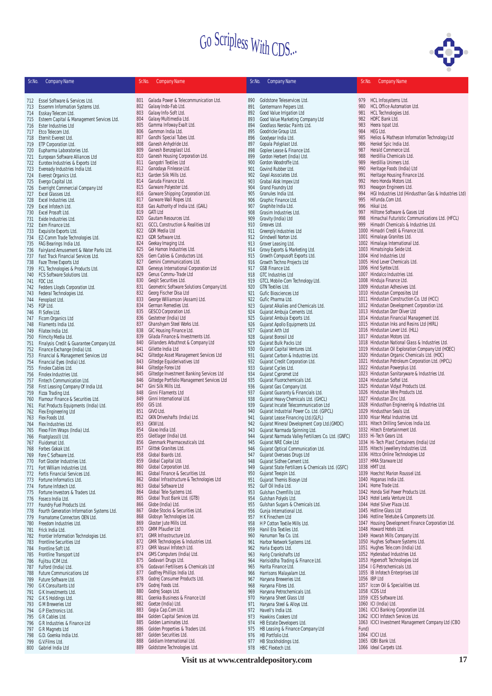

|            |                                                                     |            |                                                                        |            |                                                                                     |            | $\bullet$                                                                                       |
|------------|---------------------------------------------------------------------|------------|------------------------------------------------------------------------|------------|-------------------------------------------------------------------------------------|------------|-------------------------------------------------------------------------------------------------|
| Sr.No.     | <b>Company Name</b>                                                 | Sr.No.     | <b>Company Name</b>                                                    | Sr.No.     | <b>Company Name</b>                                                                 | Sr.No.     | <b>Company Name</b>                                                                             |
|            |                                                                     |            |                                                                        |            |                                                                                     |            |                                                                                                 |
|            | 712 Essel Software & Services Ltd.                                  | 801        | Galada Power & Telecommunication Ltd.                                  | 890        | Goldstone Teleservices Ltd.                                                         | 979        | HCL Infosystems Ltd.                                                                            |
| 713        | Essemm Information Systems Ltd.                                     | 802        | Galaxy Indo-Fab Ltd.                                                   | 891        | Gontermann Peipers Ltd                                                              | 980        | HCL Office Automation Ltd.                                                                      |
| 714        | Esskay Telecom Ltd.                                                 | 803        | Galaxy Info-Soft Ltd.                                                  | 892        | Good Value Irrigation Ltd                                                           | 981        | HCL Technologies Ltd.                                                                           |
| 715<br>716 | Esteem Capital & Management Services Ltd.<br>Ester Industries Ltd   | 804<br>805 | Galaxy Multimedia Ltd.<br>Gamma Infoway Exalt Ltd.                     | 893<br>894 | Good Value Marketing Company Ltd<br>Goodlass Nerolac Paints Ltd.                    | 982<br>983 | HDFC Bank Ltd.<br>Heera Ispat Ltd.                                                              |
| 717        | Etco Telecom Ltd.                                                   | 806        | Gammon India Ltd.                                                      | 895        | Goodricke Group Ltd.                                                                | 984        | <b>HEG Ltd.</b>                                                                                 |
| 718        | Eternit Everest Ltd.                                                | 807        | Gandhi Special Tubes Ltd.                                              | 896        | Goodyear India Ltd.                                                                 | 985        | Helios & Matheson Information Technology Ltd                                                    |
| 719        | ETP Corporation Ltd.                                                | 808        | Ganesh Anhydride Ltd.                                                  | 897        | Gopala Polyplast Ltd.                                                               | 986        | Henkel Spic India Ltd.                                                                          |
| 720        | Eupharma Laboratories Ltd.                                          | 809<br>810 | Ganesh Benzoplast Ltd.<br>Ganesh Housing Corporation Ltd.              | 898<br>899 | Goplee Lease & Finance Ltd.<br>Gordon Herbert (India) Ltd.                          | 987<br>988 | Herald Commerce Ltd.<br>Herdillia Chemicals Ltd.                                                |
| 721<br>722 | European Software Alliances Ltd<br>Eurotex Industries & Exports Ltd | 811        | Gangotri Textiles Ltd                                                  | 900        | Gordon Woodroffe Ltd.                                                               | 989        | Herdillia Unimers Ltd.                                                                          |
| 723        | Eveready Industries India Ltd.                                      | 812        | Ganodaya Finlease Ltd.                                                 | 901        | Govind Rubber Ltd.                                                                  | 990        | Heritage Foods (India) Ltd                                                                      |
| 724        | Everest Organics Ltd.                                               | 813        | Garden Silk Mills Ltd.                                                 | 902        | Goyal Associates Ltd.                                                               | 991        | Heritage Housing Finance Ltd.                                                                   |
| 725        | Evergo Capital Ltd.                                                 | 814        | Garuda Finance Ltd.                                                    | 903        | Grabal Alok Impex Ltd                                                               | 992        | Hero Honda Motors Ltd.                                                                          |
| 726<br>727 | Everright Commercial Company Ltd<br>Excel Glasses Ltd.              | 815<br>816 | Garware Polyester Ltd.<br>Garware Shipping Corporation Ltd.            | 904<br>905 | Grand Foundry Ltd<br>Granules India Ltd.                                            | 993<br>994 | Hexagon Engineers Ltd.<br>HGI Industries Ltd (Hindusthan Gas & Industries Ltd)                  |
| 728        | Excel Industries Ltd.                                               | 817        | Garware Wall Ropes Ltd.                                                | 906        | Graphic Finance Ltd.                                                                | 995        | Hifunda.Com Ltd.                                                                                |
| 729        | Excel Infotech Ltd.                                                 | 818        | Gas Authority of India Ltd. (GAIL)                                     | 907        | Graphite India Ltd.                                                                 | 996        | Hikal Ltd.                                                                                      |
| 730        | Excel Prosoft Ltd.                                                  | 819        | <b>GATI Ltd</b>                                                        | 908        | Grasim Industries Ltd.                                                              | 997        | Hilltone Software & Gases Ltd                                                                   |
| 731        | Exide Industries Ltd.                                               | 820<br>821 | Gautam Resources Ltd.<br><b>GCCL Construction &amp; Realities Ltd</b>  | 909<br>910 | Gravity (India) Ltd<br>Greaves Ltd.                                                 | 998<br>999 | Himachal Futuristic Communications Ltd. (HFCL)<br>Himadri Chemicals & Industries Ltd.           |
| 732<br>733 | Exim Finance Ltd.<br>Exquisite Exports Ltd.                         | 822        | <b>GDR Media Ltd</b>                                                   | 911        | Greenply Industries Ltd                                                             | 1000       | Himadri Credit & Finance Ltd.                                                                   |
| 734        | EZ-Comm Trade Technologies Ltd.                                     | 823        | GDR Software Ltd.                                                      | 912        | Grindwell Norton Ltd.                                                               |            | 1001 Himalaya Granites Ltd.                                                                     |
| 735        | FAG Bearings India Ltd.                                             | 824        | Geekay Imaging Ltd.                                                    | 913        | Grover Leasing Ltd.                                                                 |            | 1002 Himalaya International Ltd.                                                                |
| 736        | Fairyland Amusement & Water Parks Ltd.                              | 825        | Gei Hamon Industries Ltd.                                              | 914        | Grovy Exports & Marketing Ltd.                                                      |            | 1003 Himatsingka Seide Ltd.                                                                     |
| 737<br>738 | Fast Track Financial Services Ltd.<br>Faze Three Exports Ltd        | 826<br>827 | Gem Cables & Conductors Ltd.<br>Gemini Communications Ltd.             | 915<br>916 | Growth Compusoft Exports Ltd.<br>Growth Techno Projects Ltd                         |            | 1004 Hind Industries Ltd<br>1005 Hind Lever Chemicals Ltd.                                      |
| 739        | FCL Technologies & Products Ltd.                                    | 828        | Genesys International Corporation Ltd                                  | 917        | <b>GSB Finance Ltd.</b>                                                             |            | 1006 Hind Syntex Ltd                                                                            |
| 740        | <b>FCS Software Solutions Ltd.</b>                                  | 829        | Genus Commu-Trade Ltd                                                  | 918        | <b>GTC Industries Ltd</b>                                                           |            | 1007 Hindalco Industries Ltd.                                                                   |
| 741        | FDC Ltd.                                                            | 830        | Geojit Securities Ltd.                                                 | 919        | GTCL Mobile-Com Technology Ltd.                                                     |            | 1008 Hinduja Finance Ltd.                                                                       |
| 742        | Fedders Lloyds Corporation Ltd.                                     | 831<br>832 | Geometric Software Solutions Company Ltd.<br>Georg Fischer Disa Ltd    | 920        | GTN Textiles Ltd.<br>Gufic Biosciences Ltd                                          |            | 1009 Hindustan Adhesives Ltd.<br>1010 Hindustan Composites Ltd                                  |
| 743<br>744 | Federal Technologies Ltd.<br>Fenoplast Ltd.                         | 833        | George Williamson (Assam) Ltd.                                         | 921<br>922 | Gufic Pharma Ltd.                                                                   |            | 1011 Hindustan Construction Co. Ltd (HCC)                                                       |
| 745        | FGP Ltd.                                                            | 834        | German Remedies Ltd.                                                   | 923        | Gujarat Alkalies and Chemicals Ltd.                                                 |            | 1012 Hindustan Development Corporation Ltd.                                                     |
| 746        | FI Sofex Ltd.                                                       | 835        | <b>GESCO Corporation Ltd.</b>                                          | 924        | Gujarat Ambuja Cements Ltd.                                                         |            | 1013 Hindustan Dorr Oliver Ltd                                                                  |
| 747        | Ficom Organics Ltd                                                  | 836        | Gestetner (India) Ltd                                                  | 925        | Gujarat Ambuja Exports Ltd.                                                         |            | 1014 Hindustan Financial Management Ltd.                                                        |
| 748<br>749 | Filaments India Ltd.<br>Filatex India Ltd.                          | 837<br>838 | Ghanshyam Steel Works Ltd.<br>GIC Housing Finance Ltd.                 | 926<br>927 | Gujarat Apollo Equipments Ltd.<br>Gujarat Arth Ltd                                  |            | 1015 Hindustan Inks and Resins Ltd (HIRL)<br>1016 Hindustan Lever Ltd. (HLL)                    |
| 750        | Filmcity Media Ltd.                                                 | 839        | Gilada Finance & Investments Ltd.                                      | 928        | Gujarat Borosil Ltd                                                                 |            | 1017 Hindustan Motors Ltd.                                                                      |
| 751        | Finalysis Credit & Guarantee Company Ltd.                           | 840        | Gillanders Arbuthnot & Company Ltd                                     | 929        | Gujarat Bulk Packs Ltd                                                              |            | 1018 Hindustan National Glass & Industries Ltd.                                                 |
| 752        | Finance Exchange (India) Ltd.                                       | 841        | Gillette India Ltd                                                     | 930        | Gujarat Capital Ventures Ltd.                                                       |            | 1019 Hindustan Oil Exploration Company Ltd (HOEC)                                               |
| 753        | Financial & Management Services Ltd                                 | 842<br>843 | Giltedge Asset Management Services Ltd<br>Giltedge Equiderivatives Ltd | 931        | Gujarat Carbon & Industries Ltd.                                                    |            | 1020 Hindustan Organic Chemicals Ltd. (HOC)<br>1021 Hindustan Petroleum Corporation Ltd. (HPCL) |
| 754<br>755 | Financial Eyes (India) Ltd.<br>Finolex Cables Ltd.                  | 844        | Giltedge Forex Ltd                                                     | 932<br>933 | Gujarat Credit Corporation Ltd.<br>Gujarat Cycles Ltd.                              |            | 1022 Hindustan Powerplus Ltd.                                                                   |
| 756        | Finolex Industries Ltd.                                             | 845        | Giltedge Investment Banking Services Ltd                               | 934        | Gujarat Cypromet Ltd                                                                |            | 1023 Hindustan Sanitaryware & Industries Ltd.                                                   |
| 757        | Fintech Communication Ltd.                                          | 846        | Giltedge Portfolio Management Services Ltd                             | 935        | Gujarat Fluorochemicals Ltd.                                                        |            | 1024 Hindustan Softel Ltd.                                                                      |
| 758        | First Leasing Company Of India Ltd.                                 | 847        | Gini Silk Mills Ltd.                                                   | 936        | Gujarat Gas Company Ltd.                                                            |            | 1025 Hindustan Vidyut Products Ltd.                                                             |
| 759        | Fizza Trading Ltd.<br>Flamour Finance & Securities Ltd.             | 848<br>849 | Ginni Filaments Ltd<br>Ginni International Ltd.                        | 937<br>938 | Gujarat Guaranty & Financials Ltd.                                                  |            | 1026 Hindustan Wire Products Ltd.<br>1027 Hindustan Zinc Ltd.                                   |
| 760<br>761 | Flat Products Equipments (India) Ltd.                               | 850        | GIS Ltd.                                                               | 939        | Gujarat Heavy Chemicals Ltd. (GHCL)<br>Gujarat Incatel Telecommunication Ltd        |            | 1028 Hindusthan Engineering & Industries Ltd.                                                   |
| 762        | Flex Engineering Ltd                                                | 851        | GIVO Ltd.                                                              | 940        | Gujarat Industrial Power Co. Ltd. (GIPCL)                                           |            | 1029 Hindusthan Seals Ltd.                                                                      |
| 763        | Flex Foods Ltd                                                      | 852        | GKN Driveshafts (India) Ltd.                                           | 941        | Gujarat Lease Financing Ltd. (GLFL)                                                 |            | 1030 Hisar Metal Industries Ltd.                                                                |
| 764        | Flex Industries Ltd.                                                | 853<br>854 | GKW Ltd.<br>Glaxo India Ltd.                                           | 942<br>943 | Gujarat Mineral Development Corp Ltd.(GMDC)                                         |            | 1031 Hitech Drilling Services India Ltd.<br>1032 Hitech Entertainment Ltd.                      |
| 765<br>766 | Flexo Film Wraps (India) Ltd.<br>Floatglass(I) Ltd.                 | 855        | Gleitlager (India) Ltd.                                                | 944        | Gujarat Narmada Spinning Ltd.<br>Gujarat Narmada Valley Fertilizers Co. Ltd. (GNFC) |            | 1033 Hi-Tech Gears Ltd.                                                                         |
|            | 767 Fluidomat Ltd.                                                  | 856        | Glenmark Pharmaceuticals Ltd.                                          | 945        | Gujarat NRE Coke Ltd                                                                |            | 1034 Hi-Tech Plast Containers (India) Ltd                                                       |
| 768        | Forbes Gokak Ltd.                                                   | 857        | Glittek Granites Ltd.                                                  | 946        | Gujarat Optical Communication Ltd.                                                  |            | 1035 Hitechi Jewellery Industries Ltd.                                                          |
| 769        | Fore C Software Ltd.                                                | 858<br>859 | Global Boards Ltd.<br>Global Capital Ltd.                              | 947        | Gujarat Overseas Drugs Ltd                                                          |            | 1036 Hittco Online Technologies Ltd<br>1037 HMA Starware Ltd                                    |
| 770<br>771 | Fort Gloster Industries Ltd.<br>Fort William Industries Ltd.        | 860        | Global Corporation Ltd.                                                | 948<br>949 | Gujarat Sidhee Cement Ltd.<br>Gujarat State Fertilizers & Chemicals Ltd. (GSFC)     |            | 1038 HMT Ltd.                                                                                   |
| 772        | Fortis Financial Services Ltd.                                      | 861        | Global Finance & Securities Ltd.                                       | 950        | Gujarat Texspin Ltd.                                                                |            | 1039 Hoechst Marion Roussel Ltd.                                                                |
| 773        | Fortune Informatics Ltd.                                            | 862        | Global Infrastructure & Technologies Ltd                               | 951        | Gujarat Themis Biosyn Ltd                                                           |            | 1040 Hoganas India Ltd.                                                                         |
| 774        | Fortune Infotech Ltd.                                               | 863        | Global Software Ltd                                                    | 952        | Gulf Oil India Ltd.                                                                 |            | 1041 Home Trade Ltd.                                                                            |
| 775<br>776 | Fortune Investors & Traders Ltd.<br>Foseco India Ltd.               | 864<br>865 | Global Tele-Systems Ltd.<br>Global Trust Bank Ltd. (GTB)               | 953<br>954 | Gulshan Chemfills Ltd.<br>Gulshan Polyols Ltd.                                      |            | 1042 Honda Siel Power Products Ltd.<br>1043 Hotel Leela Venture Ltd.                            |
| 777        | Foundry Fuel Products Ltd.                                          | 866        | Globe (India) Ltd.                                                     | 955        | Gulshan Sugars & Chemicals Ltd.                                                     |            | 1044 Hotel Silver Plaza Ltd.                                                                    |
| 778        | Fourth Generation Information Systems Ltd.                          | 867        | Globe Stocks & Securities Ltd.                                         | 956        | Gunja International Ltd.                                                            |            | 1045 Hotline Glass Ltd                                                                          |
| 779        | Framatome Connectors OEN Ltd.                                       | 868        | Globsyn Technologies Ltd.                                              | 957        | H K Finechem Ltd                                                                    |            | 1046 Hotline Teletube & Components Ltd.                                                         |
| 780<br>781 | Freedom Industries Ltd.<br>Frick India Ltd.                         | 869<br>870 | Gloster Jute Mills Ltd.<br><b>GMM Pfaudler Ltd</b>                     | 958<br>959 | H P Cotton Textile Mills Ltd.<br>Hanil Era Textiles Ltd.                            |            | 1047 Housing Development Finance Corporation Ltd.<br>1048 Howard Hotels Ltd.                    |
| 782        | Frontier Information Technologies Ltd.                              | 871        | <b>GMR Infrastructure Ltd.</b>                                         | 960        | Hanuman Tea Co. Ltd.                                                                |            | 1049 Howrah Mills Company Ltd.                                                                  |
| 783        | Frontline Securities Ltd                                            | 872        | GMR Technologies & Industries Ltd.                                     | 961        | Harbor Network Systems Ltd.                                                         |            | 1050 Hughes Software Systems Ltd.                                                               |
| 784        | Frontline Soft Ltd.                                                 | 873        | GMR Vasavi Infotech Ltd.                                               | 962        | Haria Exports Ltd.                                                                  |            | 1051 Hughes Tele.com (India) Ltd.                                                               |
| 785        | Frontline Transport Ltd                                             | 874        | GMS Computers (India) Ltd.                                             | 963        | Harig Crankshafts Ltd                                                               |            | 1052 Hyderabad Industries Ltd.                                                                  |
| 786<br>787 | Fujitsu ICIM Ltd.<br>Fulford (India) Ltd.                           | 875<br>876 | Godavari Drugs Ltd.<br>Godavari Fertilisers & Chemicals Ltd            | 964<br>965 | Harisiddha Trading & Finance Ltd.<br>Harita Finance Ltd.                            |            | 1053 Hypersoft Technologies Ltd<br>1054 I G Petrochemicals Ltd.                                 |
| 788        | <b>Future Communications Ltd</b>                                    | 877        | Godfrey Phillips India Ltd.                                            | 966        | Harrisons Malayalam Ltd.                                                            |            | 1055 IB Infotech Enterprises Ltd                                                                |
| 789        | Future Software Ltd.                                                | 878        | Godrej Consumer Products Ltd.                                          | 967        | Haryana Breweries Ltd.                                                              |            | 1056 IBP Ltd                                                                                    |
| 790        | <b>GK Consultants Ltd</b>                                           | 879        | Godrej Foods Ltd.                                                      | 968        | Haryana Fibres Ltd.                                                                 |            | 1057 Iccon Oil & Specialities Ltd.                                                              |
| 791        | G K Investments Ltd.                                                | 880<br>881 | Godrej Soaps Ltd.<br>Goenka Business & Finance Ltd                     | 969<br>970 | Haryana Petrochemicals Ltd.<br>Haryana Sheet Glass Ltd                              |            | 1058 ICDS Ltd<br>1059 ICES Software Ltd.                                                        |
| 792<br>793 | G K S Holdings Ltd.<br><b>G M Breweries Ltd</b>                     | 882        | Goetze (India) Ltd.                                                    | 971        | Haryana Steel & Alloys Ltd.                                                         |            | 1060 ICI (India) Ltd.                                                                           |
| 794        | <b>GP Electronics Ltd.</b>                                          | 883        | Gogia Cap.Com Ltd.                                                     | 972        | Havell's India Ltd.                                                                 |            | 1061 ICICI Banking Corporation Ltd.                                                             |
| 795        | G R Cables Ltd.                                                     | 884        | Golden Capital Services Ltd.                                           | 973        | Hawkins Cookers Ltd                                                                 |            | 1062 ICICI Infotech Services Ltd.                                                               |
| 796        | G R Industries & Finance Ltd                                        | 885        | Golden Laminates Ltd.                                                  | 974        | HB Estate Developers Ltd.                                                           |            | 1063 ICICI Investment Management Company Ltd (CBO                                               |
| 797<br>798 | G R Magnets Ltd<br>G.D. Goenka India Ltd.                           | 886<br>887 | Golden Properties & Traders Ltd.<br>Golden Securities Ltd.             | 975<br>976 | HB Leasing & Finance Company Ltd<br>HB Portfolio Ltd.                               | Fund)      | 1064 ICICI Ltd.                                                                                 |
| 799        | G.V.Films Ltd.                                                      | 888        | Goldiam International Ltd.                                             | 977        | HB Stockholdings Ltd.                                                               |            | 1065 IDBI Bank Ltd.                                                                             |
|            | 800 Gabriel India Ltd                                               | 889        | Goldstone Technologies Ltd.                                            | 978        | HBC Flextech Ltd.                                                                   |            | 1066 Ideal Carpets Ltd.                                                                         |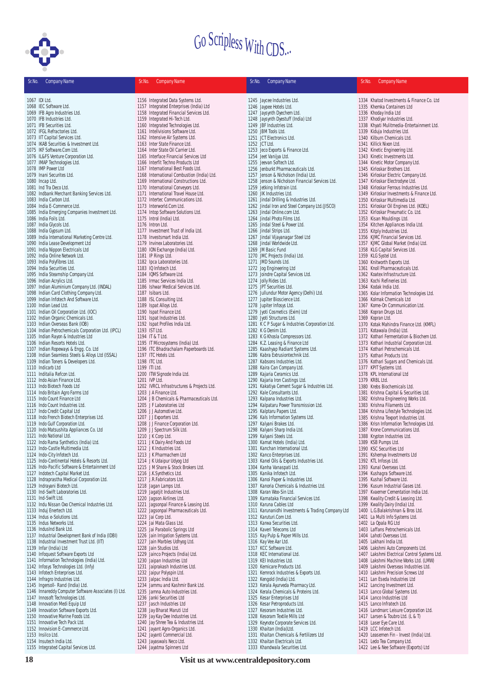

| Sr.No. | <b>Company Name</b>                                                         | Sr.No.<br><b>Company Name</b>                                              | Sr.No.<br><b>Company Name</b>                                                  | Sr.No.<br><b>Company Name</b>                                               |
|--------|-----------------------------------------------------------------------------|----------------------------------------------------------------------------|--------------------------------------------------------------------------------|-----------------------------------------------------------------------------|
|        | 1067 IDI Ltd.                                                               | 1156 Integrated Data Systems Ltd.                                          | 1245 Jaycee Industries Ltd.                                                    | 1334 Khatod Investments & Finance Co. Ltd                                   |
|        | 1068 IEC Software Ltd.                                                      | 1157 Integrated Enterprises (India) Ltd                                    | 1246 Jaypee Hotels Ltd.                                                        | 1335 Khemka Containers Ltd                                                  |
|        | 1069 IFB Agro Industries Ltd.                                               | 1158 Integrated Financial Services Ltd.                                    | 1247 Jaysynth Dyechem Ltd.                                                     | 1336 Khoday India Ltd                                                       |
|        | 1070 IFB Industries Ltd.                                                    | 1159 Integrated Hi-Tech Ltd.                                               | 1248 Jaysynth Dyestuff (India) Ltd                                             | 1337 Khodiyar Industries Ltd.                                               |
|        | 1071 IFB Securities Ltd.                                                    | 1160 Integrated Technologies Ltd.                                          | 1249 JBF Industries Ltd.                                                       | 1338 Khyati Mulitmedia-Entertainment Ltd.                                   |
|        | 1072 IFGL Refractories Ltd.                                                 | 1161 Intellvisions Software Ltd.                                           | 1250 JBM Tools Ltd.                                                            | 1339 Kiduja Industries Ltd.                                                 |
|        | 1073 IIT Capital Services Ltd.                                              | 1162 Intensive Air Systems Ltd.                                            | 1251 JCT Electronics Ltd.                                                      | 1340 Kilburn Chemicals Ltd.                                                 |
|        | 1074 IKAB Securities & Investment Ltd.                                      | 1163 Inter State Finance Ltd.                                              | 1252 JCT Ltd.                                                                  | 1341 Killick Nixon Ltd.                                                     |
|        | 1075 IKF Software.Com Ltd.<br>1076 IL&FS Venture Corporation Ltd.           | 1164 Inter State Oil Carrier Ltd.<br>1165 Interface Financial Services Ltd | 1253 Jeco Exports & Finance Ltd.<br>1254 Jeet Vanijya Ltd.                     | 1342 Kinetic Engineering Ltd.<br>1343 Kinetic Investments Ltd.              |
|        | 1077 IMAP Technologies Ltd.                                                 | 1166 Interfit Techno Products Ltd                                          | 1255 Jeevan Softech Ltd.                                                       | 1344 Kinetic Motor Company Ltd.                                             |
|        | 1078 IMP Power Ltd                                                          | 1167 International Best Foods Ltd.                                         | 1256 Jenburkt Pharmaceuticals Ltd.                                             | 1345 Kirloskar Brothers Ltd.                                                |
|        | 1079 Inani Securites Ltd.                                                   | 1168 International Combustion (India) Ltd.                                 | 1257 Jenson & Nicholson (India) Ltd.                                           | 1346 Kirloskar Electric Company Ltd.                                        |
|        | 1080 Incap Ltd.                                                             | 1169 International Constructions Ltd.                                      | 1258 Jenson & Nicholson Financial Services Ltd.                                | 1347 Kirloskar Electrodyne Ltd.                                             |
|        | 1081 Ind Tra Deco Ltd.                                                      | 1170 International Conveyors Ltd.                                          | 1259 Jetking Infotrain Ltd.                                                    | 1348 Kirloskar Ferrous Industries Ltd.                                      |
|        | 1082 Indbank Merchant Banking Services Ltd.                                 | 1171 International Travel House Ltd.                                       | 1260 JIK Industries Ltd.                                                       | 1349 Kirloskar Investments & Finance Ltd.                                   |
|        | 1083 India Carbon Ltd.                                                      | 1172 Intertec Communications Ltd.                                          | 1261 Jindal Drilling & Industries Ltd.                                         | 1350 Kirloskar Multimedia Ltd.                                              |
|        | 1084 India E-Commerce Ltd.<br>1085 India Emerging Companies Investment Ltd. | 1173 Interworld.Com Ltd.<br>1174 Intop Software Solutions Ltd.             | 1262 Jindal Iron and Steel Company Ltd. (JISCO)<br>1263 Jindal Online.com Ltd. | 1351 Kirloskar Oil Engines Ltd. (KOEL)<br>1352 Kirloskar Pneumatic Co. Ltd. |
|        | 1086 India Foils Ltd.                                                       | 1175 Introl (India) Ltd.                                                   | 1264 Jindal Photo Films Ltd.                                                   | 1353 Kisan Mouldings Ltd.                                                   |
|        | 1087 India Glycols Ltd.                                                     | 1176 Intron Ltd.                                                           | 1265 Jindal Steel & Power Ltd.                                                 | 1354 Kitchen Appliances India Ltd.                                          |
|        | 1088 India Gypsum Ltd.                                                      | 1177 Investment Trust of India Ltd.                                        | 1266 Jindal Strips Ltd.                                                        | 1355 Kitply Industries Ltd.                                                 |
|        | 1089 India International Marketing Centre Ltd.                              | 1178 Investsmart India Ltd.                                                | 1267 Jindal Vijayanagar Steel Ltd                                              | 1356 KJMC Financial Services Ltd.                                           |
|        | 1090 India Lease Development Ltd                                            | 1179 Invinex Laboratories Ltd.                                             | 1268 Jindal Worldwide Ltd.                                                     | 1357 KJMC Global Market (India) Ltd.                                        |
|        | 1091 India Nippon Electricals Ltd                                           | 1180 ION Exchange (India) Ltd.                                             | 1269 JM Basic Fund                                                             | 1358 KLG Capital Services Ltd.                                              |
|        | 1092 India Online Network Ltd.                                              | 1181 IP Rings Ltd.                                                         | 1270 JMC Projects (India) Ltd.                                                 | 1359 KLG Systel Ltd.                                                        |
|        | 1093 India Polyfibres Ltd.<br>1094 India Securities Ltd.                    | 1182 Ipca Laboratories Ltd.<br>1183 IQ Infotech Ltd.                       | 1271 JMD Sounds Ltd.<br>1272 Jog Engineering Ltd                               | 1360 Knitworth Exports Ltd.<br>1361 Knoll Pharmaceuticals Ltd.              |
|        | 1095 India Steamship Company Ltd.                                           | 1184 IQMS Software Ltd.                                                    | 1273 Joindre Capital Services Ltd.                                             | 1362 Koatex Infrastructure Ltd.                                             |
|        | 1096 Indian Acrylics Ltd.                                                   | 1185 Irmac Services India Ltd.                                             | 1274 Jolly Rides Ltd.                                                          | 1363 Kochi Refineries Ltd.                                                  |
|        | 1097 Indian Aluminium Company Ltd. (INDAL)                                  | 1186 Ishwar Medical Services Ltd.                                          | 1275 JPT Securities Ltd.                                                       | 1364 Kodak India Ltd.                                                       |
|        | 1098 Indian Card Clothing Company Ltd.                                      | 1187 Isibars Ltd.                                                          | 1276 Jullundur Motor Agency (Delhi) Ltd.                                       | 1365 Kolar Information Technologies Ltd.                                    |
|        | 1099 Indian Infotech And Software Ltd.                                      | 1188 ISL Consulting Ltd.                                                   | 1277 Jupiter Bioscience Ltd.                                                   | 1366 Kolmak Chemicals Ltd                                                   |
|        | 1100 Indian Lead Ltd.                                                       | 1189 Ispat Alloys Ltd.                                                     | 1278 Jupiter Infosys Ltd.                                                      | 1367 Kome-On Communication Ltd.                                             |
|        | 1101 Indian Oil Corporation Ltd. (IOC)                                      | 1190 Ispat Finance Ltd.                                                    | 1279 Jyoti Cosmetics (Exim) Ltd                                                | 1368 Kopran Drugs Ltd.                                                      |
|        | 1102 Indian Organic Chemicals Ltd.<br>1103 Indian Overseas Bank (IOB)       | 1191 Ispat Industries Ltd.<br>1192 Ispat Profiles India Ltd.               | 1280 Jyoti Structures Ltd.                                                     | 1369 Kopran Ltd.                                                            |
|        | 1104 Indian Petrochemicals Corporation Ltd. (IPCL)                          | 1193 IST Ltd.                                                              | 1281 K C P Sugar & Industries Corporation Ltd.<br>1282 K G Denim Ltd.          | 1370 Kotak Mahindra Finance Ltd. (KMFL)<br>1371 Kotawala (India) Ltd.       |
|        | 1105 Indian Rayon & Industries Ltd                                          | 1194 IT & T Ltd.                                                           | 1283 K G Khosla Compressors Ltd.                                               | 1372 Kothari Fermentation & Biochem Ltd.                                    |
|        | 1106 Indian Resorts Hotels Ltd.                                             | 1195 IT Microsystems (India) Ltd.                                          | 1284 K.Z. Leasing & Finance Ltd                                                | 1373 Kothari Industrial Corporation Ltd.                                    |
|        | 1107 Indian Ropeways & Engg. Co. Ltd                                        | 1196 ITC Bhadrachalam Paperboards Ltd.                                     | 1285 Kaashyap Radiant Systems Ltd.                                             | 1374 Kothari Petrochemicals Ltd.                                            |
|        | 1108 Indian Seamless Steels & Alloys Ltd (ISSAL)                            | 1197 ITC Hotels Ltd.                                                       | 1286 Kabra Extrusiontechnik Ltd.                                               | 1375 Kothari Products Ltd.                                                  |
|        | 1109 Indian Toners & Developers Ltd.                                        | 1198 ITC Ltd.                                                              | 1287 Kabsons Industries Ltd.                                                   | 1376 Kothari Sugars and Chemicals Ltd.                                      |
|        | 1110 Indicarb Ltd                                                           | 1199 ITI Ltd.                                                              | 1288 Kaira Can Company Ltd.                                                    | 1377 KPIT Systems Ltd.                                                      |
|        | 1111 Inditalia Refcon Ltd.<br>1112 Indo Asian Finance Ltd.                  | 1200 ITW Signode India Ltd.<br>1201 IVP Ltd.                               | 1289 Kajaria Ceramics Ltd.<br>1290 Kajaria Iron Castings Ltd.                  | 1378 KPL International Ltd<br>1379 KRBL Ltd.                                |
|        | 1113 Indo Biotech Foods Ltd                                                 | 1202 IVRCL Infrastructures & Projects Ltd.                                 | 1291 Kakatiya Cement Sugar & Industries Ltd.                                   | 1380 Krebs Biochemicals Ltd.                                                |
|        | 1114 Indo Britain Agro Farms Ltd                                            | 1203 J A Finance Ltd.                                                      | 1292 Kale Consultants Ltd.                                                     | 1381 Krishna Capital & Securities Ltd.                                      |
|        | 1115 Indo Count Finance Ltd                                                 | 1204 J B Chemicals & Pharmaceuticals Ltd.                                  | 1293 Kalpana Industries Ltd.                                                   | 1382 Krishna Engineering Works Ltd.                                         |
|        | 1116 Indo Count Industries Ltd.                                             | 1205 JF Laboratories Ltd                                                   | 1294 Kalpataru Power Transmission Ltd.                                         | 1383 Krishna Filaments Ltd.                                                 |
|        | 1117 Indo Credit Capital Ltd                                                | 1206 JJ Automotive Ltd.                                                    | 1295 Kalptaru Papers Ltd.                                                      | 1384 Krishna Lifestyle Technologies Ltd.                                    |
|        | 1118 Indo French Biotech Enterprises Ltd.                                   | 1207 JJ Exporters Ltd.                                                     | 1296 Kals Information Systems Ltd.                                             | 1385 Krishna Texport Industries Ltd.                                        |
|        | 1119 Indo Gulf Corporation Ltd.                                             | 1208 JJ Finance Corporation Ltd.                                           | 1297 Kalyani Brakes Ltd.                                                       | 1386 Krisn Information Technologies Ltd.                                    |
|        | 1120 Indo Matsushita Appliances Co. Ltd<br>1121 Indo National Ltd.          | 1209 JJ Spectrum Silk Ltd.<br>1210 J K Corp Ltd.                           | 1298 Kalyani Sharp India Ltd.<br>1299 Kalyani Steels Ltd.                      | 1387 Krone Communications Ltd.                                              |
|        | 1122 Indo Rama Synthetics (India) Ltd.                                      | 1211 J K Dairy And Foods Ltd                                               | 1300 Kamat Hotels (India) Ltd.                                                 | 1388 Krypton Industries Ltd.<br>1389 KSB Pumps Ltd.                         |
|        | 1123 Indo-Castle Multimedia Ltd.                                            | 1212 J K Industries Ltd.                                                   | 1301 Kanchan International Ltd.                                                | 1390 KSC Securities Ltd                                                     |
|        | 1124 Indo-City Infotech Ltd.                                                | 1213 J K Pharmachem Ltd                                                    | 1302 Kanco Enterprises Ltd.                                                    | 1391 Kshemya Investments Ltd                                                |
|        | 1125 Indo-Continental Hotels & Resorts Ltd.                                 | 1214 J K Udaipur Udyog Ltd                                                 | 1303 Kanel Oils & Exports Industries Ltd.                                      | 1392 KTL Infosys Ltd.                                                       |
|        | 1126 Indo-Pacific Software & Entertainment Ltd                              | 1215 J M Share & Stock Brokers Ltd.                                        | 1304 Kanha Vanaspati Ltd.                                                      | 1393 Kunal Overseas Ltd.                                                    |
|        | 1127 Indotech Capital Market Ltd.                                           | 1216 J.K.Synthetics Ltd.                                                   | 1305 Kanika Infotech Ltd.                                                      | 1394 Kushagra Software Ltd.                                                 |
|        | 1128 Indraprastha Medical Corporation Ltd.                                  | 1217 J.R.Fabricators Ltd.                                                  | 1306 Kanoi Paper & Industries Ltd.                                             | 1395 Kushal Software Ltd.<br>1396 Kusum Industrial Gases Ltd.               |
|        | 1129 Indrayani Biotech Ltd.<br>1130 Ind-Swift Laboratories Ltd.             | 1218 Jagan Lamps Ltd.<br>1219 Jagatjit Industries Ltd.                     | 1307 Kanoria Chemicals & Industries Ltd.<br>1308 Karan Woo-Sin Ltd.            | 1397 Kvaerner Cementation India Ltd.                                        |
|        | 1131 Ind-Swift Ltd.                                                         | 1220 Jagson Airlines Ltd.                                                  | 1309 Karnataka Financial Services Ltd.                                         | 1398 Kwality Credit & Leasing Ltd.                                          |
|        | 1132 Indu Nissan Oxo Chemical Industries Ltd.                               | 1221 Jagsonpal Finance & Leasing Ltd.                                      | 1310 Karuna Cables Ltd                                                         | 1399 Kwality Dairy (India) Ltd.                                             |
|        | 1133 Induj Enertech Ltd.                                                    | 1222 Jagsonpal Pharmaceuticals Ltd.                                        | 1311 Karunanidhi Investments & Trading Company Ltd                             | 1400 L.G.Balakrishnan & Bros Ltd.                                           |
|        | 1134 Indus e-Solutions Ltd.                                                 | 1223 Jai Corp Ltd.                                                         | 1312 Karuturi.Com Ltd.                                                         | 1401 La Multi Info Systems Ltd.                                             |
|        | 1135 Indus Networks Ltd.                                                    | 1224 Jai Mata Glass Ltd.                                                   | 1313 Karwa Securities Ltd.                                                     | 1402 La Opala RG Ltd                                                        |
|        | 1136 IndusInd Bank Ltd.                                                     | 1225 Jai Parabolic Springs Ltd                                             | 1314 Kaveri Telecoms Ltd                                                       | 1403 Laffans Petrochemicals Ltd.                                            |
|        | 1137 Industrial Development Bank of India (IDBI)                            | 1226 Jain Irrigation Systems Ltd.                                          | 1315 Kay Pulp & Paper Mills Ltd.                                               | 1404 Lahoti Overseas Ltd.                                                   |
|        | 1138 Industrial Investment Trust Ltd. (IIT)<br>1139 Infar (India) Ltd       | 1227 Jain Marbles Udhyog Ltd.<br>1228 Jain Studios Ltd.                    | 1316 Kay Vee Aar Ltd.<br>1317 KCC Software Ltd.                                | 1405 Lakhani India Ltd.<br>1406 Lakshmi Auto Components Ltd.                |
|        | 1140 Infoquest Software Exports Ltd                                         | 1229 Jainco Projects (India) Ltd.                                          | 1318 KEC International Ltd.                                                    | 1407 Lakshmi Electrical Control Systems Ltd.                                |
|        | 1141 Information Technologies (India) Ltd.                                  | 1230 Jaipan Industries Ltd                                                 | 1319 KEI Industries Ltd.                                                       | 1408 Lakshmi Machine Works Ltd. (LMW)                                       |
|        | 1142 Infosys Technologies Ltd. (Infy)                                       | 1231 Jaiprakash Industries Ltd.                                            | 1320 Kemicare Products Ltd.                                                    | 1409 Lakshmi Overseas Industries Ltd.                                       |
|        | 1143 Infotech Enterprises Ltd.                                              | 1232 Jaipur Polyspin Ltd.                                                  | 1321 Kemrock Industries & Exports Ltd.                                         | 1410 Lakshmi Precision Screws Ltd                                           |
|        | 1144 Infragro Industries Ltd.                                               | 1233 Jalpac India Ltd.                                                     | 1322 Kengold (India) Ltd.                                                      | 1411 Lan Eseda Industries Ltd                                               |
|        | 1145 Ingersoll- Rand (India) Ltd.                                           | 1234 Jammu and Kashmir Bank Ltd.                                           | 1323 Kerala Ayurveda Pharmacy Ltd.                                             | 1412 Lancing Investment Ltd.                                                |
|        | 1146 Innareddy Computer Software Associates (I) Ltd.                        | 1235 Jamna Auto Industries Ltd.                                            | 1324 Kerala Chemicals & Proteins Ltd.                                          | 1413 Lanco Global Systems Ltd.                                              |
|        | 1147 Innosoft Technologies Ltd.<br>1148 Innovation Medi Equip Ltd           | 1236 Janki Securities Ltd                                                  | 1325 Kesar Enterprises Ltd<br>1326 Kesar Petroproducts Ltd.                    | 1414 Lanco Industries Ltd<br>1415 Lanco Infratech Ltd.                      |
|        | 1149 Innovation Software Exports Ltd.                                       | 1237 Jasch Industries Ltd<br>1238 Jay Bharat Maruti Ltd                    | 1327 Kesoram Industries Ltd.                                                   | 1416 Landmarc Leisure Corporation Ltd.                                      |
|        | 1150 Innovative Marine Foods Ltd.                                           | 1239 Jay Kay Dee Industries Ltd.                                           | 1328 Kesoram Textile Mills Ltd                                                 | 1417 Larsen & Toubro Ltd. (L & T)                                           |
|        | 1151 Innovative Tech Pack Ltd.                                              | 1240 Jay Shree Tea & Industries Ltd.                                       | 1329 Keynote Corporate Services Ltd.                                           | 1418 Laser Eye Care Ltd.                                                    |
|        | 1152 Innovision E-Commerce Ltd.                                             | 1241 Jayant Agro-Organics Ltd.                                             | 1330 Khaitan (India)Ltd.                                                       | 1419 LCC Infotech Ltd.                                                      |
|        | 1153 Insilco Ltd.                                                           | 1242 Jayanti Commercial Ltd.                                               | 1331 Khaitan Chemicals & Fertilizers Ltd                                       | 1420 Leasemen Fin - Invest (India) Ltd.                                     |
|        | 1154 Insutech India Ltd.                                                    | 1243 Jayaswals Neco Ltd.                                                   | 1332 Khaitan Electricals Ltd.                                                  | 1421 Ledo Tea Company Ltd.                                                  |
|        | 1155 Integrated Capital Services Ltd.                                       | 1244 Jayatma Spinners Ltd                                                  | 1333 Khandwala Securities Ltd.                                                 | 1422 Lee & Nee Software (Exports) Ltd                                       |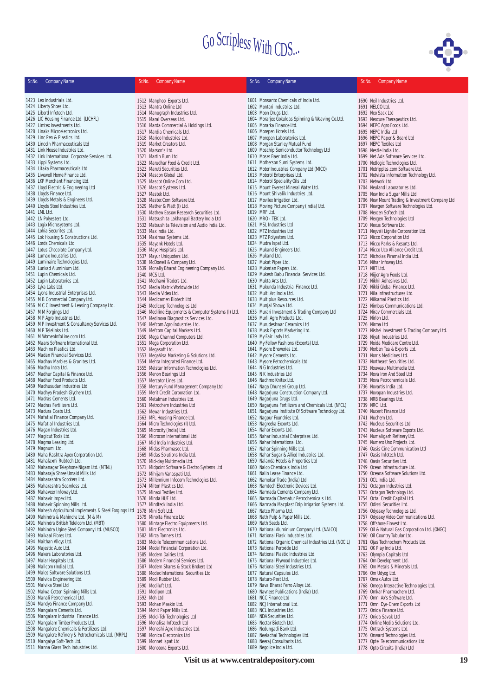

| Sr.No. | <b>Company Name</b>                                                                                              | Sr.No. | <b>Company Name</b>                                                                             | Sr.No. | <b>Company Name</b>                                                                  | Sr.No. | <b>Company Name</b>                                                      |
|--------|------------------------------------------------------------------------------------------------------------------|--------|-------------------------------------------------------------------------------------------------|--------|--------------------------------------------------------------------------------------|--------|--------------------------------------------------------------------------|
|        |                                                                                                                  |        |                                                                                                 |        |                                                                                      |        |                                                                          |
|        | 1423 Leo Industrials Ltd.                                                                                        |        | 1512 Manphool Exports Ltd.                                                                      |        | 1601 Monsanto Chemicals of India Ltd.                                                |        | 1690 Neil Industries Ltd.                                                |
|        | 1424 Liberty Shoes Ltd.<br>1425 Libord Infotech Ltd.                                                             |        | 1513 Mantra Online Ltd<br>1514 Manugraph Industries Ltd.                                        |        | 1602 Montari Industries Ltd.<br>1603 Moon Drugs Ltd.                                 |        | 1691 NELCO Ltd.<br>1692 Neo Sack Ltd                                     |
|        | 1426 LIC Housing Finance Ltd. (LICHFL)                                                                           |        | 1515 Maral Overseas Ltd.                                                                        |        | 1604 Morarjee Gokuldas Spinning & Weaving Co.Ltd.                                    |        | 1693 Neocure Therapeutics Ltd.                                           |
|        | 1427 Limtex Investments Ltd.                                                                                     |        | 1516 Marda Commercial & Holdings Ltd.                                                           |        | 1605 Morarka Finance Ltd.                                                            |        | 1694 NEPC Agro Foods Ltd.                                                |
|        | 1428 Linaks Microelectronics Ltd.                                                                                |        | 1517 Mardia Chemicals Ltd.                                                                      |        | 1606 Morepen Hotels Ltd.                                                             |        | 1695 NEPC India Ltd                                                      |
|        | 1429 Linc Pen & Plastics Ltd.<br>1430 Lincoln Pharmaceuticals Ltd                                                |        | 1518 Marico Industries Ltd.<br>1519 Market Creators Ltd.                                        |        | 1607 Morepen Laboratories Ltd.<br>1608 Morgan Stanley Mutual Fund                    |        | 1696 NEPC Paper & Board Ltd<br>1697 NEPC Textiles Ltd                    |
|        | 1431 Link House Industries Ltd.                                                                                  |        | 1520 Marson's Ltd.                                                                              |        | 1609 Moschip Semiconductor Technology Ltd                                            |        | 1698 Nestle India Ltd.                                                   |
|        | 1432 Link International Corporate Services Ltd.                                                                  |        | 1521 Martin Burn Ltd.                                                                           |        | 1610 Moser Baer India Ltd.                                                           |        | 1699 Net Axis Software Services Ltd.                                     |
|        | 1433 Lippi Systems Ltd.                                                                                          |        | 1522 Marudhar Food & Credit Ltd.                                                                |        | 1611 Motherson Sumi Systems Ltd.                                                     |        | 1700 Netlogic Technologies Ltd.                                          |
|        | 1434 Litaka Pharmaceuticals Ltd.<br>1435 Livewell Home Finance Ltd.                                              |        | 1523 Maruti Securities Ltd.<br>1524 Mascon Global Ltd.                                          |        | 1612 Motor Industries Company Ltd (MICO)                                             |        | 1701 Netripples.com Software Ltd.                                        |
|        | 1436 LKP Merchant Financing Ltd.                                                                                 |        | 1525 Mascot Online.Com Ltd.                                                                     |        | 1613 Motorol Enterprises Ltd.<br>1614 Motorol Speciality Oils Ltd                    |        | 1702 Netvista Information Technology Ltd.<br>1703 Network Ltd.           |
|        | 1437 Lloyd Electric & Engineering Ltd                                                                            |        | 1526 Mascot Systems Ltd.                                                                        |        | 1615 Mount Everest Mineral Water Ltd.                                                |        | 1704 Neuland Laboratories Ltd.                                           |
|        | 1438 Lloyds Finance Ltd.                                                                                         |        | 1527 Mastek Ltd.                                                                                |        | 1616 Mount Shivalik Industries Ltd.                                                  |        | 1705 New India Sugar Mills Ltd.                                          |
|        | 1439 Lloyds Metals & Engineers Ltd.                                                                              |        | 1528 Master.Com Software Ltd.                                                                   |        | 1617 Movilex Irrigation Ltd.                                                         |        | 1706 New Mount Trading & Investment Company Ltd                          |
|        | 1440 Lloyds Steel Industries Ltd.<br>1441 LML Ltd.                                                               |        | 1529 Mather & Platt (I) Ltd.<br>1530 Mathew Easow Research Securities Ltd.                      |        | 1618 Moving Picture Company (India) Ltd.<br>1619 MRF Ltd.                            |        | 1707 Newgen Software Technologies Ltd.<br>1708 Nexcen Softech Ltd.       |
|        | 1442 LN Polyesters Ltd.                                                                                          |        | 1531 Matsushita Lakhanpal Battery India Ltd                                                     |        | 1620 MRO - TEK Ltd.                                                                  |        | 1709 Nexgen Technologies Ltd                                             |
|        | 1443 Logix Microsystems Ltd.                                                                                     |        | 1532 Matsushita Television and Audio India Ltd.                                                 |        | 1621 MSL Industries Ltd                                                              |        | 1710 Nexus Software Ltd.                                                 |
|        | 1444 Lohia Securites Ltd.                                                                                        |        | 1533 Max India Ltd.                                                                             |        | 1622 MTZ Industries Ltd                                                              |        | 1711 Neyveli Lignite Corporation Ltd.                                    |
|        | 1445 Lok Housing & Constructions Ltd.                                                                            |        | 1534 Maximaa Systems Ltd.                                                                       |        | 1623 MTZ Polyesters Ltd.                                                             |        | 1712 Nicco Corporation Ltd                                               |
|        | 1446 Lords Chemicals Ltd.<br>1447 Lotus Chocolate Company Ltd.                                                   |        | 1535 Mayank Hotels Ltd.<br>1536 Mayo Hospitals Ltd.                                             |        | 1624 Mudra Ispat Ltd.<br>1625 Mukand Engineers Ltd.                                  |        | 1713 Nicco Parks & Resorts Ltd.<br>1714 Nicco Uco Alliance Credit Ltd.   |
|        | 1448 Lumax Industries Ltd.                                                                                       |        | 1537 Mayur Uniquoters Ltd.                                                                      |        | 1626 Mukand Ltd.                                                                     |        | 1715 Nicholas Piramal India Ltd.                                         |
|        | 1449 Luminaire Technologies Ltd.                                                                                 |        | 1538 McDowell & Company Ltd.                                                                    |        | 1627 Mukat Pipes Ltd.                                                                |        | 1716 Nihar Infoway Ltd.                                                  |
|        | 1450 Lunkad Aluminium Ltd.                                                                                       |        | 1539 Mcnally Bharat Engineering Company Ltd.                                                    |        | 1628 Mukerian Papers Ltd.                                                            |        | 1717 NIIT Ltd.                                                           |
|        | 1451 Lupin Chemicals Ltd.<br>1452 Lupin Laboratories Ltd.                                                        |        | 1540 MCS Ltd.<br>1541 Medhawi Traders Ltd.                                                      |        | 1629 Mukesh Babu Financial Services Ltd.<br>1630 Mukta Arts Ltd.                     |        | 1718 Nijjer Agro Foods Ltd.<br>1719 Nikhil Adhesives Ltd.                |
|        | 1453 Lyka Labs Ltd.                                                                                              |        | 1542 Media Matrix Worldwide Ltd                                                                 |        | 1631 Mukunda Industrial Finance Ltd.                                                 |        | 1720 Nikki Global Finance Ltd.                                           |
|        | 1454 Lyons Industrial Enterprises Ltd.                                                                           |        | 1543 Media Video Ltd.                                                                           |        | 1632 Multi Arc India Ltd.                                                            |        | 1721 Nila Infrastructures Ltd.                                           |
|        | 1455 M B Commercial Company Ltd.                                                                                 |        | 1544 Medicamen Biotech Ltd                                                                      |        | 1633 Multiplus Resources Ltd.                                                        |        | 1722 Nilkamal Plastics Ltd.                                              |
|        | 1456 M C C Investment & Leasing Company Ltd.<br>1457 MM Forgings Ltd                                             |        | 1545 Medicorp Technologies Ltd.                                                                 |        | 1634 Munjal Showa Ltd.<br>1635 Murari Investment & Trading Company Ltd               |        | 1723 Nimbus Communications Ltd.<br>1724 Nirav Commercials Ltd.           |
|        | 1458 M P Agro Industries Ltd.                                                                                    |        | 1546 Mediline Equipments & Computer Systems (I) Ltd.<br>1547 Medinova Diagnostics Services Ltd. |        | 1636 Murli Agro Products Ltd.                                                        |        | 1725 Nirlon Ltd.                                                         |
|        | 1459 M P Investment & Consultancy Services Ltd.                                                                  |        | 1548 Mefcom Agro Industries Ltd.                                                                |        | 1637 Murudeshwar Ceramics Ltd                                                        |        | 1726 Nirma Ltd                                                           |
|        | 1460 M P Telelinks Ltd.                                                                                          |        | 1549 Mefcom Capital Markets Ltd.                                                                |        | 1638 Musk Exports Marketing Ltd.                                                     |        | 1727 Nishel Investment & Trading Company Ltd.                            |
|        | 1461 M WomenInfoLine.com Ltd.                                                                                    |        | 1550 Mega Channel Computers Ltd.                                                                |        | 1639 My Fair Lady Ltd.                                                               |        | 1728 Niyati Industries Ltd.                                              |
|        | 1462 Maars Software International Ltd.<br>1463 Machino Plastics Ltd.                                             |        | 1551 Mega Corporation Ltd.<br>1552 Megasoft Ltd.                                                |        | 1640 My Fellow Fashions (Exports) Ltd.<br>1641 Mysore Breweries Ltd.                 |        | 1729 Noida Medicare Centre Ltd.<br>1730 Norben Tea & Exports Ltd.        |
|        | 1464 Madan Financial Services Ltd.                                                                               |        | 1553 MegaVisa Marketing & Solutions Ltd.                                                        |        | 1642 Mysore Cements Ltd.                                                             |        | 1731 Norris Medicines Ltd.                                               |
|        | 1465 Madhav Marbles & Granites Ltd.                                                                              |        | 1554 Mehta Integrated Finance Ltd.                                                              |        | 1643 Mysore Petrochemicals Ltd.                                                      |        | 1732 Northeast Securities Ltd.                                           |
|        | 1466 Madhu Intra Ltd.                                                                                            |        | 1555 Melstar Information Technologies Ltd.                                                      |        | 1644 N G Industries Ltd.                                                             |        | 1733 Nouveau Multimedia Ltd.                                             |
|        | 1467 Madhur Capital & Finance Ltd.<br>1468 Madhur Food Products Ltd.                                             |        | 1556 Menon Bearings Ltd<br>1557 Mercator Lines Ltd.                                             |        | 1645 N K Industries Ltd<br>1646 Nachmo Knitex Ltd.                                   |        | 1734 Nova Iron And Steel Ltd<br>1735 Nova Petrochemicals Ltd.            |
|        | 1469 Madhusudan Industries Ltd.                                                                                  |        | 1558 Mercury Fund Management Company Ltd                                                        |        | 1647 Naga Dhunseri Group Ltd.                                                        |        | 1736 Novartis India Ltd.                                                 |
|        | 1470 Madhya Pradesh Glychem Ltd.                                                                                 |        | 1559 Merit Credit Corporation Ltd.                                                              |        | 1648 Nagarjuna Construction Company Ltd.                                             |        | 1737 Novopan Industries Ltd.                                             |
|        | 1471 Madras Cements Ltd.                                                                                         |        | 1560 Metalman Industries Ltd.                                                                   |        | 1649 Nagarjuna Drugs Ltd.                                                            |        | 1738 NRB Bearings Ltd.                                                   |
|        | 1472 Madras Fertilizers Ltd.                                                                                     |        | 1561 Metrochem Industries Ltd                                                                   |        | 1650 Nagarjuna Fertilizers and Chemicals Ltd. (NFCL)                                 |        | 1739 NRC Ltd.                                                            |
|        | 1473 Madura Coats Ltd.<br>1474 Mafatlal Finance Company Ltd.                                                     |        | 1562 Mewar Industries Ltd.<br>1563 MFL Housing Finance Ltd.                                     |        | 1651 Nagarjuna Institute Of Software Technology Ltd.<br>1652 Nagpur Foundries Ltd.   |        | 1740 Nucent Finance Ltd<br>1741 Nuchem Ltd.                              |
|        | 1475 Mafatlal Industries Ltd.                                                                                    |        | 1564 Micro Technologies (I) Ltd.                                                                |        | 1653 Nagreeka Exports Ltd.                                                           |        | 1742 Nucleus Securities Ltd.                                             |
|        | 1476 Magan Industries Ltd.                                                                                       |        | 1565 Microcity (India) Ltd.                                                                     |        | 1654 Nahar Exports Ltd.                                                              |        | 1743 Nucleus Software Exports Ltd.                                       |
|        | 1477 Magicut Tools Ltd.                                                                                          |        | 1566 Microcon International Ltd.                                                                |        | 1655 Nahar Industrial Enterprises Ltd.                                               |        | 1744 Numaligarh Refinery Ltd.                                            |
|        | 1478 Magma Leasing Ltd.<br>1479 Magnum Ltd.                                                                      |        | 1567 Mid India Industries Ltd.<br>1568 Midas Pharmasec Ltd.                                     |        | 1656 Nahar International Ltd.<br>1657 Nahar Spinning Mills Ltd.                      |        | 1745 Numero Uno Projects Ltd.<br>1746 Oasis Cine Communication Ltd       |
|        | 1480 Maha Rashtra Apex Corporation Ltd.                                                                          |        | 1569 Midas Solutions India Ltd.                                                                 |        | 1658 Nahar Sugar & Allied Industries Ltd.                                            |        | 1747 Oasis Infotech Ltd.                                                 |
|        | 1481 Mahalaxmi Rubtech Ltd.                                                                                      |        | 1570 Mid-day Multimedia Ltd.                                                                    |        | 1659 Nalanda Hotels & Properties Ltd                                                 |        | 1748 Oasis Securities Ltd.                                               |
|        | 1482 Mahanagar Telephone Nigam Ltd. (MTNL)                                                                       |        | 1571 Midpoint Software & Electro Systems Ltd                                                    |        | 1660 Nalco Chemicals India Ltd                                                       |        | 1749 Ocean Infrastructure Ltd.                                           |
|        | 1483 Maharaja Shree Umaid Mills Ltd<br>1484 Maharashtra Scooters Ltd.                                            |        | 1572 Mihijam Vanaspati Ltd.<br>1573 Millennium Infocom Technologies Ltd.                        |        | 1661 Nalin Lease Finance Ltd.<br>1662 Namokar Trade (India) Ltd.                     |        | 1750 Oceana Software Solutions Ltd.<br>1751 OCL India Ltd.               |
|        | 1485 Maharashtra Seamless Ltd.                                                                                   |        | 1574 Milton Plastics Ltd.                                                                       |        | 1663 Namtech Electronic Devices Ltd.                                                 |        | 1752 Octagon Industries Ltd.                                             |
|        | 1486 Mahaveer Infoway Ltd.                                                                                       |        | 1575 Minaxi Textiles Ltd.                                                                       |        | 1664 Narmada Cements Company Ltd.                                                    |        | 1753 Octagon Technology Ltd.                                             |
|        | 1487 Mahavir Impex Ltd.                                                                                          |        | 1576 Minda HUF Ltd.                                                                             |        | 1665 Narmada Chematur Petrochemicals Ltd.                                            |        | 1754 Octal Credit Capital Ltd.                                           |
|        | 1488 Mahavir Spinning Mills Ltd.<br>1489 Mahesh Agricultural Implements & Steel Forgings Ltd 1578 Mini Soft Ltd. |        | 1577 Mindteck India Ltd.                                                                        |        | 1666 Narmada Macplast Drip Irrigation Systems Ltd.                                   |        | 1755 Odissi Securities Ltd.                                              |
|        | 1490 Mahindra & Mahindra Ltd. (M & M)                                                                            |        | 1579 Minolta Finance Ltd                                                                        |        | 1667 Natco Pharma Ltd.<br>1668 Nath Pulp & Paper Mills Ltd.                          |        | 1756 Odyssey Technologies Ltd.<br>1757 Odyssey Video Communications Ltd. |
|        | 1491 Mahindra British Telelcom Ltd. (MBT)                                                                        |        | 1580 Mintage Electro Equipments Ltd.                                                            |        | 1669 Nath Seeds Ltd.                                                                 |        | 1758 Offshore Finvest Ltd.                                               |
|        | 1492 Mahindra Ugine Steel Company Ltd. (MUSCO)                                                                   |        | 1581 Mirc Electronics Ltd.                                                                      |        | 1670 National Aluminium Company Ltd. (NALCO)                                         |        | 1759 Oil & Natural Gas Corporation Ltd. (ONGC)                           |
|        | 1493 Maikaal Fibres Ltd.                                                                                         |        | 1582 Mirza Tanners Ltd.                                                                         |        | 1671 National Flask Industries Ltd.                                                  |        | 1760 Oil Country Tubular Ltd.                                            |
|        | 1494 Maithan Alloys Ltd.<br>1495 Majestic Auto Ltd.                                                              |        | 1583 Mobile Telecommunications Ltd.<br>1584 Model Financial Corporation Ltd.                    |        | 1672 National Organic Chemical Industries Ltd. (NOCIL)<br>1673 National Peroxide Ltd |        | 1761 Ojas Technochem Products Ltd.<br>1762 OK Play India Ltd.            |
|        | 1496 Makers Laboratories Ltd.                                                                                    |        | 1585 Modern Dairies Ltd.                                                                        |        | 1674 National Plastic Industries Ltd.                                                |        | 1763 Olympia Capitals Ltd                                                |
|        | 1497 Malar Hospitals Ltd.                                                                                        |        | 1586 Modern Financial Services Ltd.                                                             |        | 1675 National Plywood Industries Ltd.                                                |        | 1764 Om Development Ltd.                                                 |
|        | 1498 Mallcom (India) Ltd.                                                                                        |        | 1587 Modern Shares & Stock Brokers Ltd                                                          |        | 1676 National Steel Industries Ltd.                                                  |        | 1765 Om Metals & Minerals Ltd.                                           |
|        | 1499 Malos Software Solutions Ltd.                                                                               |        | 1588 Modex International Securities Ltd                                                         |        | 1677 Natural Capsules Ltd.                                                           |        | 1766 Om Udyog Ltd.                                                       |
|        | 1500 Malvica Engineering Ltd.<br>1501 Malvika Steel Ltd                                                          |        | 1589 Modi Rubber Ltd.<br>1590 Modiluft Ltd.                                                     |        | 1678 Naturo-Pest Ltd<br>1679 Nava Bharat Ferro Alloys Ltd.                           |        | 1767 Omax Autos Ltd.<br>1768 Omega Interactive Technologies Ltd.         |
|        | 1502 Malwa Cotton Spinning Mills Ltd.                                                                            |        | 1591 Modipon Ltd.                                                                               |        | 1680 Navneet Publications (India) Ltd.                                               |        | 1769 Omkar Pharmachem Ltd.                                               |
|        | 1503 Manali Petrochemical Ltd.                                                                                   |        | 1592 Moh Ltd                                                                                    |        | 1681 NCC Finance Ltd                                                                 |        | 1770 Omni Ax's Software Ltd.                                             |
|        | 1504 Mandya Finance Company Ltd.                                                                                 |        | 1593 Mohan Meakin Ltd.                                                                          |        | 1682 NCJ International Ltd.                                                          |        | 1771 Omni Dye-Chem Exports Ltd                                           |
|        | 1505 Mangalam Cements Ltd.<br>1506 Mangalam Industrial Finance Ltd.                                              |        | 1594 Mohit Paper Mills Ltd.<br>1595 Mold-Tek Technologies Ltd                                   |        | 1683 NCL Industries Ltd.<br>1684 NDA Securities Ltd.                                 |        | 1772 Onida Finance Ltd.<br>1773 Onida Savak Ltd                          |
|        | 1507 Mangalam Timber Products Ltd.                                                                               |        | 1596 Monalisa Infotech Ltd                                                                      |        | 1685 Nectar Biotech Ltd.                                                             |        | 1774 Online Media Solutions Ltd.                                         |
|        | 1508 Mangalore Chemicals & Fertilizers Ltd.                                                                      |        | 1597 Moneshi Agro Industries Ltd.                                                               |        | 1686 Nedungadi Bank Ltd.                                                             |        | 1775 Ontrack Systems Ltd.                                                |
|        | 1509 Mangalore Refinery & Petrochemicals Ltd. (MRPL)                                                             |        | 1598 Monica Electronics Ltd                                                                     |        | 1687 Neelachal Technologies Ltd.                                                     |        | 1776 Onward Technologies Ltd.                                            |
|        | 1510 Mangalya Soft-Tech Ltd.<br>1511 Manna Glass Tech Industries Ltd.                                            |        | 1599 Monnet Ispat Ltd<br>1600 Monotona Exports Ltd.                                             |        | 1688 Neeraj Consultants Ltd.<br>1689 Negolice India Ltd.                             |        | 1777 Optel Telecommunications Ltd.<br>1778 Opto Circuits (India) Ltd     |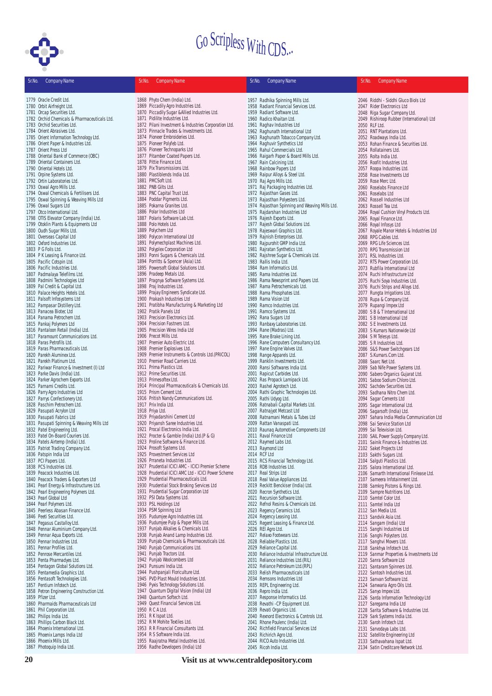

| Sr.No. | <b>Company Name</b>                                                     | Sr.No. | <b>Company Name</b>                                                               | Sr.No. | <b>Company Name</b>                                                      | Sr.No. | <b>Company Name</b>                                                        |
|--------|-------------------------------------------------------------------------|--------|-----------------------------------------------------------------------------------|--------|--------------------------------------------------------------------------|--------|----------------------------------------------------------------------------|
|        | 1779 Oracle Credit Ltd.                                                 |        | 1868 Phyto Chem (India) Ltd.                                                      |        |                                                                          |        |                                                                            |
|        | 1780 Orbit Airfreight Ltd.                                              |        | 1869 Piccadily Agro Industries Ltd.                                               |        | 1957 Radhika Spinning Mills Ltd.<br>1958 Radiant Financial Services Ltd. |        | 2046 Riddhi - Siddhi Gluco Biols Ltd<br>2047 Rider Electronics Ltd         |
|        | 1781 Orcap Securities Ltd.                                              |        | 1870 Piccadily Sugar & Allied Industries Ltd.                                     |        | 1959 Radiant Software Ltd.                                               |        | 2048 Riga Sugar Company Ltd.                                               |
|        | 1782 Orchid Chemicals & Pharmaceuticals Ltd.                            |        | 1871 Pidilite Industries Ltd.                                                     |        | 1960 Radico Khaitan Ltd.                                                 |        | 2049 Rishiroop Rubber (International) Ltd                                  |
|        | 1783 Orchid Securities Ltd.                                             |        | 1872 Pilani Investment & Industries Corporation Ltd.                              |        | 1961 Raghav Industries Ltd                                               |        | 2050 RLF Ltd.                                                              |
|        | 1784 Orient Abrasives Ltd.                                              |        | 1873 Pinnacle Trades & Investments Ltd.                                           |        | 1962 Raghunath International Ltd                                         |        | 2051 RNT Plantations Ltd.                                                  |
|        | 1785 Orient Information Technology Ltd.                                 |        | 1874 Pioneer Embroideries Ltd.                                                    |        | 1963 Raghunath Tobacco Company Ltd.                                      |        | 2052 Roadways India Ltd.                                                   |
|        | 1786 Orient Paper & Industries Ltd.                                     |        | 1875 Pioneer Polyfeb Ltd.                                                         |        | 1964 Raghuvir Synthetics Ltd                                             |        | 2053 Rohan Finance & Securities Ltd.                                       |
|        | 1787 Orient Press Ltd                                                   |        | 1876 Pioneer Technoparks Ltd                                                      |        | 1965 Rahul Commercials Ltd.                                              |        | 2054 Rollatainers Ltd.                                                     |
|        | 1788 Oriental Bank of Commerce (OBC)                                    |        | 1877 Pitamber Coated Papers Ltd.                                                  |        | 1966 Raigarh Paper & Board Mills Ltd.                                    |        | 2055 Rolta India Ltd.                                                      |
|        | 1789 Oriental Containers Ltd.                                           |        | 1878 Pittie Finance Ltd.                                                          |        | 1967 Rain Calcining Ltd.                                                 |        | 2056 Roofit Industries Ltd.                                                |
|        | 1790 Oriental Hotels Ltd.                                               |        | 1879 Pix Transmissions Ltd.                                                       |        | 1968 Rainbow Papers Ltd                                                  |        | 2057 Roopa Industries Ltd.                                                 |
|        | 1791 Orpine Systems Ltd.                                                |        | 1880 Plastiblends India Ltd.                                                      |        | 1969 Raipur Alloys & Steel Ltd.                                          |        | 2058 Rose Investments Ltd                                                  |
|        | 1792 Ortin Laboratories Ltd.                                            |        | 1881 PMCSoft Ltd.                                                                 |        | 1970 Raj Agro Mills Ltd.                                                 |        | 2059 Rose Merc Ltd.                                                        |
|        | 1793 Oswal Agro Mills Ltd.                                              |        | 1882 PNB Gilts Ltd.                                                               |        | 1971 Raj Packaging Industries Ltd.                                       |        | 2060 Roselabs Finance Ltd                                                  |
|        | 1794 Oswal Chemicals & Fertilisers Ltd.                                 |        | 1883 PNC Capital Trust Ltd.                                                       |        | 1972 Rajasthan Gases Ltd.                                                |        | 2061 Roselabs Ltd                                                          |
|        | 1795 Oswal Spinning & Weaving Mills Ltd                                 |        | 1884 Poddar Pigments Ltd.                                                         |        | 1973 Rajasthan Polyesters Ltd.                                           |        | 2062 Rossell Industries Ltd                                                |
|        | 1796 Oswal Sugars Ltd                                                   |        | 1885 Pokarna Granites Ltd.<br>1886 Polar Industries Ltd                           |        | 1974 Rajasthan Spinning and Weaving Mills Ltd.                           |        | 2063 Rossell Tea Ltd.                                                      |
|        | 1797 Otco International Ltd.<br>1798 OTIS Elevator Company (India) Ltd. |        | 1887 Polaris Software Lab Ltd.                                                    |        | 1975 Rajdarshan Industries Ltd<br>1976 Rajesh Exports Ltd.               |        | 2064 Royal Cushion Vinyl Products Ltd.<br>2065 Royal Finance Ltd.          |
|        | 1799 Otoklin Plants & Equipments Ltd                                    |        | 1888 Polo Hotels Ltd.                                                             |        | 1977 Rajesh Global Solutions Ltd.                                        |        | 2066 Royal Infosys Ltd                                                     |
|        | 1800 Oudh Sugar Mills Ltd.                                              |        | 1889 Polychem Ltd                                                                 |        | 1978 Rajeswari Graphics Ltd.                                             |        | 2067 Royale Manor Hotels & Industries Ltd                                  |
|        | 1801 Overseas Capital Ltd                                               |        | 1890 Polycon International Ltd                                                    |        | 1979 Rajnish Enterprises Ltd.                                            |        | 2068 RPG Cables Ltd.                                                       |
|        | 1802 Oxford Industries Ltd.                                             |        | 1891 Polymechplast Machines Ltd.                                                  |        | 1980 Rajpurohit GMP India Ltd.                                           |        | 2069 RPG Life Sciences Ltd.                                                |
|        | 1803 P G Foils Ltd.                                                     |        | 1892 Polyplex Corporation Ltd                                                     |        | 1981 Rajratan Synthetics Ltd.                                            |        | 2070 RPG Transmission Ltd                                                  |
|        | 1804 P K Leasing & Finance Ltd.                                         |        | 1893 Ponni Sugars & Chemicals Ltd.                                                |        | 1982 Rajshree Sugar & Chemicals Ltd.                                     |        | 2071 RSL Industries Ltd.                                                   |
|        | 1805 Pacific Cotspin Ltd.                                               |        | 1894 Porritts & Spencer (Asia) Ltd.                                               |        | 1983 Rallis India Ltd.                                                   |        | 2072 RTS Power Corporation Ltd.                                            |
|        | 1806 Pacific Industries Ltd.                                            |        | 1895 Powersoft Global Solutions Ltd.                                              |        | 1984 Ram Informatics Ltd.                                                |        | 2073 Rubfila International Ltd                                             |
|        | 1807 Padmalaya Telefilms Ltd.                                           |        | 1896 Pradeep Metals Ltd.                                                          |        | 1985 Rama Industries Ltd.                                                |        | 2074 Ruchi Infrastructure Ltd                                              |
|        | 1808 Padmini Technologies Ltd                                           |        | 1897 Pragnya Software Systems Ltd.                                                |        | 1986 Rama Newsprint and Papers Ltd.                                      |        | 2075 Ruchi Soya Industries Ltd.                                            |
|        | 1809 Pal Credit & Capital Ltd.                                          |        | 1898 Praj Industries Ltd.                                                         |        | 1987 Rama Petrochemicals Ltd.                                            |        | 2076 Ruchi Strips and Alloys Ltd.                                          |
|        | 1810 Palace Heights Hotels Ltd.                                         |        | 1899 Prajay Engineers Syndicate Ltd.                                              |        | 1988 Rama Phosphates Ltd.                                                |        | 2077 Rungta Irrigations Ltd.                                               |
|        | 1811 Palsoft Infosystems Ltd<br>1812 Pampasar Distillery Ltd.           |        | 1900 Prakash Industries Ltd<br>1901 Pratibha Manufacturing & Marketing Ltd        |        | 1989 Rama Vision Ltd<br>1990 Ramco Industries Ltd.                       |        | 2078 Rupa & Company Ltd.                                                   |
|        | 1813 Panacea Biotec Ltd                                                 |        | 1902 Pratik Panels Ltd                                                            |        | 1991 Ramco Systems Ltd.                                                  |        | 2079 Rupangi Impex Ltd<br>2080 S B & T International Ltd                   |
|        | 1814 Panama Petrochem Ltd.                                              |        | 1903 Precision Electronics Ltd.                                                   |        | 1992 Rana Sugars Ltd                                                     |        | 2081 S B International Ltd                                                 |
|        | 1815 Pankaj Polymers Ltd                                                |        | 1904 Precision Fastners Ltd.                                                      |        | 1993 Ranbaxy Laboratories Ltd.                                           |        | 2082 S E Investments Ltd.                                                  |
|        | 1816 Pantaloon Retail (India) Ltd.                                      |        | 1905 Precision Wires India Ltd                                                    |        | 1994 Rane (Madras) Ltd.                                                  |        | 2083 S Kumars Nationwide Ltd                                               |
|        | 1817 Paramount Communications Ltd.                                      |        | 1906 Precot Mills Ltd.                                                            |        | 1995 Rane Brake Lining Ltd.                                              |        | 2084 S M Telesys Ltd.                                                      |
|        | 1818 Paras Petrofils Ltd.                                               |        | 1907 Premier Auto Electric Ltd.                                                   |        | 1996 Rane Computers Consultancy Ltd.                                     |        | 2085 S R Industries Ltd.                                                   |
|        | 1819 Paras Pharmaceuticals Ltd.                                         |        | 1908 Premier Explosives Ltd.                                                      |        | 1997 Rane Engine Valves Ltd.                                             |        | 2086 S&S Power Switchgears Ltd                                             |
|        | 1820 Parekh Aluminex Ltd.                                               |        | 1909 Premier Instruments & Controls Ltd. (PRICOL)                                 |        | 1998 Range Apparels Ltd.                                                 |        | 2087 S.Kumars.Com Ltd.                                                     |
|        | 1821 Parekh Platinum Ltd.                                               |        | 1910 Premier Road Carriers Ltd.                                                   |        | 1999 Ranklin Investments Ltd.                                            |        | 2088 Saarc Net Ltd.                                                        |
|        | 1822 Pariwar Finance & Investment (I) Ltd                               |        | 1911 Prima Plastics Ltd.                                                          |        | 2000 Ransi Softwares India Ltd.                                          |        | 2089 Sab Nife Power Systems Ltd.                                           |
|        | 1823 Parke Davis (India) Ltd.                                           |        | 1912 Prime Securities Ltd.                                                        |        | 2001 Rapicut Carbides Ltd.                                               |        | 2090 Sabero Organics Gujarat Ltd.                                          |
|        | 1824 Parker Agrochem Exports Ltd.                                       |        | 1913 Primesoftex Ltd.                                                             |        | 2002 Ras Propack Lamipack Ltd.                                           |        | 2091 Saboo Sodium Chloro Ltd.                                              |
|        | 1825 Parnami Credits Ltd.<br>1826 Parry Agro Industries Ltd             |        | 1914 Principal Pharmaceuticals & Chemicals Ltd.<br>1915 Prism Cement Ltd.         |        | 2003 Rashel Agrotech Ltd.<br>2004 Rathi Graphic Technologies Ltd.        |        | 2092 Sachdev Securities Ltd.                                               |
|        | 1827 Parrys Confectionery Ltd.                                          |        | 1916 Pritish Nandy Communications Ltd.                                            |        | 2005 Rathi Udyog Ltd.                                                    |        | 2093 Sadhana Nitro Chem Ltd.<br>2094 Sagar Cements Ltd                     |
|        | 1828 Paschim Petrochem Ltd.                                             |        | 1917 Prix India Ltd.                                                              |        | 2006 Ratnabali Capital Markets Ltd.                                      |        | 2095 Sagar International Ltd.                                              |
|        | 1829 Pasupati Acrylon Ltd                                               |        | 1918 Priya Ltd.                                                                   |        | 2007 Ratnajyot Metcast Ltd                                               |        | 2096 Sagarsoft (India) Ltd.                                                |
|        | 1830 Pasupati Fabrics Ltd                                               |        | 1919 Priyadarshini Cement Ltd                                                     |        | 2008 Ratnamani Metals & Tubes Ltd                                        |        | 2097 Sahara India Media Communication Ltd                                  |
|        | 1831 Pasupati Spinning & Weaving Mills Ltd                              |        | 1920 Priyansh Saree Industries Ltd.                                               |        | 2009 Rattan Vanaspati Ltd.                                               |        | 2098 Sai Service Station Ltd                                               |
|        | 1832 Patel Engineering Ltd.                                             |        | 1921 Procal Electronics India Ltd.                                                |        | 2010 Raunag Automotive Components Ltd                                    |        | 2099 Sai Television Ltd.                                                   |
|        | 1833 Patel On-Board Couriers Ltd.                                       |        | 1922 Procter & Gamble (India) Ltd. (P & G)                                        |        | 2011 Raval Finance Ltd                                                   |        | 2100 SAIL Power Supply Company Ltd.                                        |
|        | 1834 Patels Airtemp (India) Ltd.                                        |        | 1923 Proline Software & Finance Ltd.                                              |        | 2012 Raymed Labs Ltd.                                                    |        | 2101 Sainik Finance & Industries Ltd.                                      |
|        | 1835 Patriot Trading Company Ltd.                                       |        | 1924 Prosoft Systems Ltd.                                                         |        | 2013 Raymond Ltd                                                         |        | 2102 Saket Projects Ltd                                                    |
|        | 1836 Patspin India Ltd                                                  |        | 1925 Provestment Services Ltd                                                     |        | 2014 RCF Ltd                                                             |        | 2103 Sakthi Sugars Ltd.                                                    |
|        | 1837 PCI Papers Ltd.                                                    |        | 1926 Prraneta Industries Ltd.<br>1927 Prudential ICICI AMC - ICICI Premier Scheme |        | 2015 RCS Financial Technology Ltd.                                       |        | 2104 Salguti Plastics Ltd.                                                 |
|        | 1838 PCS Industries Ltd.<br>1839 Peacock Industries Ltd.                |        | 1928 Prudential ICICI AMC Ltd - ICICI Power Scheme                                |        | 2016 RDB Industries Ltd.<br>2017 Real Strips Ltd                         |        | 2105 Salora International Ltd.<br>2106 Samarth International Finlease Ltd. |
|        | 1840 Peacock Traders & Exporters Ltd                                    |        | 1929 Prudential Pharmaceuticals Ltd.                                              |        | 2018 Real Value Appliances Ltd.                                          |        | 2107 Sameera Infotainment Ltd.                                             |
|        | 1841 Pearl Energy & Infrastructures Ltd.                                |        | 1930 Prudential Stock Broking Services Ltd                                        |        | 2019 Reckitt Benckiser (India) Ltd.                                      |        | 2108 Samkrg Pistons & Rings Ltd.                                           |
|        | 1842 Pearl Engineering Polymers Ltd.                                    |        | 1931 Prudential Sugar Corporation Ltd                                             |        | 2020 Recron Synthetics Ltd.                                              |        | 2109 Sampre Nutritions Ltd.                                                |
|        | 1843 Pearl Global Ltd                                                   |        | 1932 PSI Data Systems Ltd.                                                        |        | 2021 Recursion Software Ltd.                                             |        | 2110 Samtel Color Ltd.                                                     |
|        | 1844 Pearl Polymers Ltd.                                                |        | 1933 PSL Holdings Ltd                                                             |        | 2022 Refnol Resins & Chemicals Ltd.                                      |        | 2111 Samtel India Ltd                                                      |
|        | 1845 Peerless Abasan Finance Ltd.                                       |        | 1934 PSM Spinning Ltd                                                             |        | 2023 Regency Ceramics Ltd.                                               |        | 2112 San Media Ltd.                                                        |
|        | 1846 Peeti Securities Ltd.                                              |        | 1935 Pudumjee Agro Industries Ltd.                                                |        | 2024 Regency Leasing Ltd.                                                |        | 2113 Sandvik Asia Ltd.                                                     |
|        | 1847 Pegasus Castalloy Ltd.                                             |        | 1936 Pudumjee Pulp & Paper Mills Ltd.                                             |        | 2025 Regent Leasing & Finance Ltd.                                       |        | 2114 Sangam (India) Ltd                                                    |
|        | 1848 Pennar Aluminium Company Ltd.                                      |        | 1937 Punjab Alkalies & Chemicals Ltd.                                             |        | 2026 REI Agro Ltd.                                                       |        | 2115 Sanghi Industries Ltd                                                 |
|        | 1849 Pennar Aqua Exports Ltd.                                           |        | 1938 Punjab Anand Lamp Industries Ltd.                                            |        | 2027 Relaxo Footwears Ltd.                                               |        | 2116 Sanghi Polysters Ltd.                                                 |
|        | 1850 Pennar Industries Ltd.<br>1851 Pennar Profiles Ltd.                |        | 1939 Punjab Chemicals & Pharmaceuticals Ltd.<br>1940 Punjab Communications Ltd.   |        | 2028 Reliable Plastics Ltd.<br>2029 Reliance Capital Ltd.                |        | 2117 Sanghvi Movers Ltd.                                                   |
|        | 1852 Penrose Mercantiles Ltd.                                           |        | 1941 Punjab Tractors Ltd.                                                         |        | 2030 Reliance Industrial Infrastructure Ltd.                             |        | 2118 Sankhya Infotech Ltd.<br>2119 Sanmar Properties & Investments Ltd     |
|        | 1853 Penta Pharmadyes Ltd.                                              |        | 1942 Punjab Woolcombers Ltd                                                       |        | 2031 Reliance Industries Ltd. (RIL)                                      |        | 2120 Sanra Software Ltd                                                    |
|        | 1854 Pentagon Global Solutions Ltd.                                     |        | 1943 Punsumi India Ltd.                                                           |        | 2032 Reliance Petroleum Ltd.(RPL)                                        |        | 2121 Santaram Spinners Ltd.                                                |
|        | 1855 Pentamedia Graphics Ltd.                                           |        | 1944 Pushpanjali Floriculture Ltd.                                                |        | 2033 Relish Pharmaceuticals Ltd                                          |        | 2122 Santosh Industries Ltd.                                               |
|        | 1856 Pentasoft Technologies Ltd.                                        |        | 1945 PVD Plast Mould Industries Ltd.                                              |        | 2034 Remsons Industries Ltd                                              |        | 2123 Sanvan Software Ltd.                                                  |
|        | 1857 Pentium Infotech Ltd.                                              |        | 1946 Pyxis Technology Solutions Ltd.                                              |        | 2035 REPL Engineering Ltd.                                               |        | 2124 Sanwaria Agro Oils Ltd.                                               |
|        | 1858 Petron Engineering Construction Ltd.                               |        | 1947 Quantum Digital Vision (India) Ltd                                           |        | 2036 Repro India Ltd.                                                    |        | 2125 Sanyo Impex Ltd.                                                      |
|        | 1859 Pfizer Ltd.                                                        |        | 1948 Quantum Softech Ltd.                                                         |        | 2037 Response Informatics Ltd.                                           |        | 2126 Sarda Information Technology Ltd                                      |
|        | 1860 Pharmaids Pharmaceuticals Ltd                                      |        | 1949 Quest Financial Services Ltd.                                                |        | 2038 Revathi - CP Equipment Ltd.                                         |        | 2127 Saregama India Ltd                                                    |
|        | 1861 Phil Corporation Ltd.                                              |        | 1950 R C A Ltd.                                                                   |        | 2039 Revati Organics Ltd.                                                |        | 2128 Sarita Software & Industries Ltd.                                     |
|        | 1862 Philips India Ltd.                                                 |        | 1951 R K Ispat Ltd.                                                               |        | 2040 Rexnord Electronics & Controls Ltd.                                 |        | 2129 Sark Systems India Ltd.                                               |
|        | 1863 Phillips Carbon Black Ltd.                                         |        | 1952 R M Mohite Textiles Ltd.                                                     |        | 2041 Rhone Poulenc (India) Ltd.                                          |        | 2130 Saroh Infotech Ltd.                                                   |
|        | 1864 Phoenix International Ltd.<br>1865 Phoenix Lamps India Ltd         |        | 1953 R R Financial Consultants Ltd.<br>1954 R S Software India Ltd.               |        | 2042 Richfield Financial Services Ltd<br>2043 Richirich Agro Ltd.        |        | 2131 Sarvodaya Labs Ltd.<br>2132 Satellite Engineering Ltd                 |
|        | 1866 Phoenix Mills Ltd.                                                 |        | 1955 Raajratna Metal Industries Ltd.                                              |        | 2044 RICO Auto Industries Ltd.                                           |        | 2133 Sathavahana Ispat Ltd.                                                |
|        | 1867 Photoquip India Ltd.                                               |        | 1956 Radhe Developers (India) Ltd                                                 |        | 2045 Ricoh India Ltd.                                                    |        | 2134 Satin Creditcare Network Ltd.                                         |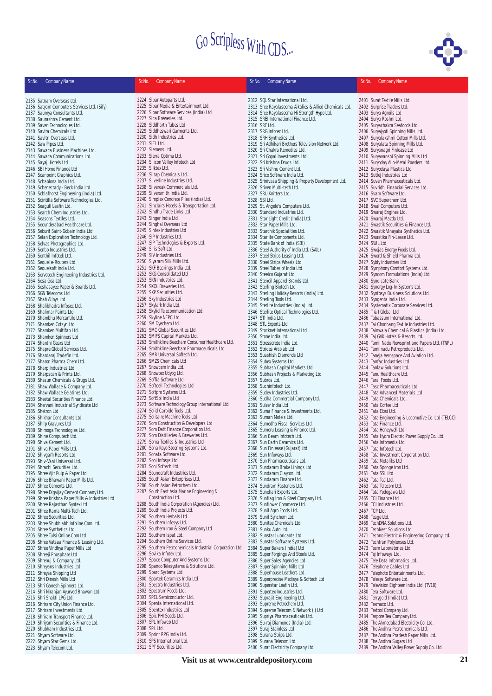

| Sr.No. | <b>Company Name</b>                                                            | Sr.No. | <b>Company Name</b>                                                                | Sr.No. | <b>Company Name</b>                                                         | Sr.No. | <b>Company Name</b>                                                            |
|--------|--------------------------------------------------------------------------------|--------|------------------------------------------------------------------------------------|--------|-----------------------------------------------------------------------------|--------|--------------------------------------------------------------------------------|
|        | 2135 Satnam Overseas Ltd.                                                      |        | 2224 Sibar Autoparts Ltd.                                                          |        | 2312 SQL Star International Ltd.                                            |        | 2401 Surat Textile Mills Ltd.                                                  |
|        | 2136 Satyam Computers Services Ltd. (Sify)                                     |        | 2225 Sibar Media & Entertainment Ltd.                                              |        | 2313 Sree Rayalaseema Alkalies & Allied Chemicals Ltd.                      |        | 2402 Surprise Traders Ltd.                                                     |
|        | 2137 Saumya Consultants Ltd.                                                   |        | 2226 Sibar Software Services (India) Ltd                                           |        | 2314 Sree Rayalaseema Hi Strength Hypo Ltd.                                 |        | 2403 Surya Agroils Ltd                                                         |
|        | 2138 Saurashtra Cement Ltd.                                                    |        | 2227 Sica Breweries Ltd.                                                           |        | 2315 SREI International Finance Ltd.                                        |        | 2404 Surya Roshni Ltd.                                                         |
|        | 2139 Saven Technologies Ltd.                                                   |        | 2228 Siddharth Tubes Ltd                                                           |        | 2316 SRF Ltd.                                                               |        | 2405 Suryachakra Seafoods Ltd.                                                 |
|        | 2140 Savita Chemicals Ltd                                                      |        | 2229 Siddheswari Garments Ltd.<br>2230 Sidh Industries Ltd.                        |        | 2317 SRG Infotec Ltd.<br>2318 SRH Synthetics Ltd.                           |        | 2406 Suryajyoti Spinning Mills Ltd.<br>2407 Suryalakshmi Cotton Mills Ltd.     |
|        | 2141 Savitri Overseas Ltd.<br>2142 Saw Pipes Ltd.                              |        | 2231 SIEL Ltd.                                                                     |        | 2319 Sri Adhikari Brothers Television Network Ltd.                          |        | 2408 Suryalata Spinning Mills Ltd.                                             |
|        | 2143 Sawaca Business Machines Ltd.                                             |        | 2232 Siemens Ltd.                                                                  |        | 2320 Sri Chakra Remedies Ltd.                                               |        | 2409 Suryanagri Finlease Ltd                                                   |
|        | 2144 Sawaca Communications Ltd.                                                |        | 2233 Sierra Optima Ltd.                                                            |        | 2321 Sri Gopal Investments Ltd.                                             |        | 2410 Suryavanshi Spinning Mills Ltd                                            |
|        | 2145 Sayaji Hotels Ltd                                                         |        | 2234 Silicon Valley Infotech Ltd                                                   |        | 2322 Sri Krishna Drugs Ltd.                                                 |        | 2411 Suryoday Allo-Metal Powders Ltd.                                          |
|        | 2146 SBI Home Finance Ltd                                                      |        | 2235 Silktex Ltd.                                                                  |        | 2323 Sri Vishnu Cement Ltd.                                                 |        | 2412 Suryodaya Plastics Ltd                                                    |
|        | 2147 Scanpoint Graphics Ltd.                                                   |        | 2236 Siltap Chemicals Ltd.                                                         |        | 2324 Srico Software India Ltd.                                              |        | 2413 Sutlej Industries Ltd                                                     |
|        | 2148 Schablona India Ltd.                                                      |        | 2237 Silverline Industries Ltd.<br>2238 Silveroak Commercials Ltd.                 |        | 2325 Srinivasa Shipping & Property Development Ltd.                         |        | 2414 Suven Pharmaceuticals Ltd.                                                |
|        | 2149 Schenectady - Beck India Ltd<br>2150 Schlafhorst Engineering (India) Ltd. |        | 2239 Silversmith India Ltd.                                                        |        | 2326 Sriven Multi-tech Ltd.<br>2327 SRU Knitters Ltd.                       |        | 2415 Suvridhi Financial Services Ltd.<br>2416 Svam Software Ltd.               |
|        | 2151 Scintilla Software Technologies Ltd.                                      |        | 2240 Simplex Concrete Piles (India) Ltd.                                           |        | 2328 SSI Ltd.                                                               |        | 2417 SVC Superchem Ltd.                                                        |
|        | 2152 Seagull Leafin Ltd.                                                       |        | 2241 Sinclairs Hotels & Transportation Ltd.                                        |        | 2329 St. Angelo's Computers Ltd.                                            |        | 2418 Swal Computers Ltd.                                                       |
|        | 2153 Search Chem Industries Ltd.                                               |        | 2242 Sindhu Trade Links Ltd                                                        |        | 2330 Standard Industries Ltd.                                               |        | 2419 Swaraj Engines Ltd.                                                       |
|        | 2154 Seasons Textiles Ltd.                                                     |        | 2243 Singer India Ltd                                                              |        | 2331 Star Light Credit (India) Ltd.                                         |        | 2420 Swaraj Mazda Ltd.                                                         |
|        | 2155 Secunderabad Healthcare Ltd.                                              |        | 2244 Singhal Overseas Ltd                                                          |        | 2332 Star Paper Mills Ltd.                                                  |        | 2421 Swastik Securities & Finance Ltd.                                         |
|        | 2156 Sekurit Saint-Gobain India Ltd.                                           |        | 2245 Sintex Industries Ltd                                                         |        | 2333 Starchik Specialities Ltd.                                             |        | 2422 Swastik Vinayaka Synthetics Ltd.                                          |
|        | 2157 Selan Exploration Technology Ltd.                                         |        | 2246 SIP Industries Ltd.                                                           |        | 2334 Starlite Components Ltd.                                               |        | 2423 Swastika Fin-Lease Ltd.                                                   |
|        | 2158 Selvas Photographics Ltd.<br>2159 Senbo Industries Ltd.                   |        | 2247 SIP Technologies & Exports Ltd.<br>2248 Siris Soft Ltd.                       |        | 2335 State Bank of India (SBI)<br>2336 Steel Authority of India Ltd. (SAIL) |        | 2424 SWIL Ltd.<br>2425 Swojas Energy Foods Ltd.                                |
|        | 2160 Senthil Infotek Ltd.                                                      |        | 2249 SIV Industries Ltd.                                                           |        | 2337 Steel Strips Leasing Ltd.                                              |        | 2426 Sword & Shield Pharma Ltd.                                                |
|        | 2161 Sequel e-Routers Ltd.                                                     |        | 2250 Siyaram Silk Mills Ltd.                                                       |        | 2338 Steel Strips Wheels Ltd.                                               |        | 2427 Sybly Industries Ltd                                                      |
|        | 2162 Sequelsoft India Ltd.                                                     |        | 2251 SKF Bearings India Ltd.                                                       |        | 2339 Steel Tubes of India Ltd.                                              |        | 2428 Symphony Comfort Systems Ltd.                                             |
|        | 2163 Servotech Engineering Industries Ltd.                                     |        | 2252 SKG Consolidated Ltd                                                          |        | 2340 Steelco Gujarat Ltd.                                                   |        | 2429 Syncom Formulations (India) Ltd.                                          |
|        | 2164 Sesa Goa Ltd.                                                             |        | 2253 SKN Industries Ltd.                                                           |        | 2341 Stencil Apparel Brands Ltd.                                            |        | 2430 Syndicate Bank                                                            |
|        | 2165 Seshasayee Paper & Boards Ltd.                                            |        | 2254 SKOL Breweries Ltd.                                                           |        | 2342 Sterling Biotech Ltd                                                   |        | 2431 Synergy Log-In Systems Ltd.                                               |
|        | 2166 SGN Telecoms Ltd                                                          |        | 2255 SKP Securities Ltd.                                                           |        | 2343 Sterling Holiday Resorts (India) Ltd.                                  |        | 2432 Synfosys Business Solutions Ltd.                                          |
|        | 2167 Shah Alloys Ltd                                                           |        | 2256 Sky Industries Ltd<br>2257 Skylark India Ltd.                                 |        | 2344 Sterling Tools Ltd.<br>2345 Sterlite Industries (India) Ltd.           |        | 2433 Syngenta India Ltd.                                                       |
|        | 2168 Shalibhadra Infosec Ltd.<br>2169 Shalimar Paints Ltd                      |        | 2258 Skylid Telecommunication Ltd.                                                 |        | 2346 Sterlite Optical Technologies Ltd.                                     |        | 2434 Systematix Corporate Services Ltd.<br>2435 T & I Global Ltd               |
|        | 2170 Shambhu Mercantile Ltd.                                                   |        | 2259 Skyline NEPC Ltd.                                                             |        | 2347 STI India Ltd.                                                         |        | 2436 Tabassum International Ltd.                                               |
|        | 2171 Shamken Cotsyn Ltd.                                                       |        | 2260 SM Dyechem Ltd.                                                               |        | 2348 STL Exports Ltd                                                        |        | 2437 Tai Chonbang Textile Industries Ltd.                                      |
|        | 2172 Shamken Multifab Ltd.                                                     |        | 2261 SMC Global Securities Ltd.                                                    |        | 2349 Stocknet International Ltd                                             |        | 2438 Tainwala Chemical & Plastics (India) Ltd.                                 |
|        | 2173 Shamken Spinners Ltd                                                      |        | 2262 SMIFS Capital Markets Ltd.                                                    |        | 2350 Stone India Ltd.                                                       |        | 2439 Taj GVK Hotels & Resorts Ltd.                                             |
|        | 2174 Shanthi Gears Ltd                                                         |        | 2263 Smithkline Beecham Consumer Healthcare Ltd.                                   |        | 2351 Stresscrete India Ltd.                                                 |        | 2440 Tamil Nadu Newsprint and Papers Ltd. (TNPL)                               |
|        | 2175 Shapre Global Services Ltd.                                               |        | 2264 Smithkline Beecham Pharmaceuticals Ltd.                                       |        | 2352 Strides Arcolab Ltd                                                    |        | 2441 Tamilnadu Petroproducts Ltd.                                              |
|        | 2176 Shardaraj Tradefin Ltd.                                                   |        | 2265 SMR Universal Softech Ltd.<br>2266 SMZS Chemicals Ltd                         |        | 2353 Suashish Diamonds Ltd                                                  |        | 2442 Taneja Aerospace And Aviation Ltd.                                        |
|        | 2177 Sharon Pharma Chem Ltd.<br>2178 Sharp Industries Ltd.                     |        | 2267 Snowcem India Ltd.                                                            |        | 2354 Subex Systems Ltd.<br>2355 Subhash Capital Markets Ltd.                |        | 2443 Tanfac Industries Ltd<br>2444 Tanlaw Solutions Ltd.                       |
|        | 2179 Sharpscan & Prints Ltd.                                                   |        | 2268 Snowtex Udyog Ltd.                                                            |        | 2356 Subhash Projects & Marketing Ltd.                                      |        | 2445 Tanu Healthcare Ltd.                                                      |
|        | 2180 Shasun Chemicals & Drugs Ltd.                                             |        | 2269 Soffia Software Ltd.                                                          |        | 2357 Subros Ltd.                                                            |        | 2446 Tarai Foods Ltd.                                                          |
|        | 2181 Shaw Wallace & Company Ltd.                                               |        | 2270 Softcell Technologies Ltd                                                     |        | 2358 Suchinfotech Ltd.                                                      |        | 2447 Tasc Pharmaceuticals Ltd.                                                 |
|        | 2182 Shaw Wallace Gelatines Ltd.                                               |        | 2271 Softpro Systems Ltd.                                                          |        | 2359 Sudev Industries Ltd.                                                  |        | 2448 Tata Advanced Materials Ltd                                               |
|        | 2183 Sheetal Securities Finance Ltd.                                           |        | 2272 SoftSol India Ltd                                                             |        | 2360 Sudha Commercial Company Ltd.                                          |        | 2449 Tata Chemicals Ltd.                                                       |
|        | 2184 Shervani Industrial Syndicate Ltd                                         |        | 2273 Software Technology Group International Ltd.<br>2274 Solid Carbide Tools Ltd. |        | 2361 Sulzer India Ltd                                                       |        | 2450 Tata Coffee Ltd                                                           |
|        | 2185 Shetron Ltd<br>2186 Shikhar Consultants Ltd                               |        | 2275 Solitaire Machine Tools Ltd.                                                  |        | 2362 Suma Finance & Investments Ltd.<br>2363 Suman Motels Ltd.              |        | 2451 Tata Elxsi Ltd.<br>2452 Tata Engineering & Locomotive Co. Ltd (TELCO)     |
|        | 2187 Shilp Gravures Ltd                                                        |        | 2276 Som Construction & Developers Ltd                                             |        | 2364 Sumedha Fiscal Services Ltd.                                           |        | 2453 Tata Finance Ltd.                                                         |
|        | 2188 Shimoga Technologies Ltd.                                                 |        | 2277 Som Datt Finance Corporation Ltd.                                             |        | 2365 Sumeru Leasing & Finance Ltd.                                          |        | 2454 Tata Honeywell Ltd.                                                       |
|        | 2189 Shine Computech Ltd.                                                      |        | 2278 Som Distilleries & Breweries Ltd.                                             |        | 2366 Sun Beam Infotech Ltd.                                                 |        | 2455 Tata Hydro Electric Power Supply Co. Ltd.                                 |
|        | 2190 Shiva Cement Ltd.                                                         |        | 2279 Soma Textiles & Industries Ltd                                                |        | 2367 Sun Earth Ceramics Ltd.                                                |        | 2456 Tata Infomedia Ltd                                                        |
|        | 2191 Shiva Paper Mills Ltd.                                                    |        | 2280 Sona Koyo Steering Systems Ltd.                                               |        | 2368 Sun Finlease (Gujarat) Ltd                                             |        | 2457 Tata Infotech Ltd.                                                        |
|        | 2192 Shivgarh Resorts Ltd.                                                     |        | 2281 Sonata Software Ltd.                                                          |        | 2369 Sun Infoways Ltd.                                                      |        | 2458 Tata Investment Corporation Ltd.                                          |
|        | 2193 Shiv-Vani Universal Ltd.                                                  |        | 2282 Soni Infosys Ltd<br>2283 Soni Softech Ltd.                                    |        | 2370 Sun Pharmaceuticals Ltd.                                               |        | 2459 Tata Metaliks Ltd                                                         |
|        | 2194 Shrachi Securities Ltd.<br>2195 Shree Ajit Pulp & Paper Ltd.              |        | 2284 Soundcraft Industries Ltd.                                                    |        | 2371 Sundaram Brake Linings Ltd<br>2372 Sundaram Clayton Ltd.               |        | 2460 Tata Sponge Iron Ltd.<br>2461 Tata SSL Ltd                                |
|        | 2196 Shree Bhawani Paper Mills Ltd.                                            |        | 2285 South Asian Enterprises Ltd.                                                  |        | 2373 Sundaram Finance Ltd.                                                  |        | 2462 Tata Tea Ltd.                                                             |
|        | 2197 Shree Cements Ltd.                                                        |        | 2286 South Asian Petrochem Ltd.                                                    |        | 2374 Sundram Fasteners Ltd.                                                 |        | 2463 Tata Telecom Ltd.                                                         |
|        | 2198 Shree Digvijay Cement Company Ltd.                                        |        | 2287 South East Asia Marine Engineering &                                          |        | 2375 Sunehari Exports Ltd.                                                  |        | 2464 Tata Yodogawa Ltd                                                         |
|        | 2199 Shree Krishna Paper Mills & Industries Ltd                                |        | Construction Ltd.                                                                  |        | 2376 Sunflag Iron & Steel Company Ltd.                                      |        | 2465 TCI Finance Ltd                                                           |
|        | 2200 Shree Rajasthan Syntex Ltd                                                |        | 2288 South India Corporation (Agencies) Ltd.                                       |        | 2377 Sunflower Commerce Ltd.                                                |        | 2466 TCI Industries Ltd.                                                       |
|        | 2201 Shree Rama Multi-Tech Ltd.                                                |        | 2289 South India Projects Ltd.                                                     |        | 2378 Sunil Agro Foods Ltd.                                                  |        | 2467 TCP Ltd.                                                                  |
|        | 2202 Shree Securities Ltd.                                                     |        | 2290 Southern Herbals Ltd                                                          |        | 2379 Sunil Synchem Ltd.                                                     |        | 2468 Teage Ltd.                                                                |
|        | 2203 Shree Shubhlabh Infoline.Com Ltd.                                         |        | 2291 Southern Infosys Ltd.                                                         |        | 2380 Sunitee Chemicals Ltd                                                  |        | 2469 TechDNA Solutions Ltd.                                                    |
|        | 2204 Shree Synthetics Ltd.<br>2205 Shree Tulsi Online.Com Ltd                  |        | 2292 Southern Iron & Steel Company Ltd<br>2293 Southern Ispat Ltd.                 |        | 2381 Sunku Auto Ltd.<br>2382 Sunstar Lubricants Ltd                         |        | 2470 TechNest Solutions Ltd<br>2471 Techno Electric & Engineering Company Ltd. |
|        | 2206 Shree Vatsaa Finance & Leasing Ltd.                                       |        | 2294 Southern Online Services Ltd.                                                 |        | 2383 Sunstar Software Systems Ltd.                                          |        | 2472 Techtran Polylenses Ltd.                                                  |
|        | 2207 Shree Vindhya Paper Mills Ltd                                             |        | 2295 Southern Petrochemicals Industrial Corporation Ltd.                           |        | 2384 Super Bakers (India) Ltd                                               |        | 2473 Teem Laboratories Ltd.                                                    |
|        | 2208 Shreeji Phosphate Ltd                                                     |        | 2296 Sovika Infotek Ltd.                                                           |        | 2385 Super Forgings And Steels Ltd.                                         |        | 2474 Tej Infoways Ltd.                                                         |
|        | 2209 Shrenuj & Company Ltd.                                                    |        | 2297 Space Computer And Systems Ltd.                                               |        | 2386 Super Sales Agencies Ltd                                               |        | 2475 Tele Data Informatics Ltd.                                                |
|        | 2210 Shreyans Industries Ltd                                                   |        | 2298 Spanco Telesystems & Solutions Ltd.                                           |        | 2387 Super Spinning Mills Ltd                                               |        | 2476 Telephone Cables Ltd                                                      |
|        | 2211 Shreyas Shipping Ltd                                                      |        | 2299 Sparc Systems Ltd.                                                            |        | 2388 Superhouse Leathers Ltd.                                               |        | 2477 Telephoto Entertainments Ltd.                                             |
|        | 2212 Shri Dinesh Mills Ltd                                                     |        | 2300 Spartek Ceramics India Ltd                                                    |        | 2389 Superprecise Medisys & Softech Ltd                                     |        | 2478 Telesys Software Ltd.                                                     |
|        | 2213 Shri Ganesh Spinners Ltd.                                                 |        | 2301 Spectra Industries Ltd.<br>2302 Spectrum Foods Ltd.                           |        | 2390 Superstar Leafin Ltd.<br>2391 Supertex Industries Ltd.                 |        | 2479 Television Eighteen India Ltd. (TV18)<br>2480 Tera Software Ltd.          |
|        | 2214 Shri Niranjan Ayurved Bhawan Ltd.<br>2215 Shri Shakti LPG Ltd.            |        | 2303 SPEL Semiconductor Ltd.                                                       |        | 2392 Suprajit Engineering Ltd.                                              |        | 2481 Terrygold (India) Ltd.                                                    |
|        | 2216 Shriram City Union Finance Ltd.                                           |        | 2304 Spenta International Ltd.                                                     |        | 2393 Supreme Petrochem Ltd.                                                 |        | 2482 Texmaco Ltd.                                                              |
|        | 2217 Shriram Investments Ltd.                                                  |        | 2305 Spentex Industries Ltd                                                        |        | 2394 Supreme Telecom & Network (I) Ltd                                      |        | 2483 Textool Company Ltd.                                                      |
|        | 2218 Shriram Transport Finance Ltd.                                            |        | 2306 Spic PHI Seeds Ltd.                                                           |        | 2395 Supriya Pharmaceuticals Ltd.                                           |        | 2484 Tezpore Tea Company Ltd.                                                  |
|        | 2219 Shriyam Securities & Finance Ltd.                                         |        | 2307 SPL Infoweb Ltd                                                               |        | 2396 Su-raj Diamonds (India) Ltd.                                           |        | 2485 The Ahmedabad Electricity Co. Ltd.                                        |
|        | 2220 Shubham Industries Ltd.                                                   |        | 2308 SPL Ltd.                                                                      |        | 2397 Suraj Stainless Ltd                                                    |        | 2486 The Andhra Petrochemicals Ltd.                                            |
|        | 2221 Shyam Software Ltd.                                                       |        | 2309 Sprint RPG India Ltd.                                                         |        | 2398 Surana Strips Ltd.                                                     |        | 2487 The Andhra Pradesh Paper Mills Ltd.                                       |
|        | 2222 Shyam Star Gems Ltd.                                                      |        | 2310 SPS International Ltd.                                                        |        | 2399 Surana Telecom Ltd.                                                    |        | 2488 The Andhra Sugars Ltd                                                     |
|        | 2223 Shyam Telecom Ltd.                                                        |        | 2311 SPT Securities Ltd.                                                           |        | 2400 Surat Electricity Company Ltd.                                         |        | 2489 The Andhra Valley Power Supply Co. Ltd.                                   |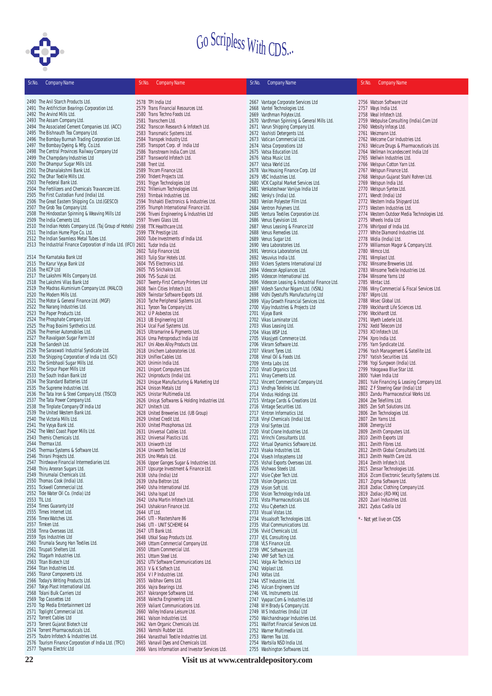

| Sr.No. | <b>Company Name</b>                                                                               | Sr.No. | <b>Company Name</b>                                                                  | Sr.No. | <b>Company Name</b>                                                                 | Sr.No. | <b>Company Name</b>                                                              |
|--------|---------------------------------------------------------------------------------------------------|--------|--------------------------------------------------------------------------------------|--------|-------------------------------------------------------------------------------------|--------|----------------------------------------------------------------------------------|
|        | 2490 The Anil Starch Products Ltd.                                                                |        | 2578 TPI India I td                                                                  |        | 2667 Vantage Corporate Services Ltd                                                 |        | 2756 Watson Software Ltd                                                         |
|        | 2491 The Antifriction Bearings Corporation Ltd.                                                   |        | 2579 Trans Financial Resources Ltd.                                                  |        | 2668 Vantel Technologies Ltd.                                                       |        | 2757 Ways India Ltd.                                                             |
|        | 2492 The Arvind Mills Ltd.                                                                        |        | 2580 Trans Techno Foods Ltd.                                                         |        | 2669 Vardhman Polytex Ltd.                                                          |        | 2758 Weal Infotech Ltd.                                                          |
|        | 2493 The Assam Company Ltd.<br>2494 The Associated Cement Companies Ltd. (ACC)                    |        | 2581 Transchem Ltd.                                                                  |        | 2670 Vardhman Spinning & General Mills Ltd.<br>2671 Varun Shipping Company Ltd.     |        | 2759 Webpulse Consulting (India).Com Ltd<br>2760 Websity Infosys Ltd.            |
|        | 2495 The Bishnauth Tea Company Ltd.                                                               |        | 2582 Transcon Research & Infotech Ltd.<br>2583 Transmatic Systems Ltd.               |        | 2672 Vashisti Detergents Ltd.                                                       |        | 2761 Weizmann Ltd.                                                               |
|        | 2496 The Bombay Burmah Trading Corporation Ltd.                                                   |        | 2584 Transpek Industry Ltd.                                                          |        | 2673 Vatican Commercial Ltd.                                                        |        | 2762 Welcome Coir Industries Ltd.                                                |
|        | 2497 The Bombay Dyeing & Mfg. Co.Ltd.                                                             |        | 2585 Transport Corp. of India Ltd                                                    |        | 2674 Vatsa Corporations Ltd                                                         |        | 2763 Welcure Drugs & Pharmaceuticals Ltd.                                        |
|        | 2498 The Central Provinces Railway Company Ltd<br>2499 The Champdany Industries Ltd               |        | 2586 Transtream India.Com Ltd.<br>2587 Transworld Infotech Ltd.                      |        | 2675 Vatsa Education Ltd.<br>2676 Vatsa Music Ltd.                                  |        | 2764 Wellman Incandescent India Ltd<br>2765 Wellwin Industries Ltd.              |
|        | 2500 The Dhampur Sugar Mills Ltd.                                                                 |        | 2588 Trent Ltd.                                                                      |        | 2677 Vatsa World Ltd.                                                               |        | 2766 Welspun Cotton Yarn Ltd.                                                    |
|        | 2501 The Dhanalakshmi Bank Ltd.                                                                   |        | 2589 Tricom Finance Ltd.                                                             |        | 2678 Vax Housing Finance Corp. Ltd                                                  |        | 2767 Welspun Finance Ltd.                                                        |
|        | 2502 The Dhar Textile Mills Ltd.<br>2503 The Federal Bank Ltd.                                    |        | 2590 Trident Projects Ltd.<br>2591 Trigyn Technologies Ltd                           |        | 2679 VBC Industries Ltd.                                                            |        | 2768 Welspun Gujarat Stahl Rohren Ltd.<br>2769 Welspun India Ltd.                |
|        | 2504 The Fertilizers and Chemicals Travancore Ltd.                                                |        | 2592 Trillenium Technologies Ltd.                                                    |        | 2680 VCK Capital Market Services Ltd.<br>2681 Venkateshwar Vanijya India Ltd        |        | 2770 Welspun Syntex Ltd.                                                         |
|        | 2505 The First Custodian Fund (India) Ltd.                                                        |        | 2593 Trimbak Industries Ltd.                                                         |        | 2682 Venky's (India) Ltd.                                                           |        | 2771 Wendt (India) Ltd                                                           |
|        | 2506 The Great Eastern Shipping Co. Ltd. (GESCO)                                                  |        | 2594 Trishakti Electronics & Industries Ltd.                                         |        | 2683 Venlon Polyester Film Ltd.                                                     |        | 2772 Western India Shipyard Ltd.                                                 |
|        | 2507 The Grob Tea Company Ltd.<br>2508 The Hindoostan Spinning & Weaving Mills Ltd                |        | 2595 Triumph International Finance Ltd.<br>2596 Triveni Engineering & Industries Ltd |        | 2684 Ventron Polymers Ltd.<br>2685 Ventura Textiles Corporation Ltd.                |        | 2773 Western Industries Ltd.<br>2774 Western Outdoor Media Technologies Ltd.     |
|        | 2509 The India Cements Ltd.                                                                       |        | 2597 Triveni Glass Ltd.                                                              |        | 2686 Venus Eyevision Ltd.                                                           |        | 2775 Wheels India Ltd                                                            |
|        | 2510 The Indian Hotels Company Ltd. (Taj Group of Hotels) 2598 TTK Healthcare Ltd.                |        |                                                                                      |        | 2687 Venus Leasing & Finance Ltd                                                    |        | 2776 Whirlpool of India Ltd.                                                     |
|        | 2511 The Indian Hume Pipe Co. Ltd.<br>2512 The Indian Seamless Metal Tubes Ltd.                   |        | 2599 TTK Prestige Ltd.<br>2600 Tube Investments of India Ltd.                        |        | 2688 Venus Remedies Ltd.<br>2689 Venus Sugar Ltd.                                   |        | 2777 White Diamond Industries Ltd.<br>2778 Widia (India) Ltd.                    |
|        | 2513 The Industrial Finance Corporation of India Ltd. (IFCI) 2601 Tudor India Ltd.                |        |                                                                                      |        | 2690 Vera Laboratories Ltd.                                                         |        | 2779 Williamson Magor & Company Ltd.                                             |
|        |                                                                                                   |        | 2602 Tulip Finance Ltd.                                                              |        | 2691 Veronica Laboratories Ltd.                                                     |        | 2780 Wimco Ltd.                                                                  |
|        | 2514 The Karnataka Bank Ltd                                                                       |        | 2603 Tulip Star Hotels Ltd.                                                          |        | 2692 Vesuvius India Ltd.                                                            |        | 2781 Wimplast Ltd.                                                               |
|        | 2515 The Karur Vysya Bank Ltd<br>2516 The KCP Ltd                                                 |        | 2604 TVS Electronics Ltd.<br>2605 TVS Srichakra Ltd.                                 |        | 2693 Vickers Systems International Ltd<br>2694 Videocon Appliances Ltd.             |        | 2782 Winsome Breweries Ltd.<br>2783 Winsome Textile Industries Ltd.              |
|        | 2517 The Lakshmi Mills Company Ltd.                                                               |        | 2606 TVS-Suzuki Ltd.                                                                 |        | 2695 Videocon International Ltd.                                                    |        | 2784 Winsome Yarns Ltd                                                           |
|        | 2518 The Lakshmi Vilas Bank Ltd                                                                   |        | 2607 Twenty-First Century Printers Ltd                                               |        | 2696 Videocon Leasing & Industrial Finance Ltd.                                     |        | 2785 Wintac Ltd.                                                                 |
|        | 2519 The Madras Aluminium Company Ltd. (MALCO)                                                    |        | 2608 Twin Cities Infotech Ltd.                                                       |        | 2697 Videsh Sanchar Nigam Ltd. (VSNL)                                               |        | 2786 Winy Commercial & Fiscal Services Ltd.                                      |
|        | 2520 The Modern Mills Ltd.<br>2521 The Motor & General Finance Ltd. (MGF)                         |        | 2609 Twinstar Software Exports Ltd.<br>2610 Tyche Peripheral Systems Ltd.            |        | 2698 Vidhi Dyestuffs Manufacturing Ltd<br>2699 Vijay Growth Financial Services Ltd. |        | 2787 Wipro Ltd.<br>2788 Wisec Global Ltd.                                        |
|        | 2522 The Narang Industries Ltd.                                                                   |        | 2611 Tyroon Tea Company Ltd.                                                         |        | 2700 Vijay Industries & Projects Ltd                                                |        | 2789 Wockhardt Life Sciences Ltd.                                                |
|        | 2523 The Paper Products Ltd.                                                                      |        | 2612 U P Asbestos Ltd.                                                               |        | 2701 Vijaya Bank                                                                    |        | 2790 Wockhardt Ltd.                                                              |
|        | 2524 The Phosphate Company Ltd.<br>2525 The Prag Bosimi Synthetics Ltd.                           |        | 2613 UB Engineering Ltd<br>2614 Ucal Fuel Systems Ltd.                               |        | 2702 Vikas Laminator Ltd.<br>2703 Vikas Leasing Ltd.                                |        | 2791 Wyeth Lederle Ltd.<br>2792 Xedd Telecom Ltd                                 |
|        | 2526 The Premier Automobiles Ltd.                                                                 |        | 2615 Ultramarine & Pigments Ltd.                                                     |        | 2704 Vikas WSP Ltd.                                                                 |        | 2793 XO Infotech Ltd.                                                            |
|        | 2527 The Ravalgaon Sugar Farm Ltd                                                                 |        | 2616 Uma Petroproduct India Ltd                                                      |        | 2705 Vikasjyoti Commerce Ltd.                                                       |        | 2794 Xpro India Ltd.                                                             |
|        | 2528 The Sandesh Ltd.                                                                             |        | 2617 Uni Abex Alloy Products Ltd.                                                    |        | 2706 Vikram Software Ltd.                                                           |        | 2795 Yarn Syndicate Ltd.                                                         |
|        | 2529 The Saraswati Industrial Syndicate Ltd.<br>2530 The Shipping Corporation of India Ltd. (SCI) |        | 2618 Unichem Laboratories Ltd.<br>2619 Uniflex Cables Ltd.                           |        | 2707 Vikrant Tyres Ltd.<br>2708 Vimal Oil & Foods Ltd.                              |        | 2796 Yash Management & Satellite Ltd.<br>2797 Yatish Securities Ltd.             |
|        | 2531 The Simbhaoli Sugar Mills Ltd.                                                               |        | 2620 Unimin India Ltd.                                                               |        | 2709 Vimta Labs Ltd.                                                                |        | 2798 Yogi Sungwon (India) Ltd.                                                   |
|        | 2532 The Sirpur Paper Mills Ltd                                                                   |        | 2621 Uniport Computers Ltd.                                                          |        | 2710 Vinati Organics Ltd.                                                           |        | 2799 Yokogawa Blue Star Ltd.                                                     |
|        | 2533 The South Indian Bank Ltd<br>2534 The Standard Batteries Ltd                                 |        | 2622 Uniproducts (India) Ltd.<br>2623 Unique Manufacturing & Marketing Ltd           |        | 2711 Vinay Cements Ltd.                                                             |        | 2800 Yuken India Ltd                                                             |
|        | 2535 The Supreme Industries Ltd.                                                                  |        | 2624 Unison Metals Ltd                                                               |        | 2712 Vincent Commercial Company Ltd.<br>2713 Vindhya Telelinks Ltd.                 |        | 2801 Yule Financing & Leasing Company Ltd.<br>2802 Z F Steering Gear (India) Ltd |
|        | 2536 The Tata Iron & Steel Company Ltd. (TISCO)                                                   |        | 2625 Unistar Multimedia Ltd.                                                         |        | 2714 Vindus Holdings Ltd.                                                           |        | 2803 Zandu Pharmaceutical Works Ltd.                                             |
|        | 2537 The Tata Power Company Ltd.                                                                  |        | 2626 Unisys Softwares & Holding Industries Ltd.                                      |        | 2715 Vintage Cards & Creations Ltd.                                                 |        | 2804 Zee Telefilms Ltd.                                                          |
|        | 2538 The Tinplate Company Of India Ltd<br>2539 The United Western Bank Ltd.                       |        | 2627 Unitech Ltd.<br>2628 United Breweries Ltd. (UB Group)                           |        | 2716 Vintage Securities Ltd.<br>2717 Vintron Informatics Ltd.                       |        | 2805 Zen Soft Solutions Ltd.<br>2806 Zen Technologies Ltd.                       |
|        | 2540 The Victoria Mills Ltd.                                                                      |        | 2629 United Credit Ltd.                                                              |        | 2718 Vinyl Chemicals (India) Ltd.                                                   |        | 2807 Zen Yarns Ltd.                                                              |
|        | 2541 The Vysya Bank Ltd.                                                                          |        | 2630 United Phosphorous Ltd.                                                         |        | 2719 Viral Syntex Ltd.                                                              |        | 2808 Zenergy Ltd                                                                 |
|        | 2542 The West Coast Paper Mills Ltd.<br>2543 Themis Chemicals Ltd.                                |        | 2631 Universal Cables Ltd.<br>2632 Universal Plastics Ltd.                           |        | 2720 Virat Crane Industries Ltd.<br>2721 Virinchi Consultants Ltd.                  |        | 2809 Zenith Computers Ltd.                                                       |
|        | 2544 Thermax Ltd.                                                                                 |        | 2633 Uniworth Ltd                                                                    |        | 2722 Virtual Dynamics Software Ltd.                                                 |        | 2810 Zenith Exports Ltd<br>2811 Zenith Fibres Ltd.                               |
|        | 2545 Thermax Systems & Software Ltd.                                                              |        | 2634 Uniworth Textiles Ltd                                                           |        | 2723 Visaka Industries Ltd.                                                         |        | 2812 Zenith Global Consultants Ltd.                                              |
|        | 2546 Thirani Projects Ltd.                                                                        |        | 2635 Uno Metals Ltd.                                                                 |        | 2724 Visesh Infosystems Ltd                                                         |        | 2813 Zenith Health Care Ltd.                                                     |
|        | 2547 Thirdwave Financial Intermediaries Ltd.<br>2548 Thiru Arooran Sugars Ltd.                    |        | 2636 Upper Ganges Sugar & Industries Ltd.<br>2637 Upsurge Investment & Finance Ltd.  |        | 2725 Vishal Exports Overseas Ltd.<br>2726 Vishwas Steels Ltd.                       |        | 2814 Zenith Infotech Ltd.<br>2815 Zensar Technologies Ltd.                       |
|        | 2549 Thirumalai Chemicals Ltd.                                                                    |        | 2638 Usha (India) Ltd                                                                |        | 2727 Visie Cyber Tech Ltd.                                                          |        | 2816 Zicom Electronic Security Systems Ltd.                                      |
|        | 2550 Thomas Cook (India) Ltd.                                                                     |        | 2639 Usha Beltron Ltd.                                                               |        | 2728 Vision Organics Ltd.                                                           |        | 2817 Zigma Software Ltd.                                                         |
|        | 2551 Tickwell Commercial Ltd.<br>2552 Tide Water Oil Co. (India) Ltd                              |        | 2640 Usha International Ltd.<br>2641 Usha Ispat Ltd                                  |        | 2729 Vision Soft Ltd.                                                               |        | 2818 Zodiac Clothing Company Ltd.<br>2819 Zodiac-JRD-MKJ Ltd.                    |
|        | 2553 TIL Ltd.                                                                                     |        | 2642 Usha Martin Infotech Ltd.                                                       |        | 2730 Vision Technology India Ltd.<br>2731 Vista Pharmaceuticals Ltd.                |        | 2820 Zuari Industries Ltd.                                                       |
|        | 2554 Times Guaranty Ltd                                                                           |        | 2643 Ushakiran Finance Ltd.                                                          |        | 2732 Visu Cybertech Ltd.                                                            |        | 2821 Zydus Cadila Ltd                                                            |
|        | 2555 Times Internet Ltd.<br>2556 Timex Watches Ltd.                                               |        | 2644 UT Ltd.                                                                         |        | 2733 Visual Vistas Ltd.                                                             |        |                                                                                  |
|        | 2557 Timken Ltd.                                                                                  |        | 2645 UTI - Mastershare 86<br>2646 UTI - UNIT SCHEME 64                               |        | 2734 Visualsoft Technologies Ltd.<br>2735 Vital Communications Ltd.                 |        | *- Not yet live on CDS                                                           |
|        | 2558 Tinna Overseas Ltd.                                                                          |        | 2647 UTI Bank Ltd.                                                                   |        | 2736 Vivid Chemicals Ltd.                                                           |        |                                                                                  |
|        | 2559 Tips Industries Ltd                                                                          |        | 2648 Utkal Soap Products Ltd.                                                        |        | 2737 VJIL Consulting Ltd.                                                           |        |                                                                                  |
|        | 2560 Tirumala Seung Han Textiles Ltd.<br>Tirupati Shelters Ltd.                                   |        | 2649 Uttam Commercial Company Ltd.                                                   |        | 2738 VLS Finance Ltd.                                                               |        |                                                                                  |
| 2561   | 2562 Titagarh Industries Ltd.                                                                     |        | 2650 Uttam Commercial Ltd.<br>2651 Uttam Steel Ltd.                                  |        | 2739 VMC Software Ltd.<br>2740 VMF Soft Tech Ltd.                                   |        |                                                                                  |
|        | 2563 Titan Biotech Ltd                                                                            |        | 2652 UTV Software Communications Ltd.                                                |        | 2741 Volga Air Technics Ltd                                                         |        |                                                                                  |
|        | 2564 Titan Industries Ltd.                                                                        |        | 2653 V & K Softech Ltd.                                                              |        | 2742 Volplast Ltd.                                                                  |        |                                                                                  |
|        | 2565 Titanor Components Ltd.                                                                      |        | 2654 V I P Industries Ltd.                                                           |        | 2743 Voltas Ltd.                                                                    |        |                                                                                  |
|        | 2566 Today's Writing Products Ltd.<br>2567 Tokyo Plast International Ltd.                         |        | 2655 Vaibhav Gems Ltd.<br>2656 Vajra Bearings Ltd.                                   |        | 2744 VST Industries Ltd.<br>2745 Vulcan Engineers Ltd                               |        |                                                                                  |
|        | 2568 Tolani Bulk Carriers Ltd                                                                     |        | 2657 Vakrangee Softwares Ltd.                                                        |        | 2746 VXL Instruments Ltd.                                                           |        |                                                                                  |
|        | 2569 Top Cassettes Ltd                                                                            |        | 2658 Valecha Engineering Ltd.                                                        |        | 2747 Vyapar.Com & Industries Ltd                                                    |        |                                                                                  |
|        | 2570 Top Media Entertainment Ltd<br>2571 Toplight Commercial Ltd.                                 |        | 2659 Valiant Communications Ltd.<br>2660 Valley Indiana Leisure Ltd.                 |        | 2748 W H Brady & Company Ltd.<br>2749 W S Industries (India) Ltd                    |        |                                                                                  |
|        | 2572 Torrent Cables Ltd                                                                           |        | 2661 Valson Industries Ltd.                                                          |        | 2750 Walchandnagar Industries Ltd.                                                  |        |                                                                                  |
|        | 2573 Torrent Gujarat Biotech Ltd                                                                  |        | 2662 Vam Organic Chemicals Ltd.                                                      |        | 2751 Wallfort Financial Services Ltd.                                               |        |                                                                                  |
|        | 2574 Torrent Pharmaceuticals Ltd.                                                                 |        | 2663 Vamshi Rubber Ltd.                                                              |        | 2752 Warner Multimedia Ltd.                                                         |        |                                                                                  |
|        | 2575 Toubro Infotech & Industries Ltd.<br>2576 Tourism Finance Corporation of India Ltd. (TFCI)   |        | 2664 Vanasthali Textile Industries Ltd.<br>2665 Vanavil Dyes and Chemicals Ltd.      |        | 2753 Warren Tea Ltd.<br>2754 Wartsila NSD India Ltd.                                |        |                                                                                  |
|        | 2577 Toyama Electric Ltd                                                                          |        | 2666 Vans Information and Investor Services Ltd.                                     |        | 2755 Washington Softwares Ltd.                                                      |        |                                                                                  |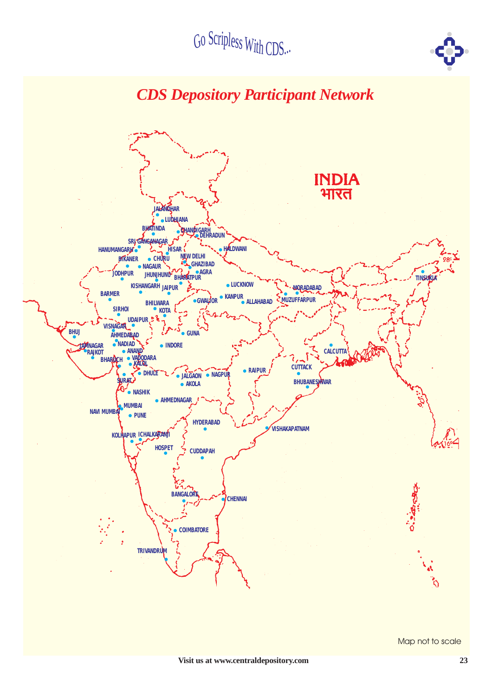



Map not to scale